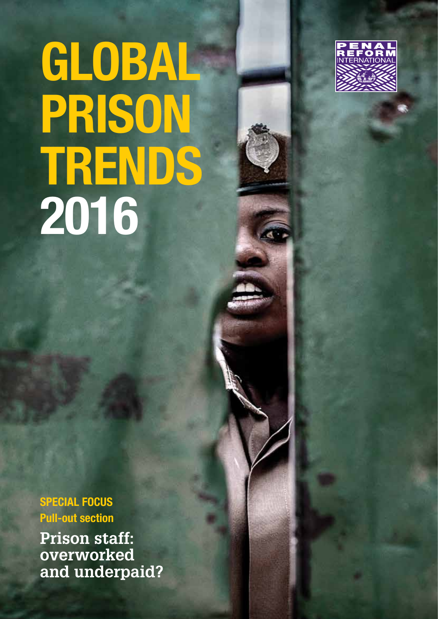# GLOBAL PRISON TRENDS 2016



SPECIAL FOCUS Pull-out section

**Prison staff: overworked and underpaid?**

Penal Reform International | Global Prison Trends 2016 | 1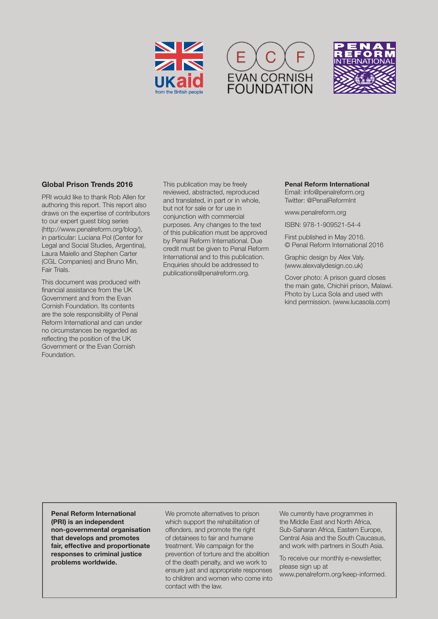





## Global Prison Trends 2016

PRI would like to thank Rob Allen for authoring this report. This report also draws on the expertise of contributors to our expert guest blog series (http://www.penalreform.org/blog/), in particular: Luciana Pol (Center for Legal and Social Studies, Argentina), Laura Maiello and Stephen Carter (CGL Companies) and Bruno Min, Fair Trials.

This document was produced with financial assistance from the UK Government and from the Evan Cornish Foundation. Its contents are the sole responsibility of Penal Reform International and can under no circumstances be regarded as reflecting the position of the UK Government or the Evan Cornish Foundation.

This publication may be freely reviewed, abstracted, reproduced and translated, in part or in whole, but not for sale or for use in conjunction with commercial purposes. Any changes to the text of this publication must be approved by Penal Reform International. Due credit must be given to Penal Reform International and to this publication. Enquiries should be addressed to publications@penalreform.org.

#### Penal Reform International

Email: [info@penalreform.org](mailto:info%40penalreform.org?subject=) Twitter: [@PenalReformInt](https://twitter.com/PenalReformInt)

[www.penalreform.org](http://www.penalreform.org)

ISBN: 978-1-909521-54-4

First published in May 2016. © Penal Reform International 2016

Graphic design by Alex Valy. [\(www.alexvalydesign.co.uk](http://www.alexvalydesign.co.uk))

Cover photo: A prison guard closes the main gate, Chichiri prison, Malawi. Photo by Luca Sola and used with kind permission. [\(www.lucasola.com](http://www.lucasola.com/))

Penal Reform International (PRI) is an independent non‑governmental organisation that develops and promotes fair, effective and proportionate responses to criminal justice problems worldwide.

We promote alternatives to prison which support the rehabilitation of offenders, and promote the right of detainees to fair and humane treatment. We campaign for the prevention of torture and the abolition of the death penalty, and we work to ensure just and appropriate responses to children and women who come into contact with the law.

We currently have programmes in the Middle East and North Africa, Sub-Saharan Africa, Eastern Europe, Central Asia and the South Caucasus, and work with partners in South Asia.

To receive our monthly e-newsletter, please sign up at

[www.penalreform.org/keep-informed.](http://www.penalreform.org/keep-informed/)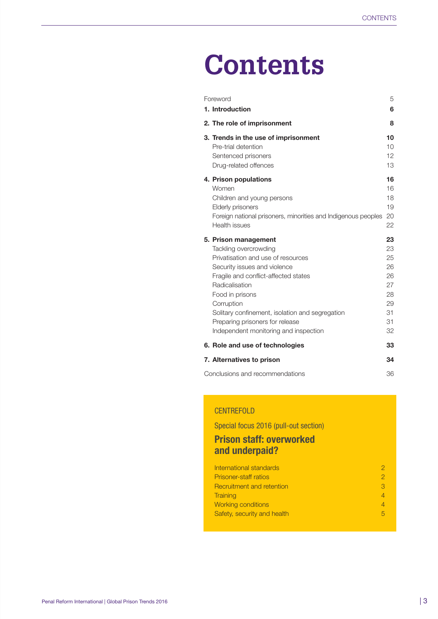## **Contents**

| Foreword |                                                               | 5               |
|----------|---------------------------------------------------------------|-----------------|
|          | 1. Introduction                                               | 6               |
|          | 2. The role of imprisonment                                   | 8               |
|          | 3. Trends in the use of imprisonment                          | 10              |
|          | Pre-trial detention                                           | 10 <sup>1</sup> |
|          | Sentenced prisoners                                           | 12              |
|          | Drug-related offences                                         | 13              |
|          | 4. Prison populations                                         | 16              |
|          | Women                                                         | 16              |
|          | Children and young persons                                    | 18              |
|          | <b>Elderly prisoners</b>                                      | 19              |
|          | Foreign national prisoners, minorities and Indigenous peoples | 20              |
|          | Health issues                                                 | 22              |
|          | 5. Prison management                                          | 23              |
|          | Tackling overcrowding                                         | 23              |
|          | Privatisation and use of resources                            | 25              |
|          | Security issues and violence                                  | 26              |
|          | Fragile and conflict-affected states                          | 26              |
|          | Radicalisation                                                | 27              |
|          | Food in prisons                                               | 28              |
|          | Corruption                                                    | 29              |
|          | Solitary confinement, isolation and segregation               | 31              |
|          | Preparing prisoners for release                               | 31              |
|          | Independent monitoring and inspection                         | 32              |
|          | 6. Role and use of technologies                               | 33              |
|          | 7. Alternatives to prison                                     | 34              |
|          | 36<br>Conclusions and recommendations                         |                 |

## **CENTREFOLD**

Special focus 2016 (pull-out section)

## Prison staff: overworked and underpaid?

| International standards      |    |
|------------------------------|----|
| <b>Prisoner-staff ratios</b> |    |
| Recruitment and retention    | З. |
| <b>Training</b>              |    |
| <b>Working conditions</b>    |    |
| Safety, security and health  |    |
|                              |    |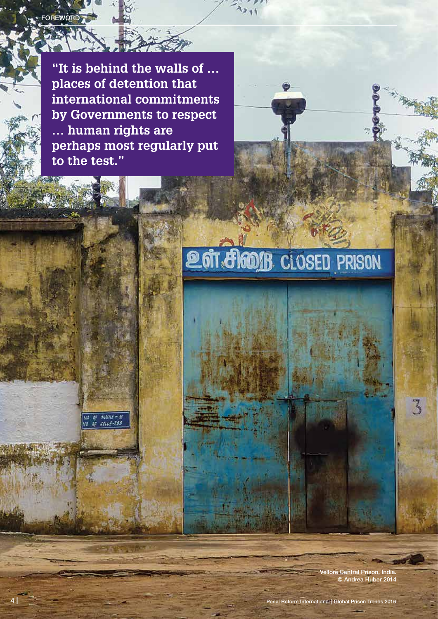**"It is behind the walls of … places of detention that international commitments by Governments to respect … human rights are perhaps most regularly put to the test."**

FOREWORD

# **2017 8 2001 B** CLOSED PRISON

Iore Central Prison, India © Andrea Huber 2014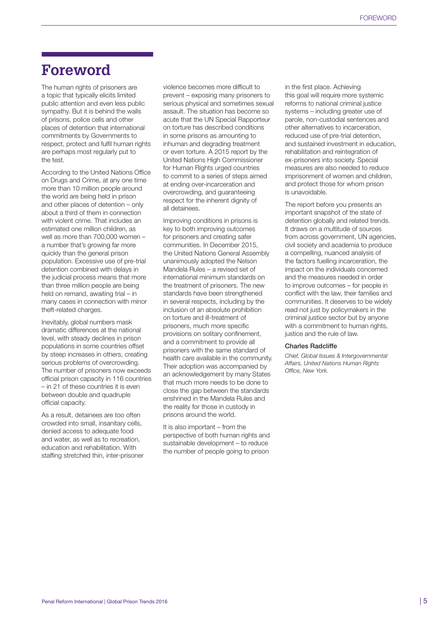## **Foreword**

The human rights of prisoners are a topic that typically elicits limited public attention and even less public sympathy. But it is behind the walls of prisons, police cells and other places of detention that international commitments by Governments to respect, protect and fulfil human rights are perhaps most regularly put to the test.

According to the United Nations Office on Drugs and Crime, at any one time more than 10 million people around the world are being held in prison and other places of detention – only about a third of them in connection with violent crime. That includes an estimated one million children, as well as more than 700,000 women – a number that's growing far more quickly than the general prison population. Excessive use of pre-trial detention combined with delays in the judicial process means that more than three million people are being held on remand, awaiting trial – in many cases in connection with minor theft-related charges.

Inevitably, global numbers mask dramatic differences at the national level, with steady declines in prison populations in some countries offset by steep increases in others, creating serious problems of overcrowding. The number of prisoners now exceeds official prison capacity in 116 countries – in 21 of these countries it is even between double and quadruple official capacity.

As a result, detainees are too often crowded into small, insanitary cells, denied access to adequate food and water, as well as to recreation, education and rehabilitation. With staffing stretched thin, inter-prisoner violence becomes more difficult to prevent – exposing many prisoners to serious physical and sometimes sexual assault. The situation has become so acute that the UN Special Rapporteur on torture has described conditions in some prisons as amounting to inhuman and degrading treatment or even torture. A 2015 report by the United Nations High Commissioner for Human Rights urged countries to commit to a series of steps aimed at ending over-incarceration and overcrowding, and guaranteeing respect for the inherent dignity of all detainees.

Improving conditions in prisons is key to both improving outcomes for prisoners and creating safer communities. In December 2015, the United Nations General Assembly unanimously adopted the Nelson Mandela Rules – a revised set of international minimum standards on the treatment of prisoners. The new standards have been strengthened in several respects, including by the inclusion of an absolute prohibition on torture and ill-treatment of prisoners, much more specific provisions on solitary confinement, and a commitment to provide all prisoners with the same standard of health care available in the community. Their adoption was accompanied by an acknowledgement by many States that much more needs to be done to close the gap between the standards enshrined in the Mandela Rules and the reality for those in custody in prisons around the world.

It is also important – from the perspective of both human rights and sustainable development – to reduce the number of people going to prison

in the first place. Achieving this goal will require more systemic reforms to national criminal justice systems – including greater use of parole, non-custodial sentences and other alternatives to incarceration, reduced use of pre-trial detention, and sustained investment in education, rehabilitation and reintegration of ex-prisoners into society. Special measures are also needed to reduce imprisonment of women and children, and protect those for whom prison is unavoidable.

The report before you presents an important snapshot of the state of detention globally and related trends. It draws on a multitude of sources from across government, UN agencies, civil society and academia to produce a compelling, nuanced analysis of the factors fuelling incarceration, the impact on the individuals concerned and the measures needed in order to improve outcomes – for people in conflict with the law, their families and communities. It deserves to be widely read not just by policymakers in the criminal justice sector but by anyone with a commitment to human rights, justice and the rule of law.

#### Charles Radcliffe

*Chief, Global Issues & Intergovernmental Affairs, United Nations Human Rights Office, New York.*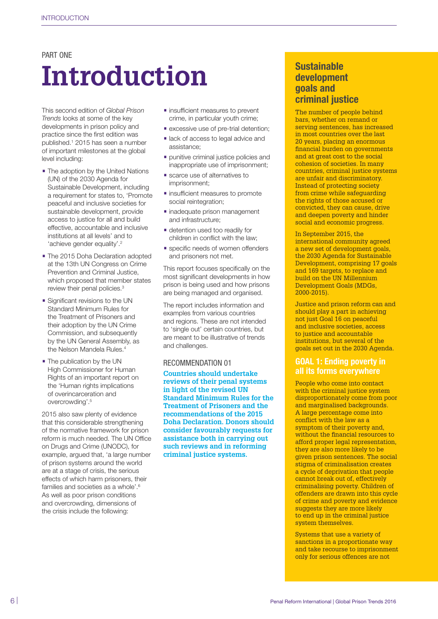## PART ONE

# **Introduction**

This second edition of *Global Prison Trends* looks at some of the key developments in prison policy and practice since the first edition was published.1 2015 has seen a number of important milestones at the global level including:

- **•** The adoption by the United Nations (UN) of the 2030 Agenda for Sustainable Development, including a requirement for states to, 'Promote peaceful and inclusive societies for sustainable development, provide access to justice for all and build effective, accountable and inclusive institutions at all levels' and to 'achieve gender equality'.2
- **•** The 2015 Doha Declaration adopted at the 13th UN Congress on Crime Prevention and Criminal Justice, which proposed that member states review their penal policies.<sup>3</sup>
- **•** Significant revisions to the UN Standard Minimum Rules for the Treatment of Prisoners and their adoption by the UN Crime Commission, and subsequently by the UN General Assembly, as the Nelson Mandela Rules.<sup>4</sup>
- **•** The publication by the UN High Commissioner for Human Rights of an important report on the 'Human rights implications of overincarceration and overcrowding'.5

2015 also saw plenty of evidence that this considerable strengthening of the normative framework for prison reform is much needed. The UN Office on Drugs and Crime (UNODC), for example, argued that, 'a large number of prison systems around the world are at a stage of crisis, the serious effects of which harm prisoners, their families and societies as a whole'.6 As well as poor prison conditions and overcrowding, dimensions of the crisis include the following:

- **•** insufficient measures to prevent crime, in particular youth crime;
- **•** excessive use of pre-trial detention;
- **•** lack of access to legal advice and assistance;
- **•** punitive criminal justice policies and inappropriate use of imprisonment;
- **•** scarce use of alternatives to imprisonment;
- **•** insufficient measures to promote social reintegration;
- **•** inadequate prison management and infrastructure;
- **•** detention used too readily for children in conflict with the law;
- **•** specific needs of women offenders and prisoners not met.

This report focuses specifically on the most significant developments in how prison is being used and how prisons are being managed and organised.

The report includes information and examples from various countries and regions. These are not intended to 'single out' certain countries, but are meant to be illustrative of trends and challenges.

#### RECOMMENDATION 01

**Countries should undertake reviews of their penal systems in light of the revised UN Standard Minimum Rules for the Treatment of Prisoners and the recommendations of the 2015 Doha Declaration. Donors should consider favourably requests for assistance both in carrying out such reviews and in reforming criminal justice systems.** 

## Sustainable development goals and criminal justice

The number of people behind bars, whether on remand or serving sentences, has increased in most countries over the last 20 years, placing an enormous financial burden on governments and at great cost to the social cohesion of societies. In many countries, criminal justice systems are unfair and discriminatory. Instead of protecting society from crime while safeguarding the rights of those accused or convicted, they can cause, drive and deepen poverty and hinder social and economic progress.

In September 2015, the international community agreed a new set of development goals, the 2030 Agenda for Sustainable Development, comprising 17 goals and 169 targets, to replace and build on the [UN Millennium](http://www.un.org/millenniumgoals/)  [Development Goals](http://www.un.org/millenniumgoals/) (MDGs, 2000-2015).

Justice and prison reform can and should play a part in achieving not just Goal 16 on peaceful and inclusive societies, access to justice and accountable institutions, but several of the goals set out in the 2030 Agenda.

## GOAL 1: Ending poverty in all its forms everywhere

People who come into contact with the criminal justice system disproportionately come from poor and marginalised backgrounds. A large percentage come into conflict with the law as a symptom of their poverty and, without the financial resources to afford proper legal representation, they are also more likely to be given prison sentences. The social stigma of criminalisation creates a cycle of deprivation that people cannot break out of, effectively criminalising poverty. Children of offenders are drawn into this cycle of crime and poverty and evidence suggests they are more likely to end up in the criminal justice system themselves.

Systems that use a variety of sanctions in a proportionate way and take recourse to imprisonment only for serious offences are not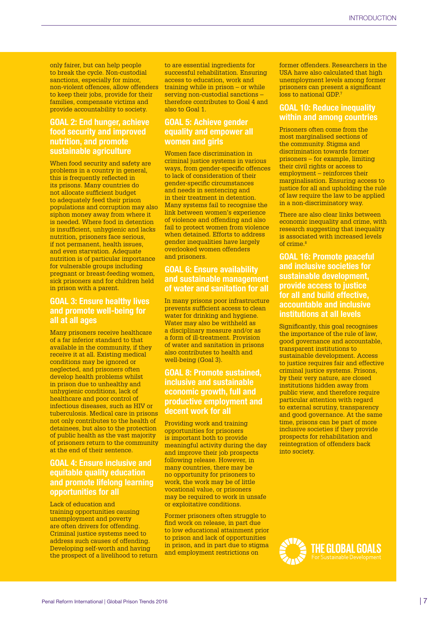only fairer, but can help people to break the cycle. Non-custodial sanctions, especially for minor, non-violent offences, allow offenders to keep their jobs, provide for their families, compensate victims and provide accountability to society.

## GOAL 2: End hunger, achieve food security and improved nutrition, and promote sustainable agriculture

When food security and safety are problems in a country in general, this is frequently reflected in its prisons. Many countries do not allocate sufficient budget to adequately feed their prison populations and corruption may also siphon money away from where it is needed. Where food in detention is insufficient, unhygienic and lacks nutrition, prisoners face serious, if not permanent, health issues, and even starvation. Adequate nutrition is of particular importance for vulnerable groups including pregnant or breast-feeding women, sick prisoners and for children held in prison with a parent.

## GOAL 3: Ensure healthy lives and promote well-being for all at all ages

Many prisoners receive healthcare of a far inferior standard to that available in the community, if they receive it at all. Existing medical conditions may be ignored or neglected, and prisoners often develop health problems whilst in prison due to unhealthy and unhygienic conditions, lack of healthcare and poor control of infectious diseases, such as HIV or tuberculosis. Medical care in prisons not only contributes to the health of detainees, but also to the protection of public health as the vast majority of prisoners return to the community at the end of their sentence.

## GOAL 4: Ensure inclusive and equitable quality education and promote lifelong learning opportunities for all

Lack of education and training opportunities causing unemployment and poverty are often drivers for offending. Criminal justice systems need to address such causes of offending. Developing self-worth and having the prospect of a livelihood to return to are essential ingredients for successful rehabilitation. Ensuring access to education, work and training while in prison – or while serving non-custodial sanctions – therefore contributes to Goal 4 and also to Goal 1.

## GOAL 5: Achieve gender equality and empower all women and girls

Women face discrimination in criminal justice systems in various ways, from gender-specific offences to lack of consideration of their gender-specific circumstances and needs in sentencing and in their treatment in detention. Many systems fail to recognise the link between women's experience of violence and offending and also fail to protect women from violence when detained. Efforts to address gender inequalities have largely overlooked women offenders and prisoners.

## GOAL 6: Ensure availability and sustainable management of water and sanitation for all

In many prisons poor infrastructure prevents sufficient access to clean water for drinking and hygiene. Water may also be withheld as a disciplinary measure and/or as a form of ill-treatment. Provision of water and sanitation in prisons also contributes to health and well-being (Goal 3).

## GOAL 8: Promote sustained, inclusive and sustainable economic growth, full and productive employment and decent work for all

Providing work and training opportunities for prisoners is important both to provide meaningful activity during the day and improve their job prospects following release. However, in many countries, there may be no opportunity for prisoners to work, the work may be of little vocational value, or prisoners may be required to work in unsafe or exploitative conditions.

Former prisoners often struggle to find work on release, in part due to low educational attainment prior to prison and lack of opportunities in prison, and in part due to stigma and employment restrictions on

former offenders. Researchers in the USA have also calculated that high unemployment levels among former prisoners can present a significant loss to national GDP.7

## GOAL 10: Reduce inequality within and among countries

Prisoners often come from the most marginalised sections of the community. Stigma and discrimination towards former prisoners – for example, limiting their civil rights or access to employment – reinforces their marginalisation. Ensuring access to justice for all and upholding the rule of law require the law to be applied in a non-discriminatory way.

There are also clear links between economic inequality and crime, with research suggesting that inequality is associated with increased levels of crime $8$ 

GOAL 16: Promote peaceful and inclusive societies for sustainable development, provide access to justice for all and build effective, accountable and inclusive institutions at all levels

Significantly, this goal recognises the importance of the rule of law, good governance and accountable, transparent institutions to sustainable development. Access to justice requires fair and effective criminal justice systems. Prisons, by their very nature, are closed institutions hidden away from public view, and therefore require particular attention with regard to external scrutiny, transparency and good governance. At the same time, prisons can be part of more inclusive societies if they provide prospects for rehabilitation and reintegration of offenders back into society.

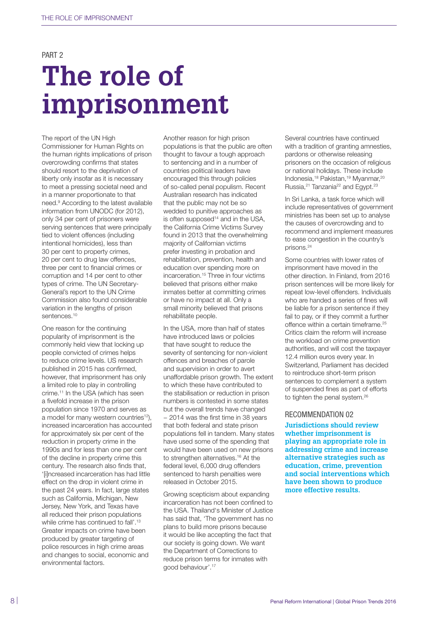#### PART<sub>2</sub>

# **The role of imprisonment**

The report of the UN High Commissioner for Human Rights on the human rights implications of prison overcrowding confirms that states should resort to the deprivation of liberty only insofar as it is necessary to meet a pressing societal need and in a manner proportionate to that need.9 According to the latest available information from UNODC (for 2012), only 34 per cent of prisoners were serving sentences that were principally tied to violent offences (including intentional homicides), less than 30 per cent to property crimes, 20 per cent to drug law offences, three per cent to financial crimes or corruption and 14 per cent to other types of crime. The UN Secretary-General's report to the UN Crime Commission also found considerable variation in the lengths of prison sentences.<sup>10</sup>

One reason for the continuing popularity of imprisonment is the commonly held view that locking up people convicted of crimes helps to reduce crime levels. US research published in 2015 has confirmed, however, that imprisonment has only a limited role to play in controlling crime.11 In the USA (which has seen a fivefold increase in the prison population since 1970 and serves as a model for many western countries<sup>12</sup>), increased incarceration has accounted for approximately six per cent of the reduction in property crime in the 1990s and for less than one per cent of the decline in property crime this century. The research also finds that, '[i]ncreased incarceration has had little effect on the drop in violent crime in the past 24 years. In fact, large states such as California, Michigan, New Jersey, New York, and Texas have all reduced their prison populations while crime has continued to fall'.<sup>13</sup> Greater impacts on crime have been produced by greater targeting of police resources in high crime areas and changes to social, economic and environmental factors.

Another reason for high prison populations is that the public are often thought to favour a tough approach to sentencing and in a number of countries political leaders have encouraged this through policies of so-called penal populism. Recent Australian research has indicated that the public may not be so wedded to punitive approaches as is often supposed $14$  and in the USA, the California Crime Victims Survey found in 2013 that the overwhelming majority of Californian victims prefer investing in probation and rehabilitation, prevention, health and education over spending more on incarceration.15 Three in four victims believed that prisons either make inmates better at committing crimes or have no impact at all. Only a small minority believed that prisons rehabilitate people.

In the USA, more than half of states have introduced laws or policies that have sought to reduce the severity of sentencing for non-violent offences and breaches of parole and supervision in order to avert unaffordable prison growth. The extent to which these have contributed to the stabilisation or reduction in prison numbers is contested in some states but the overall trends have changed − 2014 was the first time in 38 years that both federal and state prison populations fell in tandem. Many states have used some of the spending that would have been used on new prisons to strengthen alternatives.<sup>16</sup> At the federal level, 6,000 drug offenders sentenced to harsh penalties were released in October 2015.

Growing scepticism about expanding incarceration has not been confined to the USA. Thailand's Minister of Justice has said that, 'The government has no plans to build more prisons because it would be like accepting the fact that our society is going down. We want the Department of Corrections to reduce prison terms for inmates with good behaviour'.17

Several countries have continued with a tradition of granting amnesties, pardons or otherwise releasing prisoners on the occasion of religious or national holidays. These include Indonesia,<sup>18</sup> Pakistan,<sup>19</sup> Myanmar,<sup>20</sup> Russia,<sup>21</sup> Tanzania<sup>22</sup> and Egypt.<sup>23</sup>

In Sri Lanka, a task force which will include representatives of government ministries has been set up to analyse the causes of overcrowding and to recommend and implement measures to ease congestion in the country's prisons.24

Some countries with lower rates of imprisonment have moved in the other direction. In Finland, from 2016 prison sentences will be more likely for repeat low-level offenders. Individuals who are handed a series of fines will be liable for a prison sentence if they fail to pay, or if they commit a further offence within a certain timeframe.<sup>25</sup> Critics claim the reform will increase the workload on crime prevention authorities, and will cost the taxpayer 12.4 million euros every year. In Switzerland, Parliament has decided to reintroduce short-term prison sentences to complement a system of suspended fines as part of efforts to tighten the penal system.<sup>26</sup>

#### RECOMMENDATION 02

**Jurisdictions should review whether imprisonment is playing an appropriate role in addressing crime and increase alternative strategies such as education, crime, prevention and social interventions which have been shown to produce more effective results.**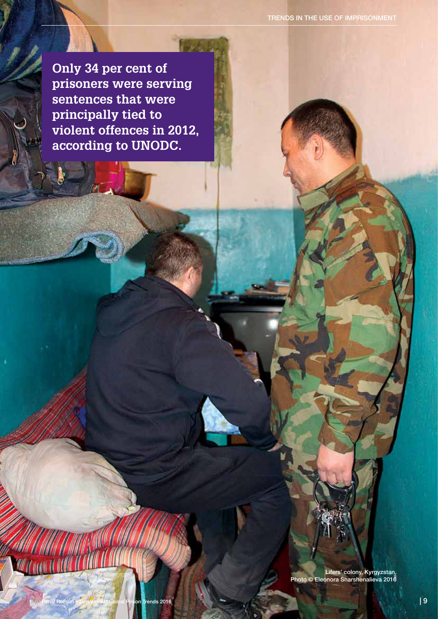**Only 34 per cent of prisoners were serving sentences that were principally tied to violent offences in 2012, according to UNODC.**

-71

Lifers' colony, Kyrgyzstan. Photo © Eleonora Sharshenalieva 2016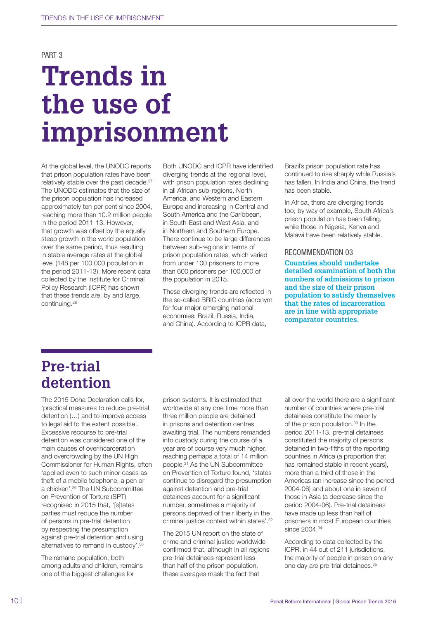PART 3

# **Trends in the use of imprisonment**

At the global level, the UNODC reports that prison population rates have been relatively stable over the past decade.<sup>27</sup> The UNODC estimates that the size of the prison population has increased approximately ten per cent since 2004, reaching more than 10.2 million people in the period 2011-13. However, that growth was offset by the equally steep growth in the world population over the same period, thus resulting in stable average rates at the global level (148 per 100,000 population in the period 2011-13). More recent data collected by the Institute for Criminal Policy Research (ICPR) has shown that these trends are, by and large, continuing.28

Both UNODC and ICPR have identified diverging trends at the regional level, with prison population rates declining in all African sub-regions, North America, and Western and Eastern Europe and increasing in Central and South America and the Caribbean, in South-East and West Asia, and in Northern and Southern Europe. There continue to be large differences between sub-regions in terms of prison population rates, which varied from under 100 prisoners to more than 600 prisoners per 100,000 of the population in 2015.

These diverging trends are reflected in the so-called BRIC countries (acronym for four major emerging national economies: Brazil, Russia, India, and China). According to ICPR data,

Brazil's prison population rate has continued to rise sharply while Russia's has fallen. In India and China, the trend has been stable.

In Africa, there are diverging trends too; by way of example, South Africa's prison population has been falling, while those in Nigeria, Kenya and Malawi have been relatively stable.

#### RECOMMENDATION 03

**Countries should undertake detailed examination of both the numbers of admissions to prison and the size of their prison population to satisfy themselves that the rates of incarceration are in line with appropriate comparator countries.** 

## **Pre-trial detention**

The 2015 Doha Declaration calls for, 'practical measures to reduce pre-trial detention (…) and to improve access to legal aid to the extent possible'. Excessive recourse to pre-trial detention was considered one of the main causes of overincarceration and overcrowding by the UN High Commissioner for Human Rights, often 'applied even to such minor cases as theft of a mobile telephone, a pen or a chicken'.29 The UN Subcommittee on Prevention of Torture (SPT) recognised in 2015 that, '[s]tates parties must reduce the number of persons in pre-trial detention by respecting the presumption against pre-trial detention and using alternatives to remand in custody'.30

The remand population, both among adults and children, remains one of the biggest challenges for

prison systems. It is estimated that worldwide at any one time more than three million people are detained in prisons and detention centres awaiting trial. The numbers remanded into custody during the course of a year are of course very much higher, reaching perhaps a total of 14 million people.31 As the UN Subcommittee on Prevention of Torture found, 'states continue to disregard the presumption against detention and pre-trial detainees account for a significant number, sometimes a majority of persons deprived of their liberty in the criminal justice context within states'.32

The 2015 UN report on the state of crime and criminal justice worldwide confirmed that, although in all regions pre-trial detainees represent less than half of the prison population, these averages mask the fact that

all over the world there are a significant number of countries where pre-trial detainees constitute the majority of the prison population.<sup>33</sup> In the period 2011-13, pre-trial detainees constituted the majority of persons detained in two-fifths of the reporting countries in Africa (a proportion that has remained stable in recent years), more than a third of those in the Americas (an increase since the period 2004-06) and about one in seven of those in Asia (a decrease since the period 2004-06). Pre-trial detainees have made up less than half of prisoners in most European countries since 2004.<sup>34</sup>

According to data collected by the ICPR, in 44 out of 211 jurisdictions, the majority of people in prison on any one day are pre-trial detainees.<sup>35</sup>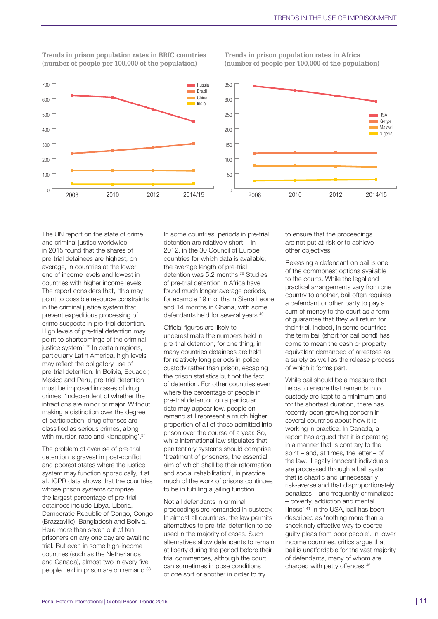

**Trends in prison population rates in BRIC countries Trends in prison population rates in Africa (number of people per 100,000 of the population) (number of people per 100,000 of the population)**



The UN report on the state of crime and criminal justice worldwide in 2015 found that the shares of pre-trial detainees are highest, on average, in countries at the lower end of income levels and lowest in countries with higher income levels. The report considers that, 'this may point to possible resource constraints in the criminal justice system that prevent expeditious processing of crime suspects in pre-trial detention. High levels of pre-trial detention may point to shortcomings of the criminal justice system'.<sup>36</sup> In certain regions, particularly Latin America, high levels may reflect the obligatory use of pre-trial detention. In Bolivia, Ecuador, Mexico and Peru, pre-trial detention must be imposed in cases of drug crimes, 'independent of whether the infractions are minor or major. Without making a distinction over the degree of participation, drug offenses are classified as serious crimes, along with murder, rape and kidnapping'.<sup>37</sup>

The problem of overuse of pre-trial detention is gravest in post-conflict and poorest states where the justice system may function sporadically, if at all. ICPR data shows that the countries whose prison systems comprise the largest percentage of pre-trial detainees include Libya, Liberia, Democratic Republic of Congo, Congo (Brazzaville), Bangladesh and Bolivia. Here more than seven out of ten prisoners on any one day are awaiting trial. But even in some high-income countries (such as the Netherlands and Canada), almost two in every five people held in prison are on remand.<sup>38</sup>

In some countries, periods in pre-trial detention are relatively short – in 2012, in the 30 Council of Europe countries for which data is available, the average length of pre-trial detention was 5.2 months.<sup>39</sup> Studies of pre-trial detention in Africa have found much longer average periods, for example 19 months in Sierra Leone and 14 months in Ghana, with some defendants held for several years.<sup>40</sup>

Official figures are likely to underestimate the numbers held in pre-trial detention; for one thing, in many countries detainees are held for relatively long periods in police custody rather than prison, escaping the prison statistics but not the fact of detention. For other countries even where the percentage of people in pre-trial detention on a particular date may appear low, people on remand still represent a much higher proportion of all of those admitted into prison over the course of a year. So, while international law stipulates that penitentiary systems should comprise 'treatment of prisoners, the essential aim of which shall be their reformation and social rehabilitation', in practice much of the work of prisons continues to be in fulfilling a jailing function.

Not all defendants in criminal proceedings are remanded in custody. In almost all countries, the law permits alternatives to pre-trial detention to be used in the majority of cases. Such alternatives allow defendants to remain at liberty during the period before their trial commences, although the court can sometimes impose conditions of one sort or another in order to try

to ensure that the proceedings are not put at risk or to achieve other objectives.

Releasing a defendant on bail is one of the commonest options available to the courts. While the legal and practical arrangements vary from one country to another, bail often requires a defendant or other party to pay a sum of money to the court as a form of guarantee that they will return for their trial. Indeed, in some countries the term bail (short for bail bond) has come to mean the cash or property equivalent demanded of arrestees as a surety as well as the release process of which it forms part.

While bail should be a measure that helps to ensure that remands into custody are kept to a minimum and for the shortest duration, there has recently been growing concern in several countries about how it is working in practice. In Canada, a report has argued that it is operating in a manner that is contrary to the spirit – and, at times, the letter – of the law. 'Legally innocent individuals are processed through a bail system that is chaotic and unnecessarily risk-averse and that disproportionately penalizes – and frequently criminalizes – poverty, addiction and mental illness'.41 In the USA, bail has been described as 'nothing more than a shockingly effective way to coerce guilty pleas from poor people'. In lower income countries, critics argue that bail is unaffordable for the vast majority of defendants, many of whom are charged with petty offences.42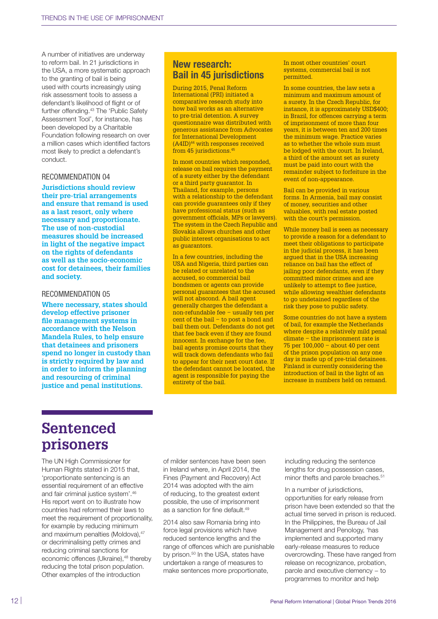A number of initiatives are underway to reform bail. In 21 jurisdictions in the USA, a more systematic approach to the granting of bail is being used with courts increasingly using risk assessment tools to assess a defendant's likelihood of flight or of further offending.<sup>43</sup> The 'Public Safety Assessment Tool', for instance, has been developed by a Charitable Foundation following research on over a million cases which identified factors most likely to predict a defendant's conduct.

#### RECOMMENDATION 04

**Jurisdictions should review their pre-trial arrangements and ensure that remand is used as a last resort, only where necessary and proportionate. The use of non-custodial measures should be increased in light of the negative impact on the rights of defendants as well as the socio-economic cost for detainees, their families and society.** 

#### RECOMMENDATION 05

**Where necessary, states should develop effective prisoner file management systems in accordance with the Nelson Mandela Rules, to help ensure that detainees and prisoners spend no longer in custody than is strictly required by law and in order to inform the planning and resourcing of criminal justice and penal institutions.** 

## New research: Bail in 45 jurisdictions

During 2015, Penal Reform International (PRI) initiated a comparative research study into how bail works as an alternative to pre-trial detention. A survey questionnaire was distributed with generous assistance from Advocates for International Development  $(A4ID)^{44}$  with responses received from 45 jurisdictions.<sup>45</sup>

In most countries which responded, release on bail requires the payment of a surety either by the defendant or a third party guarantor. In Thailand, for example, persons with a relationship to the defendant can provide guarantees only if they have professional status (such as government officials, MPs or lawyers). The system in the Czech Republic and Slovakia allows churches and other public interest organisations to act as guarantors.

In a few countries, including the USA and Nigeria, third parties can be related or unrelated to the accused, so commercial bail bondsmen or agents can provide personal guarantees that the accused will not abscond. A bail agent generally charges the defendant a non-refundable fee − usually ten per cent of the bail − to post a bond and bail them out. Defendants do not get that fee back even if they are found innocent. In exchange for the fee, bail agents promise courts that they will track down defendants who fail to appear for their next court date. If the defendant cannot be located, the agent is responsible for paying the entirety of the bail.

In most other countries' court systems, commercial bail is not permitted.

In some countries, the law sets a minimum and maximum amount of a surety. In the Czech Republic, for instance, it is approximately USD\$400; in Brazil, for offences carrying a term of imprisonment of more than four years, it is between ten and 200 times the minimum wage. Practice varies as to whether the whole sum must be lodged with the court. In Ireland, a third of the amount set as surety must be paid into court with the remainder subject to forfeiture in the event of non-appearance.

Bail can be provided in various forms. In Armenia, bail may consist of money, securities and other valuables, with real estate posted with the court's permission.

While money bail is seen as necessary to provide a reason for a defendant to meet their obligations to participate in the judicial process, it has been argued that in the USA increasing reliance on bail has the effect of jailing poor defendants, even if they committed minor crimes and are unlikely to attempt to flee justice, while allowing wealthier defendants to go undetained regardless of the risk they pose to public safety.

Some countries do not have a system of bail, for example the Netherlands where despite a relatively mild penal climate − the imprisonment rate is 75 per 100,000 − about 40 per cent of the prison population on any one day is made up of pre-trial detainees. Finland is currently considering the introduction of bail in the light of an increase in numbers held on remand.

## **Sentenced prisoners**

The UN High Commissioner for Human Rights stated in 2015 that, 'proportionate sentencing is an essential requirement of an effective and fair criminal justice system'.46 His report went on to illustrate how countries had reformed their laws to meet the requirement of proportionality, for example by reducing minimum and maximum penalties (Moldova), 47 or decriminalising petty crimes and reducing criminal sanctions for economic offences (Ukraine),<sup>48</sup> thereby reducing the total prison population. Other examples of the introduction

of milder sentences have been seen in Ireland where, in April 2014, the Fines (Payment and Recovery) Act 2014 was adopted with the aim of reducing, to the greatest extent possible, the use of imprisonment as a sanction for fine default.<sup>49</sup>

2014 also saw Romania bring into force legal provisions which have reduced sentence lengths and the range of offences which are punishable by prison.<sup>50</sup> In the USA, states have undertaken a range of measures to make sentences more proportionate,

including reducing the sentence lengths for drug possession cases, minor thefts and parole breaches.<sup>51</sup>

In a number of jurisdictions, opportunities for early release from prison have been extended so that the actual time served in prison is reduced. In the Philippines, the Bureau of Jail Management and Penology, 'has implemented and supported many early-release measures to reduce overcrowding. These have ranged from release on recognizance, probation, parole and executive clemency – to programmes to monitor and help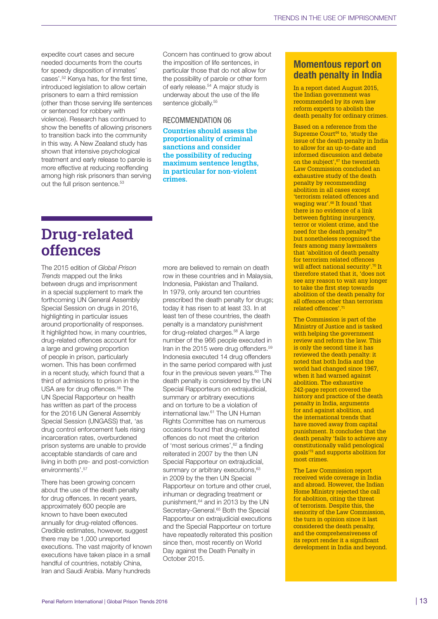expedite court cases and secure needed documents from the courts for speedy disposition of inmates' cases'.52 Kenya has, for the first time, introduced legislation to allow certain prisoners to earn a third remission (other than those serving life sentences or sentenced for robbery with violence). Research has continued to show the benefits of allowing prisoners to transition back into the community in this way. A New Zealand study has shown that intensive psychological treatment and early release to parole is more effective at reducing reoffending among high risk prisoners than serving out the full prison sentence.<sup>53</sup>

Concern has continued to grow about the imposition of life sentences, in particular those that do not allow for the possibility of parole or other form of early release.<sup>54</sup> A major study is underway about the use of the life sentence globally.<sup>55</sup>

#### RECOMMENDATION 06

**Countries should assess the proportionality of criminal sanctions and consider the possibility of reducing maximum sentence lengths, in particular for non-violent crimes.** 

## **Drug-related offences**

The 2015 edition of *Global Prison Trends* mapped out the links between drugs and imprisonment in a special supplement to mark the forthcoming UN General Assembly Special Session on drugs in 2016, highlighting in particular issues around proportionality of responses. It highlighted how, in many countries, drug-related offences account for a large and growing proportion of people in prison, particularly women. This has been confirmed in a recent study, which found that a third of admissions to prison in the USA are for drug offences.<sup>56</sup> The UN Special Rapporteur on health has written as part of the process for the 2016 UN General Assembly Special Session (UNGASS) that, 'as drug control enforcement fuels rising incarceration rates, overburdened prison systems are unable to provide acceptable standards of care and living in both pre- and post-conviction environments'.<sup>57</sup>

There has been growing concern about the use of the death penalty for drug offences. In recent years, approximately 600 people are known to have been executed annually for drug-related offences. Credible estimates, however, suggest there may be 1,000 unreported executions. The vast majority of known executions have taken place in a small handful of countries, notably China, Iran and Saudi Arabia. Many hundreds

more are believed to remain on death row in these countries and in Malaysia, Indonesia, Pakistan and Thailand. In 1979, only around ten countries prescribed the death penalty for drugs; today it has risen to at least 33. In at least ten of these countries, the death penalty is a mandatory punishment for drug-related charges.<sup>58</sup> A large number of the 966 people executed in Iran in the 2015 were drug offenders.<sup>59</sup> Indonesia executed 14 drug offenders in the same period compared with just four in the previous seven years.<sup>60</sup> The death penalty is considered by the UN Special Rapporteurs on extrajudicial, summary or arbitrary executions and on torture to be a violation of international law.61 The UN Human Rights Committee has on numerous occasions found that drug-related offences do not meet the criterion of 'most serious crimes',<sup>62</sup> a finding reiterated in 2007 by the then UN Special Rapporteur on extrajudicial, summary or arbitrary executions,<sup>63</sup> in 2009 by the then UN Special Rapporteur on torture and other cruel, inhuman or degrading treatment or punishment,<sup>64</sup> and in 2013 by the UN Secretary-General.<sup>65</sup> Both the Special Rapporteur on extrajudicial executions and the Special Rapporteur on torture have repeatedly reiterated this position since then, most recently on World Day against the Death Penalty in October 2015.

## Momentous report on death penalty in India

In a report dated August 2015, the Indian government was recommended by its own law reform experts to abolish the death penalty for ordinary crimes.

Based on a reference from the Supreme Court<sup>66</sup> to, 'study the issue of the death penalty in India to allow for an up-to-date and informed discussion and debate on the subject'.<sup>67</sup> the twentieth Law Commission concluded an exhaustive study of the death penalty by recommending abolition in all cases except 'terrorism related offences and waging war'.68 It found 'that there is no evidence of a link between fighting insurgency, terror or violent crime, and the need for the death penalty'<sup>6</sup> but nonetheless recognised the fears among many lawmakers that 'abolition of death penalty for terrorism related offences will affect national security'.<sup>70</sup> It therefore stated that it, 'does not see any reason to wait any longer to take the first step towards abolition of the death penalty for all offences other than terrorism related offences'.<sup>71</sup>

The Commission is part of the Ministry of Justice and is tasked with helping the government review and reform the law. This is only the second time it has reviewed the death penalty: it noted that both India and the world had changed since 1967, when it had warned against abolition. The exhaustive 242-page report covered the history and practice of the death penalty in India, arguments for and against abolition, and the international trends that have moved away from capital punishment. It concludes that the death penalty 'fails to achieve any constitutionally valid penological goals'72 and supports abolition for most crimes.

The Law Commission report received wide coverage in India and abroad. However, the Indian Home Ministry rejected the call for abolition, citing the threat of terrorism. Despite this, the seniority of the Law Commission, the turn in opinion since it last considered the death penalty, and the comprehensiveness of its report render it a significant development in India and beyond.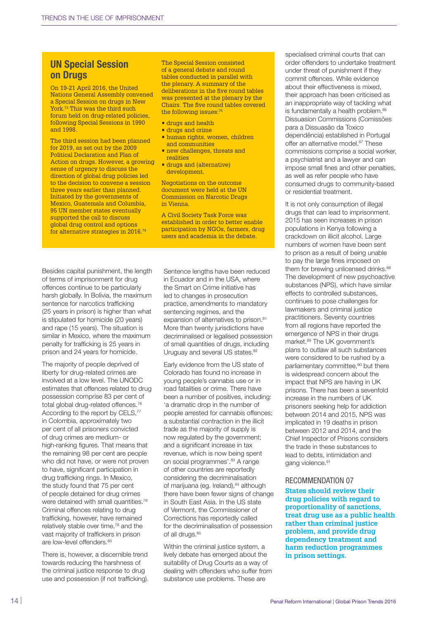## UN Special Session on Drugs

On 19-21 April 2016, the United Nations General Assembly convened a Special Session on drugs in New York.73 This was the third such forum held on drug-related policies, following Special Sessions in 1990 and 1998.

The third session had been planned for 2019, as set out by the 2009 Political Declaration and Plan of Action on drugs. However, a growing sense of urgency to discuss the direction of global drug policies led to the decision to convene a session three years earlier than planned. Initiated by the governments of Mexico, Guatemala and Columbia, 95 UN member states eventually supported the call to discuss global drug control and options for alternative strategies in 2016.<sup>74</sup>

The Special Session consisted of a general debate and round tables conducted in parallel with the plenary. A summary of the deliberations in the five round tables was presented at the plenary by the Chairs. The five round tables covered the following issues:7

- **•** drugs and health
- drugs and crime
- human rights, women, children and communities
- **new challenges, threats and** realities
- drugs and (alternative) development.

Negotiations on the outcome document were held at the UN Commission on Narcotic Drugs in Vienna.

A Civil Society Task Force was established in order to better enable participation by NGOs, farmers, drug users and academia in the debate.

Besides capital punishment, the length of terms of imprisonment for drug offences continue to be particularly harsh globally. In Bolivia, the maximum sentence for narcotics trafficking (25 years in prison) is higher than what is stipulated for homicide (20 years) and rape (15 years). The situation is similar in Mexico, where the maximum penalty for trafficking is 25 years in prison and 24 years for homicide.

The majority of people deprived of liberty for drug-related crimes are involved at a low level. The UNODC estimates that offences related to drug possession comprise 83 per cent of total global drug-related offences.<sup>76</sup> According to the report by CELS,<sup>77</sup> in Colombia, approximately two per cent of all prisoners convicted of drug crimes are medium- or high-ranking figures. That means that the remaining 98 per cent are people who did not have, or were not proven to have, significant participation in drug trafficking rings. In Mexico, the study found that 75 per cent of people detained for drug crimes were detained with small quantities.<sup>78</sup> Criminal offences relating to drug trafficking, however, have remained relatively stable over time,79 and the vast majority of traffickers in prison are low-level offenders.<sup>80</sup>

There is, however, a discernible trend towards reducing the harshness of the criminal justice response to drug use and possession (if not trafficking). Sentence lengths have been reduced in Ecuador and in the USA, where the Smart on Crime initiative has led to changes in prosecution practice, amendments to mandatory sentencing regimes, and the expansion of alternatives to prison.<sup>81</sup> More than twenty jurisdictions have decriminalised or legalised possession of small quantities of drugs, including Uruguay and several US states.<sup>82</sup>

Early evidence from the US state of Colorado has found no increase in young people's cannabis use or in road fatalities or crime. There have been a number of positives, including: 'a dramatic drop in the number of people arrested for cannabis offences; a substantial contraction in the illicit trade as the majority of supply is now regulated by the government; and a significant increase in tax revenue, which is now being spent on social programmes'.<sup>83</sup> A range of other countries are reportedly considering the decriminalisation of marijuana (eg. Ireland), 84 although there have been fewer signs of change in South East Asia. In the US state of Vermont, the Commissioner of Corrections has reportedly called for the decriminalisation of possession of all drugs.<sup>85</sup>

Within the criminal justice system, a lively debate has emerged about the suitability of Drug Courts as a way of dealing with offenders who suffer from substance use problems. These are

specialised criminal courts that can order offenders to undertake treatment under threat of punishment if they commit offences. While evidence about their effectiveness is mixed, their approach has been criticised as an inappropriate way of tackling what is fundamentally a health problem.<sup>86</sup> Dissuasion Commissions (Comissões para a Dissuasão da Toxico dependência) established in Portugal offer an alternative model.<sup>87</sup> These commissions comprise a social worker, a psychiatrist and a lawyer and can impose small fines and other penalties, as well as refer people who have consumed drugs to community-based or residential treatment.

It is not only consumption of illegal drugs that can lead to imprisonment. 2015 has seen increases in prison populations in Kenya following a crackdown on illicit alcohol. Large numbers of women have been sent to prison as a result of being unable to pay the large fines imposed on them for brewing unlicensed drinks.<sup>88</sup> The development of new psychoactive substances (NPS), which have similar effects to controlled substances, continues to pose challenges for lawmakers and criminal justice practitioners. Seventy countries from all regions have reported the emergence of NPS in their drugs market.89 The UK government's plans to outlaw all such substances were considered to be rushed by a parliamentary committee,<sup>90</sup> but there is widespread concern about the impact that NPS are having in UK prisons. There has been a sevenfold increase in the numbers of UK prisoners seeking help for addiction between 2014 and 2015, NPS was implicated in 19 deaths in prison between 2012 and 2014, and the Chief Inspector of Prisons considers the trade in these substances to lead to debts, intimidation and gang violence.<sup>91</sup>

#### RECOMMENDATION 07

**States should review their drug policies with regard to proportionality of sanctions, treat drug use as a public health rather than criminal justice problem, and provide drug dependency treatment and harm reduction programmes in prison settings.**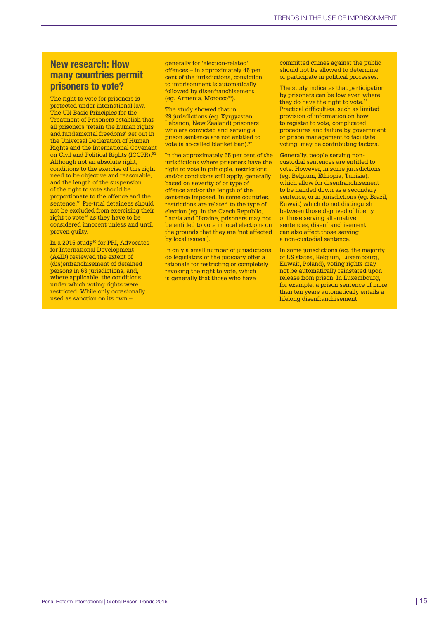persons in 63 jurisdictions, and, where applicable, the conditions under which voting rights were restricted. While only occasionally used as sanction on its own –

New research: How

prisoners to vote?

proven guilty.

protected under international law. The UN Basic Principles for the Treatment of Prisoners establish that all prisoners 'retain the human rights and fundamental freedoms' set out in the Universal Declaration of Human Rights and the International Covenant on Civil and Political Rights (ICCPR).<sup>92</sup> Although not an absolute right. conditions to the exercise of this right need to be objective and reasonable, and the length of the suspension of the right to vote should be proportionate to the offence and the sentence.<sup>93</sup> Pre-trial detainees should not be excluded from exercising their right to vote<sup>94</sup> as they have to be considered innocent unless and until

In a 2015 study<sup>95</sup> for PRI, Advocates for International Development (A4ID) reviewed the extent of (dis)enfranchisement of detained

many countries permit The right to vote for prisoners is generally for 'election-related' offences – in approximately 45 per cent of the jurisdictions, conviction to imprisonment is automatically followed by disenfranchisement (eg. Armenia, Morocco96).

> The study showed that in 29 jurisdictions (eg. Kyrgyzstan, Lebanon, New Zealand) prisoners who are convicted and serving a prison sentence are not entitled to vote (a so-called blanket ban).<sup>9</sup>

In the approximately 55 per cent of the jurisdictions where prisoners have the right to vote in principle, restrictions and/or conditions still apply, generally based on severity of or type of offence and/or the length of the sentence imposed. In some countries, restrictions are related to the type of election (eg. in the Czech Republic, Latvia and Ukraine, prisoners may not be entitled to vote in local elections on the grounds that they are 'not affected by local issues').

In only a small number of jurisdictions do legislators or the judiciary offer a rationale for restricting or completely revoking the right to vote, which is generally that those who have

committed crimes against the public should not be allowed to determine or participate in political processes.

The study indicates that participation by prisoners can be low even where they do have the right to vote.<sup>98</sup> Practical difficulties, such as limited provision of information on how to register to vote, complicated procedures and failure by government or prison management to facilitate voting, may be contributing factors.

Generally, people serving noncustodial sentences are entitled to vote. However, in some jurisdictions (eg. Belgium, Ethiopia, Tunisia), which allow for disenfranchisement to be handed down as a secondary sentence, or in jurisdictions (eg. Brazil, Kuwait) which do not distinguish between those deprived of liberty or those serving alternative sentences, disenfranchisement can also affect those serving a non-custodial sentence.

In some jurisdictions (eg. the majority of US states, Belgium, Luxembourg, Kuwait, Poland), voting rights may not be automatically reinstated upon release from prison. In Luxembourg, for example, a prison sentence of more than ten years automatically entails a lifelong disenfranchisement.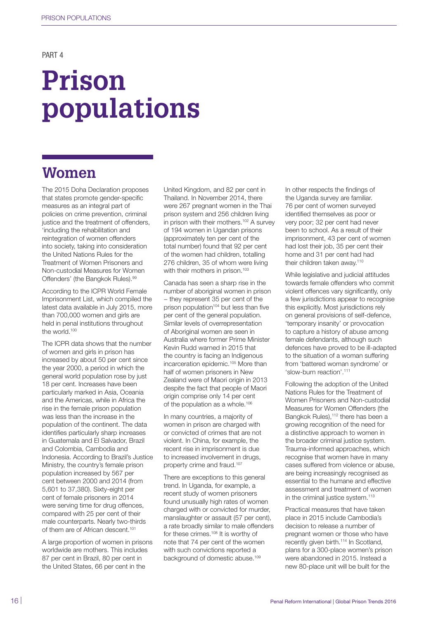### PART 4

# **Prison populations**

## **Women**

The 2015 Doha Declaration proposes that states promote gender-specific measures as an integral part of policies on crime prevention, criminal justice and the treatment of offenders. 'including the rehabilitation and reintegration of women offenders into society, taking into consideration the United Nations Rules for the Treatment of Women Prisoners and Non-custodial Measures for Women Offenders' (the Bangkok Rules).99

According to the ICPR World Female Imprisonment List, which compiled the latest data available in July 2015, more than 700,000 women and girls are held in penal institutions throughout the world.<sup>100</sup>

The ICPR data shows that the number of women and girls in prison has increased by about 50 per cent since the year 2000, a period in which the general world population rose by just 18 per cent. Increases have been particularly marked in Asia, Oceania and the Americas, while in Africa the rise in the female prison population was less than the increase in the population of the continent. The data identifies particularly sharp increases in Guatemala and El Salvador, Brazil and Colombia, Cambodia and Indonesia. According to Brazil's Justice Ministry, the country's female prison population increased by 567 per cent between 2000 and 2014 (from 5,601 to 37,380). Sixty-eight per cent of female prisoners in 2014 were serving time for drug offences, compared with 25 per cent of their male counterparts. Nearly two-thirds of them are of African descent.<sup>101</sup>

A large proportion of women in prisons worldwide are mothers. This includes 87 per cent in Brazil, 80 per cent in the United States, 66 per cent in the

United Kingdom, and 82 per cent in Thailand. In November 2014, there were 267 pregnant women in the Thai prison system and 256 children living in prison with their mothers.<sup>102</sup> A survey of 194 women in Ugandan prisons (approximately ten per cent of the total number) found that 92 per cent of the women had children, totalling 276 children, 35 of whom were living with their mothers in prison.<sup>103</sup>

Canada has seen a sharp rise in the number of aboriginal women in prison − they represent 35 per cent of the prison population $104$  but less than five per cent of the general population. Similar levels of overrepresentation of Aboriginal women are seen in Australia where former Prime Minister Kevin Rudd warned in 2015 that the country is facing an Indigenous incarceration epidemic.105 More than half of women prisoners in New Zealand were of Maori origin in 2013 despite the fact that people of Maori origin comprise only 14 per cent of the population as a whole.106

In many countries, a majority of women in prison are charged with or convicted of crimes that are not violent. In China, for example, the recent rise in imprisonment is due to increased involvement in drugs, property crime and fraud.<sup>107</sup>

There are exceptions to this general trend. In Uganda, for example, a recent study of women prisoners found unusually high rates of women charged with or convicted for murder, manslaughter or assault (57 per cent), a rate broadly similar to male offenders for these crimes.108 It is worthy of note that 74 per cent of the women with such convictions reported a background of domestic abuse.<sup>109</sup>

In other respects the findings of the Uganda survey are familiar. 76 per cent of women surveyed identified themselves as poor or very poor; 32 per cent had never been to school. As a result of their imprisonment, 43 per cent of women had lost their job, 35 per cent their home and 31 per cent had had their children taken away.<sup>110</sup>

While legislative and judicial attitudes towards female offenders who commit violent offences vary significantly, only a few jurisdictions appear to recognise this explicitly. Most jurisdictions rely on general provisions of self-defence, 'temporary insanity' or provocation to capture a history of abuse among female defendants, although such defences have proved to be ill-adapted to the situation of a woman suffering from 'battered woman syndrome' or 'slow-burn reaction'.111

Following the adoption of the United Nations Rules for the Treatment of Women Prisoners and Non-custodial Measures for Women Offenders (the Bangkok Rules),<sup>112</sup> there has been a growing recognition of the need for a distinctive approach to women in the broader criminal justice system. Trauma-informed approaches, which recognise that women have in many cases suffered from violence or abuse, are being increasingly recognised as essential to the humane and effective assessment and treatment of women in the criminal justice system.<sup>113</sup>

Practical measures that have taken place in 2015 include Cambodia's decision to release a number of pregnant women or those who have recently given birth.<sup>114</sup> In Scotland, plans for a 300-place women's prison were abandoned in 2015. Instead a new 80-place unit will be built for the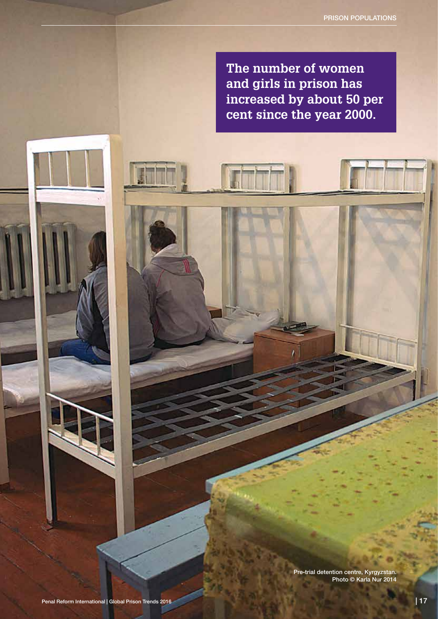**The number of women and girls in prison has increased by about 50 per cent since the year 2000.**

> Pre-trial detention centre, Kyrgyzstan. Photo © Karla Nur 2014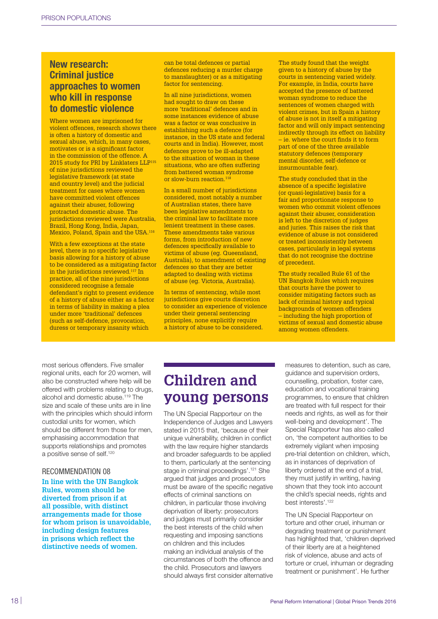## New research: Criminal justice approaches to women who kill in response to domestic violence

Where women are imprisoned for violent offences, research shows there is often a history of domestic and sexual abuse, which, in many cases, motivates or is a significant factor in the commission of the offence. A 2015 study for PRI by Linklaters LLP<sup>115</sup> of nine jurisdictions reviewed the legislative framework (at state and country level) and the judicial treatment for cases where women have committed violent offences against their abuser, following protracted domestic abuse. The jurisdictions reviewed were Australia, Brazil, Hong Kong, India, Japan, Mexico, Poland, Spain and the USA.116

With a few exceptions at the state level, there is no specific legislative basis allowing for a history of abuse to be considered as a mitigating factor in the jurisdictions reviewed.<sup>117</sup> In practice, all of the nine jurisdictions considered recognise a female defendant's right to present evidence of a history of abuse either as a factor in terms of liability in making a plea under more 'traditional' defences (such as self-defence, provocation, duress or temporary insanity which

can be total defences or partial defences reducing a murder charge to manslaughter) or as a mitigating factor for sentencing.

In all nine jurisdictions, women had sought to draw on these more 'traditional' defences and in some instances evidence of abuse was a factor or was conclusive in establishing such a defence (for instance, in the US state and federal courts and in India). However, most defences prove to be ill-adapted to the situation of woman in these situations, who are often suffering from battered woman syndrome or slow-burn reaction.<sup>118</sup>

In a small number of jurisdictions considered, most notably a number of Australian states, there have been legislative amendments to the criminal law to facilitate more lenient treatment in these cases. These amendments take various forms, from introduction of new defences specifically available to victims of abuse (eg. Queensland, Australia), to amendment of existing defences so that they are better adapted to dealing with victims of abuse (eg. Victoria, Australia).

In terms of sentencing, while most jurisdictions give courts discretion to consider an experience of violence under their general sentencing principles, none explicitly require a history of abuse to be considered.

The study found that the weight given to a history of abuse by the courts in sentencing varied widely. For example, in India, courts have accepted the presence of battered woman syndrome to reduce the sentences of women charged with violent crimes, but in Spain a history of abuse is not in itself a mitigating factor and will only impact sentencing indirectly through its effect on liability – ie. where the court finds it to form part of one of the three available statutory defences (temporary mental disorder, self-defence or insurmountable fear).

The study concluded that in the absence of a specific legislative (or quasi-legislative) basis for a fair and proportionate response to women who commit violent offences against their abuser, consideration is left to the discretion of judges and juries. This raises the risk that evidence of abuse is not considered or treated inconsistently between cases, particularly in legal systems that do not recognise the doctrine of precedent.

The study recalled Rule 61 of the UN Bangkok Rules which requires that courts have the power to consider mitigating factors such as lack of criminal history and typical backgrounds of women offenders – including the high proportion of victims of sexual and domestic abuse among women offenders.

most serious offenders. Five smaller regional units, each for 20 women, will also be constructed where help will be offered with problems relating to drugs, alcohol and domestic abuse.<sup>119</sup> The size and scale of these units are in line with the principles which should inform custodial units for women, which should be different from those for men, emphasising accommodation that supports relationships and promotes a positive sense of self.<sup>120</sup>

## RECOMMENDATION 08

**In line with the UN Bangkok Rules, women should be diverted from prison if at all possible, with distinct arrangements made for those for whom prison is unavoidable, including design features in prisons which reflect the distinctive needs of women.**

## **Children and young persons**

The UN Special Rapporteur on the Independence of Judges and Lawyers stated in 2015 that, 'because of their unique vulnerability, children in conflict with the law require higher standards and broader safeguards to be applied to them, particularly at the sentencing stage in criminal proceedings'.121 She argued that judges and prosecutors must be aware of the specific negative effects of criminal sanctions on children, in particular those involving deprivation of liberty: prosecutors and judges must primarily consider the best interests of the child when requesting and imposing sanctions on children and this includes making an individual analysis of the circumstances of both the offence and the child. Prosecutors and lawyers should always first consider alternative

measures to detention, such as care, guidance and supervision orders, counselling, probation, foster care, education and vocational training programmes, to ensure that children are treated with full respect for their needs and rights, as well as for their well-being and development'. The Special Rapporteur has also called on, 'the competent authorities to be extremely vigilant when imposing pre-trial detention on children, which, as in instances of deprivation of liberty ordered at the end of a trial, they must justify in writing, having shown that they took into account the child's special needs, rights and best interests'.<sup>122</sup>

The UN Special Rapporteur on torture and other cruel, inhuman or degrading treatment or punishment has highlighted that, 'children deprived of their liberty are at a heightened risk of violence, abuse and acts of torture or cruel, inhuman or degrading treatment or punishment'. He further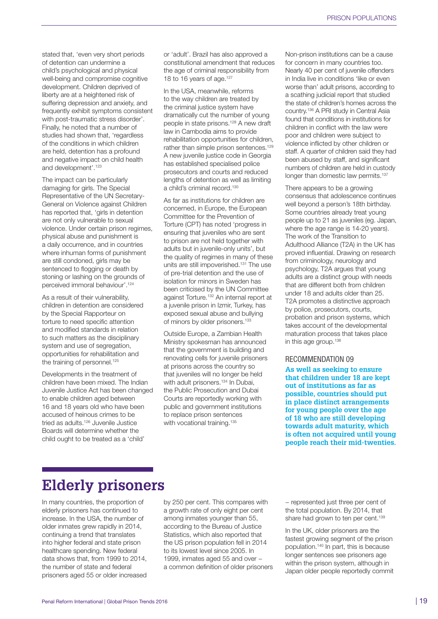stated that, 'even very short periods of detention can undermine a child's psychological and physical well-being and compromise cognitive development. Children deprived of liberty are at a heightened risk of suffering depression and anxiety, and frequently exhibit symptoms consistent with post-traumatic stress disorder'. Finally, he noted that a number of studies had shown that, 'regardless of the conditions in which children are held, detention has a profound and negative impact on child health and development'.123

The impact can be particularly damaging for girls. The Special Representative of the UN Secretary-General on Violence against Children has reported that, 'girls in detention are not only vulnerable to sexual violence. Under certain prison regimes, physical abuse and punishment is a daily occurrence, and in countries where inhuman forms of punishment are still condoned, girls may be sentenced to flogging or death by stoning or lashing on the grounds of perceived immoral behaviour'.124

As a result of their vulnerability, children in detention are considered by the Special Rapporteur on torture to need specific attention and modified standards in relation to such matters as the disciplinary system and use of segregation, opportunities for rehabilitation and the training of personnel.<sup>125</sup>

Developments in the treatment of children have been mixed. The Indian Juvenile Justice Act has been changed to enable children aged between 16 and 18 years old who have been accused of heinous crimes to be tried as adults.126 Juvenile Justice Boards will determine whether the child ought to be treated as a 'child'

or 'adult'. Brazil has also approved a constitutional amendment that reduces the age of criminal responsibility from 18 to 16 years of age.<sup>127</sup>

In the USA, meanwhile, reforms to the way children are treated by the criminal justice system have dramatically cut the number of young people in state prisons.128 A new draft law in Cambodia aims to provide rehabilitation opportunities for children, rather than simple prison sentences.<sup>129</sup> A new juvenile justice code in Georgia has established specialised police prosecutors and courts and reduced lengths of detention as well as limiting a child's criminal record.<sup>130</sup>

As far as institutions for children are concerned, in Europe, the European Committee for the Prevention of Torture (CPT) has noted 'progress in ensuring that juveniles who are sent to prison are not held together with adults but in juvenile-only units', but the quality of regimes in many of these units are still impoverished.131 The use of pre-trial detention and the use of isolation for minors in Sweden has been criticised by the UN Committee against Torture.132 An internal report at a juvenile prison in Izmir, Turkey, has exposed sexual abuse and bullying of minors by older prisoners.<sup>133</sup>

Outside Europe, a Zambian Health Ministry spokesman has announced that the government is building and renovating cells for juvenile prisoners at prisons across the country so that juveniles will no longer be held with adult prisoners.<sup>134</sup> In Dubai, the Public Prosecution and Dubai Courts are reportedly working with public and government institutions to replace prison sentences with vocational training.<sup>135</sup>

Non-prison institutions can be a cause for concern in many countries too. Nearly 40 per cent of juvenile offenders in India live in conditions 'like or even worse than' adult prisons, according to a scathing judicial report that studied the state of children's homes across the country.136 A PRI study in Central Asia found that conditions in institutions for children in conflict with the law were poor and children were subject to violence inflicted by other children or staff. A quarter of children said they had been abused by staff, and significant numbers of children are held in custody longer than domestic law permits.<sup>137</sup>

There appears to be a growing consensus that adolescence continues well beyond a person's 18th birthday. Some countries already treat young people up to 21 as juveniles (eg. Japan, where the age range is 14-20 years). The work of the Transition to Adulthood Alliance (T2A) in the UK has proved influential. Drawing on research from criminology, neurology and psychology, T2A argues that young adults are a distinct group with needs that are different both from children under 18 and adults older than 25. T2A promotes a distinctive approach by police, prosecutors, courts, probation and prison systems, which takes account of the developmental maturation process that takes place in this age group.<sup>138</sup>

#### RECOMMENDATION 09

**As well as seeking to ensure that children under 18 are kept out of institutions as far as possible, countries should put in place distinct arrangements for young people over the age of 18 who are still developing towards adult maturity, which is often not acquired until young people reach their mid-twenties.**

## **Elderly prisoners**

In many countries, the proportion of elderly prisoners has continued to increase. In the USA, the number of older inmates grew rapidly in 2014, continuing a trend that translates into higher federal and state prison healthcare spending. New federal data shows that, from 1999 to 2014, the number of state and federal prisoners aged 55 or older increased by 250 per cent. This compares with a growth rate of only eight per cent among inmates younger than 55, according to the Bureau of Justice Statistics, which also reported that the US prison population fell in 2014 to its lowest level since 2005. In 1999, inmates aged 55 and over − a common definition of older prisoners

− represented just three per cent of the total population. By 2014, that share had grown to ten per cent.<sup>139</sup>

In the UK, older prisoners are the fastest growing segment of the prison population.140 In part, this is because longer sentences see prisoners age within the prison system, although in Japan older people reportedly commit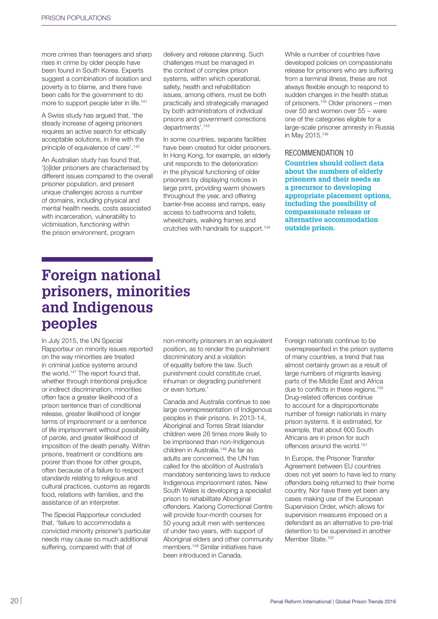more crimes than teenagers and sharp rises in crime by older people have been found in South Korea. Experts suggest a combination of isolation and poverty is to blame, and there have been calls for the government to do more to support people later in life.141

A Swiss study has argued that, 'the steady increase of ageing prisoners requires an active search for ethically acceptable solutions, in line with the principle of equivalence of care'.<sup>142</sup>

An Australian study has found that, '[o]lder prisoners are characterised by different issues compared to the overall prisoner population, and present unique challenges across a number of domains, including physical and mental health needs, costs associated with incarceration, vulnerability to victimisation, functioning within the prison environment, program

delivery and release planning. Such challenges must be managed in the context of complex prison systems, within which operational, safety, health and rehabilitation issues, among others, must be both practically and strategically managed by both administrators of individual prisons and government corrections departments'.143

In some countries, separate facilities have been created for older prisoners. In Hong Kong, for example, an elderly unit responds to the deterioration in the physical functioning of older prisoners by displaying notices in large print, providing warm showers throughout the year, and offering barrier-free access and ramps, easy access to bathrooms and toilets, wheelchairs, walking frames and crutches with handrails for support.144 While a number of countries have developed policies on compassionate release for prisoners who are suffering from a terminal illness, these are not always flexible enough to respond to sudden changes in the health status of prisoners.145 Older prisoners – men over 50 and women over 55 − were one of the categories eligible for a large-scale prisoner amnesty in Russia in May 2015.146

#### RECOMMENDATION 10

**Countries should collect data about the numbers of elderly prisoners and their needs as a precursor to developing appropriate placement options, including the possibility of compassionate release or alternative accommodation outside prison.**

## **Foreign national prisoners, minorities and Indigenous peoples**

In July 2015, the UN Special Rapporteur on minority issues reported on the way minorities are treated in criminal justice systems around the world.<sup>147</sup> The report found that, whether through intentional prejudice or indirect discrimination, minorities often face a greater likelihood of a prison sentence than of conditional release, greater likelihood of longer terms of imprisonment or a sentence of life imprisonment without possibility of parole, and greater likelihood of imposition of the death penalty. Within prisons, treatment or conditions are poorer than those for other groups, often because of a failure to respect standards relating to religious and cultural practices, customs as regards food, relations with families, and the assistance of an interpreter.

The Special Rapporteur concluded that, 'failure to accommodate a convicted minority prisoner's particular needs may cause so much additional suffering, compared with that of

non-minority prisoners in an equivalent position, as to render the punishment discriminatory and a violation of equality before the law. Such punishment could constitute cruel, inhuman or degrading punishment or even torture.'

Canada and Australia continue to see large overrepresentation of Indigenous peoples in their prisons. In 2013-14, Aboriginal and Torres Strait Islander children were 26 times more likely to be imprisoned than non-Indigenous children in Australia.148 As far as adults are concerned, the UN has called for the abolition of Australia's mandatory sentencing laws to reduce Indigenous imprisonment rates. New South Wales is developing a specialist prison to rehabilitate Aboriginal offenders. Kariong Correctional Centre will provide four-month courses for 50 young adult men with sentences of under two years, with support of Aboriginal elders and other community members.149 Similar initiatives have been introduced in Canada.

Foreign nationals continue to be overrepresented in the prison systems of many countries, a trend that has almost certainly grown as a result of large numbers of migrants leaving parts of the Middle East and Africa due to conflicts in these regions.<sup>150</sup> Drug-related offences continue to account for a disproportionate number of foreign nationals in many prison systems. It is estimated, for example, that about 600 South Africans are in prison for such offences around the world.<sup>151</sup>

In Europe, the Prisoner Transfer Agreement between EU countries does not yet seem to have led to many offenders being returned to their home country. Nor have there yet been any cases making use of the European Supervision Order, which allows for supervision measures imposed on a defendant as an alternative to pre-trial detention to be supervised in another Member State.<sup>152</sup>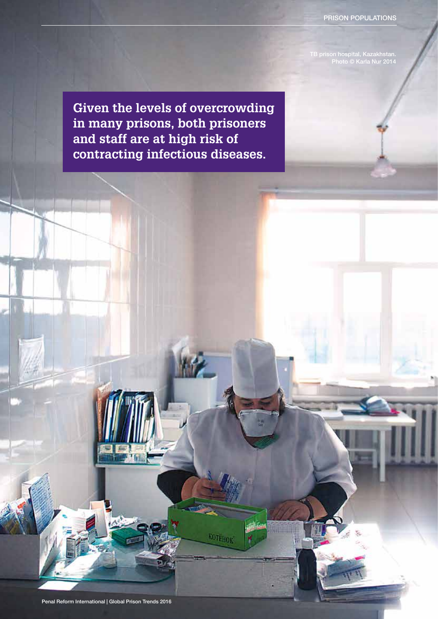PRISON POPULATIONS

TB prison hospital, Kazakhstan. Photo © Karla Nur 2014

**Given the levels of overcrowding in many prisons, both prisoners and staff are at high risk of contracting infectious diseases.**

**MILLER** 

**ROTEHOK**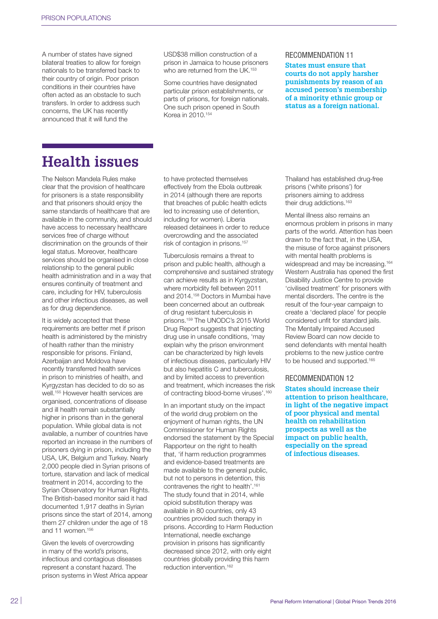A number of states have signed bilateral treaties to allow for foreign nationals to be transferred back to their country of origin. Poor prison conditions in their countries have often acted as an obstacle to such transfers. In order to address such concerns, the UK has recently announced that it will fund the

USD\$38 million construction of a prison in Jamaica to house prisoners who are returned from the UK.<sup>153</sup>

Some countries have designated particular prison establishments, or parts of prisons, for foreign nationals. One such prison opened in South Korea in 2010.154

#### RECOMMENDATION 11

**States must ensure that courts do not apply harsher punishments by reason of an accused person's membership of a minority ethnic group or status as a foreign national.** 

## **Health issues**

The Nelson Mandela Rules make clear that the provision of healthcare for prisoners is a state responsibility and that prisoners should enjoy the same standards of healthcare that are available in the community, and should have access to necessary healthcare services free of charge without discrimination on the grounds of their legal status. Moreover, healthcare services should be organised in close relationship to the general public health administration and in a way that ensures continuity of treatment and care, including for HIV, tuberculosis and other infectious diseases, as well as for drug dependence.

It is widely accepted that these requirements are better met if prison health is administered by the ministry of health rather than the ministry responsible for prisons. Finland, Azerbaijan and Moldova have recently transferred health services in prison to ministries of health, and Kyrgyzstan has decided to do so as well.<sup>155</sup> However health services are organised, concentrations of disease and ill health remain substantially higher in prisons than in the general population. While global data is not available, a number of countries have reported an increase in the numbers of prisoners dying in prison, including the USA, UK, Belgium and Turkey. Nearly 2,000 people died in Syrian prisons of torture, starvation and lack of medical treatment in 2014, according to the Syrian Observatory for Human Rights. The British-based monitor said it had documented 1,917 deaths in Syrian prisons since the start of 2014, among them 27 children under the age of 18 and 11 women.156

Given the levels of overcrowding in many of the world's prisons, infectious and contagious diseases represent a constant hazard. The prison systems in West Africa appear to have protected themselves effectively from the Ebola outbreak in 2014 (although there are reports that breaches of public health edicts led to increasing use of detention, including for women). Liberia released detainees in order to reduce overcrowding and the associated risk of contagion in prisons.157

Tuberculosis remains a threat to prison and public health, although a comprehensive and sustained strategy can achieve results as in Kyrgyzstan, where morbidity fell between 2011 and 2014.158 Doctors in Mumbai have been concerned about an outbreak of drug resistant tuberculosis in prisons.159 The UNODC's 2015 World Drug Report suggests that injecting drug use in unsafe conditions, 'may explain why the prison environment can be characterized by high levels of infectious diseases, particularly HIV but also hepatitis C and tuberculosis, and by limited access to prevention and treatment, which increases the risk of contracting blood-borne viruses'.<sup>160</sup>

In an important study on the impact of the world drug problem on the enjoyment of human rights, the UN Commissioner for Human Rights endorsed the statement by the Special Rapporteur on the right to health that, 'if harm reduction programmes and evidence-based treatments are made available to the general public, but not to persons in detention, this contravenes the right to health'.161 The study found that in 2014, while opioid substitution therapy was available in 80 countries, only 43 countries provided such therapy in prisons. According to Harm Reduction International, needle exchange provision in prisons has significantly decreased since 2012, with only eight countries globally providing this harm reduction intervention.162

Thailand has established drug-free prisons ('white prisons') for prisoners aiming to address their drug addictions.<sup>163</sup>

Mental illness also remains an enormous problem in prisons in many parts of the world. Attention has been drawn to the fact that, in the USA, the misuse of force against prisoners with mental health problems is widespread and may be increasing.<sup>164</sup> Western Australia has opened the first Disability Justice Centre to provide 'civilised treatment' for prisoners with mental disorders. The centre is the result of the four-year campaign to create a 'declared place' for people considered unfit for standard jails. The Mentally Impaired Accused Review Board can now decide to send defendants with mental health problems to the new justice centre to be housed and supported.<sup>165</sup>

#### RECOMMENDATION 12

**States should increase their attention to prison healthcare, in light of the negative impact of poor physical and mental health on rehabilitation prospects as well as the impact on public health, especially on the spread of infectious diseases.**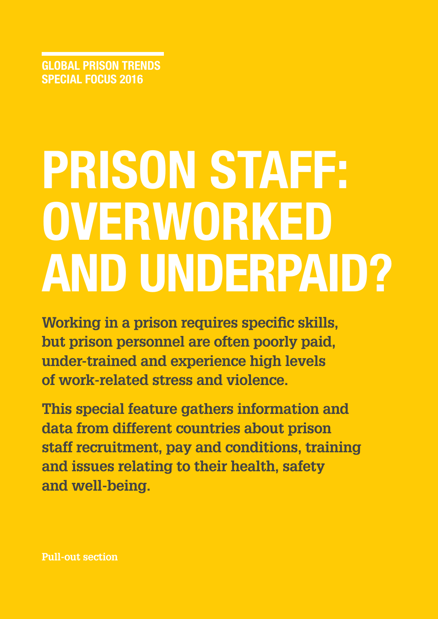GLOBAL PRISON TRENDS SPECIAL FOCUS 2016

# PRISON STAFF: OVERWORKED AND UNDERPAID?

**Working in a prison requires specific skills, but prison personnel are often poorly paid, under-trained and experience high levels of work-related stress and violence.**

**This special feature gathers information and data from different countries about prison staff recruitment, pay and conditions, training and issues relating to their health, safety and well-being.**

**Pull-out section**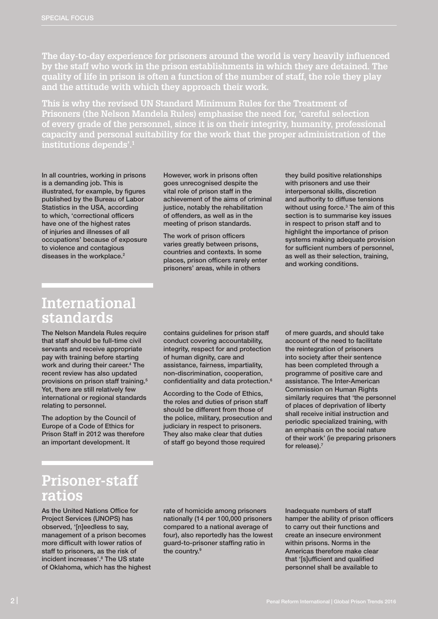**The day-to-day experience for prisoners around the world is very heavily influenced by the staff who work in the prison establishments in which they are detained. The quality of life in prison is often a function of the number of staff, the role they play and the attitude with which they approach their work.** 

**This is why the revised UN Standard Minimum Rules for the Treatment of Prisoners (the Nelson Mandela Rules) emphasise the need for, 'careful selection of every grade of the personnel, since it is on their integrity, humanity, professional capacity and personal suitability for the work that the proper administration of the institutions depends'.1**

In all countries, working in prisons is a demanding job. This is illustrated, for example, by figures published by the Bureau of Labor Statistics in the USA, according to which, 'correctional officers have one of the highest rates of injuries and illnesses of all occupations' because of exposure to violence and contagious diseases in the workplace.<sup>2</sup>

However, work in prisons often goes unrecognised despite the vital role of prison staff in the achievement of the aims of criminal justice, notably the rehabilitation of offenders, as well as in the meeting of prison standards.

The work of prison officers varies greatly between prisons, countries and contexts. In some places, prison officers rarely enter prisoners' areas, while in others

they build positive relationships with prisoners and use their interpersonal skills, discretion and authority to diffuse tensions without using force.<sup>3</sup> The aim of this section is to summarise key issues in respect to prison staff and to highlight the importance of prison systems making adequate provision for sufficient numbers of personnel, as well as their selection, training, and working conditions.

## **International standards**

The Nelson Mandela Rules require that staff should be full-time civil servants and receive appropriate pay with training before starting work and during their career.<sup>4</sup> The recent review has also updated provisions on prison staff training.<sup>5</sup> Yet, there are still relatively few international or regional standards relating to personnel.

The adoption by the Council of Europe of a Code of Ethics for Prison Staff in 2012 was therefore an important development. It

contains guidelines for prison staff conduct covering accountability, integrity, respect for and protection of human dignity, care and assistance, fairness, impartiality, non-discrimination, cooperation, confidentiality and data protection.6

According to the Code of Ethics, the roles and duties of prison staff should be different from those of the police, military, prosecution and judiciary in respect to prisoners. They also make clear that duties of staff go beyond those required

of mere guards, and should take account of the need to facilitate the reintegration of prisoners into society after their sentence has been completed through a programme of positive care and assistance. The Inter-American Commission on Human Rights similarly requires that 'the personnel of places of deprivation of liberty shall receive initial instruction and periodic specialized training, with an emphasis on the social nature of their work' (ie preparing prisoners for release).7

## **Prisoner-staff ratios**

As the United Nations Office for Project Services (UNOPS) has observed, '[n]eedless to say, management of a prison becomes more difficult with lower ratios of staff to prisoners, as the risk of incident increases'.8 The US state of Oklahoma, which has the highest rate of homicide among prisoners nationally (14 per 100,000 prisoners compared to a national average of four), also reportedly has the lowest guard-to-prisoner staffing ratio in the country.<sup>9</sup>

Inadequate numbers of staff hamper the ability of prison officers to carry out their functions and create an insecure environment within prisons. Norms in the Americas therefore make clear that '[s]ufficient and qualified personnel shall be available to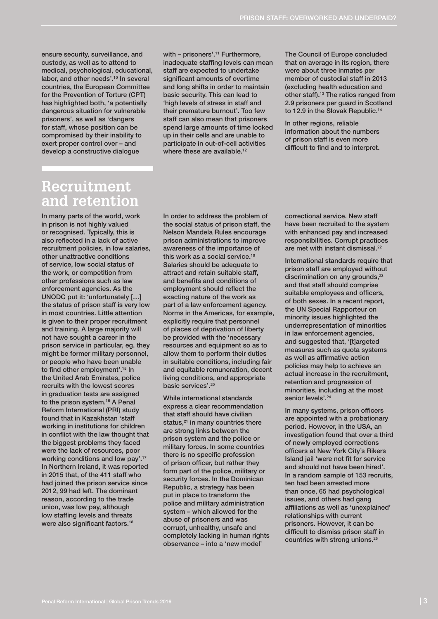ensure security, surveillance, and custody, as well as to attend to medical, psychological, educational, labor, and other needs'.<sup>10</sup> In several countries, the European Committee for the Prevention of Torture (CPT) has highlighted both, 'a potentially dangerous situation for vulnerable prisoners', as well as 'dangers for staff, whose position can be compromised by their inability to exert proper control over – and develop a constructive dialogue

with - prisoners'.<sup>11</sup> Furthermore, inadequate staffing levels can mean staff are expected to undertake significant amounts of overtime and long shifts in order to maintain basic security. This can lead to 'high levels of stress in staff and their premature burnout'. Too few staff can also mean that prisoners spend large amounts of time locked up in their cells and are unable to participate in out-of-cell activities where these are available.<sup>12</sup>

The Council of Europe concluded that on average in its region, there were about three inmates per member of custodial staff in 2013 (excluding health education and other staff).13 The ratios ranged from 2.9 prisoners per guard in Scotland to 12.9 in the Slovak Republic.<sup>14</sup>

In other regions, reliable information about the numbers of prison staff is even more difficult to find and to interpret.

## **Recruitment and retention**

In many parts of the world, work in prison is not highly valued or recognised. Typically, this is also reflected in a lack of active recruitment policies, in low salaries, other unattractive conditions of service, low social status of the work, or competition from other professions such as law enforcement agencies. As the UNODC put it: 'unfortunately […] the status of prison staff is very low in most countries. Little attention is given to their proper recruitment and training. A large majority will not have sought a career in the prison service in particular, eg. they might be former military personnel, or people who have been unable to find other employment'.<sup>15</sup> In the United Arab Emirates, police recruits with the lowest scores in graduation tests are assigned to the prison system.<sup>16</sup> A Penal Reform International (PRI) study found that in Kazakhstan 'staff working in institutions for children in conflict with the law thought that the biggest problems they faced were the lack of resources, poor working conditions and low pay'.17 In Northern Ireland, it was reported in 2015 that, of the 411 staff who had joined the prison service since 2012, 99 had left. The dominant reason, according to the trade union, was low pay, although low staffing levels and threats were also significant factors.<sup>18</sup>

In order to address the problem of the social status of prison staff, the Nelson Mandela Rules encourage prison administrations to improve awareness of the importance of this work as a social service.19 Salaries should be adequate to attract and retain suitable staff, and benefits and conditions of employment should reflect the exacting nature of the work as part of a law enforcement agency. Norms in the Americas, for example, explicitly require that personnel of places of deprivation of liberty be provided with the 'necessary resources and equipment so as to allow them to perform their duties in suitable conditions, including fair and equitable remuneration, decent living conditions, and appropriate basic services'.<sup>20</sup>

While international standards express a clear recommendation that staff should have civilian status, $21$  in many countries there are strong links between the prison system and the police or military forces. In some countries there is no specific profession of prison officer, but rather they form part of the police, military or security forces. In the Dominican Republic, a strategy has been put in place to transform the police and military administration system – which allowed for the abuse of prisoners and was corrupt, unhealthy, unsafe and completely lacking in human rights observance – into a 'new model'

correctional service. New staff have been recruited to the system with enhanced pay and increased responsibilities. Corrupt practices are met with instant dismissal.<sup>22</sup>

International standards require that prison staff are employed without discrimination on any grounds,<sup>23</sup> and that staff should comprise suitable employees and officers, of both sexes. In a recent report, the UN Special Rapporteur on minority issues highlighted the underrepresentation of minorities in law enforcement agencies, and suggested that, '[t]argeted measures such as quota systems as well as affirmative action policies may help to achieve an actual increase in the recruitment, retention and progression of minorities, including at the most senior levels'.<sup>24</sup>

In many systems, prison officers are appointed with a probationary period. However, in the USA, an investigation found that over a third of newly employed corrections officers at New York City's Rikers Island jail 'were not fit for service and should not have been hired'. In a random sample of 153 recruits, ten had been arrested more than once, 65 had psychological issues, and others had gang affiliations as well as 'unexplained' relationships with current prisoners. However, it can be difficult to dismiss prison staff in countries with strong unions.<sup>25</sup>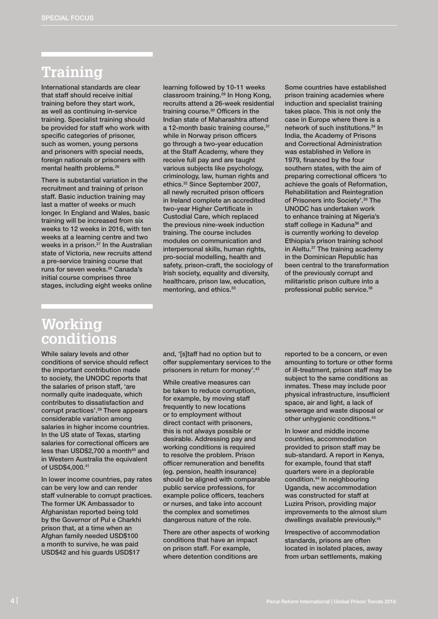## **Training**

International standards are clear that staff should receive initial training before they start work, as well as continuing in-service training. Specialist training should be provided for staff who work with specific categories of prisoner, such as women, young persons and prisoners with special needs, foreign nationals or prisoners with mental health problems.26

There is substantial variation in the recruitment and training of prison staff. Basic induction training may last a matter of weeks or much longer. In England and Wales, basic training will be increased from six weeks to 12 weeks in 2016, with ten weeks at a learning centre and two weeks in a prison.<sup>27</sup> In the Australian state of Victoria, new recruits attend a pre-service training course that runs for seven weeks.<sup>28</sup> Canada's initial course comprises three stages, including eight weeks online learning followed by 10-11 weeks classroom training.29 In Hong Kong, recruits attend a 26-week residential training course.<sup>30</sup> Officers in the Indian state of Maharashtra attend a 12-month basic training course, 31 while in Norway prison officers go through a two-year education at the Staff Academy, where they receive full pay and are taught various subjects like psychology, criminology, law, human rights and ethics.32 Since September 2007, all newly recruited prison officers in Ireland complete an accredited two-year Higher Certificate in Custodial Care, which replaced the previous nine-week induction training. The course includes modules on communication and interpersonal skills, human rights, pro-social modelling, health and safety, prison-craft, the sociology of Irish society, equality and diversity, healthcare, prison law, education, mentoring, and ethics.<sup>33</sup>

Some countries have established prison training academies where induction and specialist training takes place. This is not only the case in Europe where there is a network of such institutions.<sup>34</sup> In India, the Academy of Prisons and Correctional Administration was established in Vellore in 1979, financed by the four southern states, with the aim of preparing correctional officers 'to achieve the goals of Reformation, Rehabilitation and Reintegration of Prisoners into Society'.35 The UNODC has undertaken work to enhance training at Nigeria's staff college in Kaduna<sup>36</sup> and is currently working to develop Ethiopia's prison training school in Aleltu.37 The training academy in the Dominican Republic has been central to the transformation of the previously corrupt and militaristic prison culture into a professional public service.<sup>38</sup>

## **Working conditions**

While salary levels and other conditions of service should reflect the important contribution made to society, the UNODC reports that the salaries of prison staff, 'are normally quite inadequate, which contributes to dissatisfaction and corrupt practices'.39 There appears considerable variation among salaries in higher income countries. In the US state of Texas, starting salaries for correctional officers are less than  $USD$2,700$  a month<sup>40</sup> and in Western Australia the equivalent of USD\$4,000.41

In lower income countries, pay rates can be very low and can render staff vulnerable to corrupt practices. The former UK Ambassador to Afghanistan reported being told by the Governor of Pul e Charkhi prison that, at a time when an Afghan family needed USD\$100 a month to survive, he was paid USD\$42 and his guards USD\$17

and, '[s]taff had no option but to offer supplementary services to the prisoners in return for money'.<sup>42</sup>

While creative measures can be taken to reduce corruption, for example, by moving staff frequently to new locations or to employment without direct contact with prisoners, this is not always possible or desirable. Addressing pay and working conditions is required to resolve the problem. Prison officer remuneration and benefits (eg. pension, health insurance) should be aligned with comparable public service professions, for example police officers, teachers or nurses, and take into account the complex and sometimes dangerous nature of the role.

There are other aspects of working conditions that have an impact on prison staff. For example, where detention conditions are

reported to be a concern, or even amounting to torture or other forms of ill-treatment, prison staff may be subject to the same conditions as inmates. These may include poor physical infrastructure, insufficient space, air and light, a lack of sewerage and waste disposal or other unhygienic conditions.43

In lower and middle income countries, accommodation provided to prison staff may be sub-standard. A report in Kenya, for example, found that staff quarters were in a deplorable condition.44 In neighbouring Uganda, new accommodation was constructed for staff at Luzira Prison, providing major improvements to the almost slum dwellings available previously.45

Irrespective of accommodation standards, prisons are often located in isolated places, away from urban settlements, making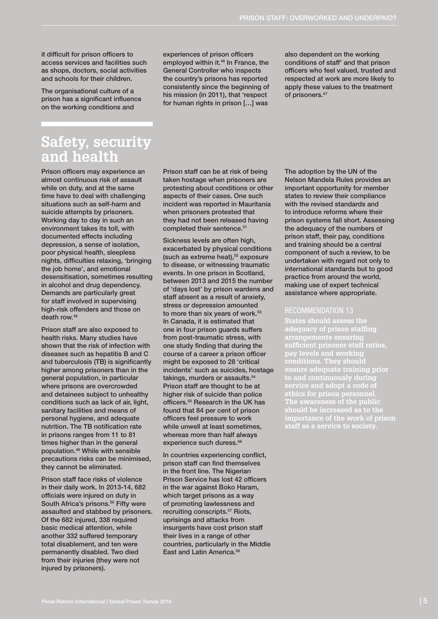it difficult for prison officers to access services and facilities such as shops, doctors, social activities and schools for their children.

The organisational culture of a prison has a significant influence on the working conditions and

experiences of prison officers employed within it.<sup>46</sup> In France, the General Controller who inspects the country's prisons has reported consistently since the beginning of his mission (in 2011), that 'respect for human rights in prison […] was

also dependent on the working conditions of staff' and that prison officers who feel valued, trusted and respected at work are more likely to apply these values to the treatment of prisoners.<sup>47</sup>

## **Safety, security and health**

Prison officers may experience an almost continuous risk of assault while on duty, and at the same time have to deal with challenging situations such as self-harm and suicide attempts by prisoners. Working day to day in such an environment takes its toll, with documented effects including depression, a sense of isolation, poor physical health, sleepless nights, difficulties relaxing, 'bringing the job home', and emotional desensitisation, sometimes resulting in alcohol and drug dependency. Demands are particularly great for staff involved in supervising high-risk offenders and those on death row.48

Prison staff are also exposed to health risks. Many studies have shown that the risk of infection with diseases such as hepatitis B and C and tuberculosis (TB) is significantly higher among prisoners than in the general population, in particular where prisons are overcrowded and detainees subject to unhealthy conditions such as lack of air, light, sanitary facilities and means of personal hygiene, and adequate nutrition. The TB notification rate in prisons ranges from 11 to 81 times higher than in the general population.49 While with sensible precautions risks can be minimised, they cannot be eliminated.

Prison staff face risks of violence in their daily work. In 2013-14, 682 officials were injured on duty in South Africa's prisons.<sup>50</sup> Fifty were assaulted and stabbed by prisoners. Of the 682 injured, 338 required basic medical attention, while another 332 suffered temporary total disablement, and ten were permanently disabled. Two died from their injuries (they were not injured by prisoners).

Prison staff can be at risk of being taken hostage when prisoners are protesting about conditions or other aspects of their cases. One such incident was reported in Mauritania when prisoners protested that they had not been released having completed their sentence.<sup>51</sup>

Sickness levels are often high, exacerbated by physical conditions (such as extreme heat), $52$  exposure to disease, or witnessing traumatic events. In one prison in Scotland, between 2013 and 2015 the number of 'days lost' by prison wardens and staff absent as a result of anxiety, stress or depression amounted to more than six years of work.<sup>53</sup> In Canada, it is estimated that one in four prison guards suffers from post-traumatic stress, with one study finding that during the course of a career a prison officer might be exposed to 28 'critical incidents' such as suicides, hostage takings, murders or assaults.<sup>54</sup> Prison staff are thought to be at higher risk of suicide than police officers.55 Research in the UK has found that 84 per cent of prison officers feel pressure to work while unwell at least sometimes, whereas more than half always experience such duress.<sup>56</sup>

In countries experiencing conflict, prison staff can find themselves in the front line. The Nigerian Prison Service has lost 42 officers in the war against Boko Haram, which target prisons as a way of promoting lawlessness and recruiting conscripts.<sup>57</sup> Riots, uprisings and attacks from insurgents have cost prison staff their lives in a range of other countries, particularly in the Middle East and Latin America.<sup>58</sup>

The adoption by the UN of the Nelson Mandela Rules provides an important opportunity for member states to review their compliance with the revised standards and to introduce reforms where their prison systems fall short. Assessing the adequacy of the numbers of prison staff, their pay, conditions and training should be a central component of such a review, to be undertaken with regard not only to international standards but to good practice from around the world, making use of expert technical assistance where appropriate.

#### RECOMMENDATION 13

**States should assess the adequacy of prison staffing arrangements ensuring sufficient prisoner-staff ratios, pay levels and working conditions. They should ensure adequate training prior to and continuously during service and adopt a code of ethics for prison personnel. The awareness of the public importance of the work of prison**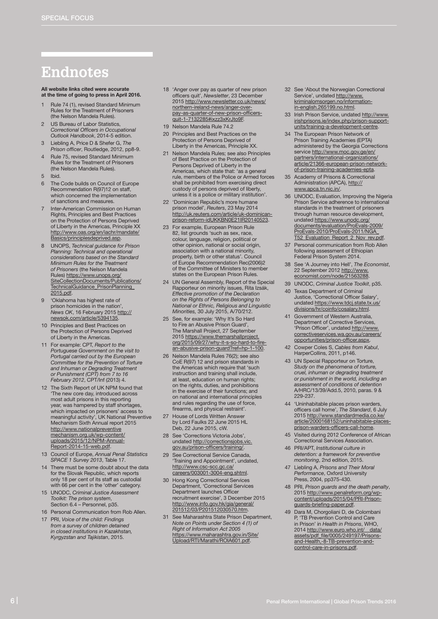## **Endnotes**

All website links cited were accurate at the time of going to press in April 2016.

- Rule 74 (1), revised Standard Minimum Rules for the Treatment of Prisoners (the Nelson Mandela Rules).
- US Bureau of Labor Statistics, *Correctional Officers in Occupational Outlook Handbook*, 2014-5 edition.
- 3 Liebling A, Price D & Shefer G, *The Prison officer*, Routledge, 2012, pp8-9.
- 4 Rule 75, revised Standard Minimum Rules for the Treatment of Prisoners (the Nelson Mandela Rules).
- 5 Ibid.
- 6 The Code builds on Council of Europe Recommendation R(97)12 on staff, which concerned the implementation of sanctions and measures.
- Inter-American Commission on Human Rights, Principles and Best Practices on the Protection of Persons Deprived of Liberty in the Americas, Principle XX [http://www.oas.org/en/iachr/mandate/](http://www.oas.org/en/iachr/mandate/Basics/principlesdeprived.asp) [Basics/principlesdeprived.asp.](http://www.oas.org/en/iachr/mandate/Basics/principlesdeprived.asp)
- 8 UNOPS, *Technical guidance for Prison Planning: Technical and operational considerations based on the Standard Minimum Rules for the Treatment of Prisoners* (the Nelson Mandela Rules) [https://www.unops.org/](https://www.unops.org/SiteCollectionDocuments/Publications/TechnicalGuidance_PrisonPlanning_2015.pdf)<br>[SiteCollectionDocuments/Publications/](https://www.unops.org/SiteCollectionDocuments/Publications/TechnicalGuidance_PrisonPlanning_2015.pdf) TechnicalGuidance\_PrisonPlanning [2015.pdf](https://www.unops.org/SiteCollectionDocuments/Publications/TechnicalGuidance_PrisonPlanning_2015.pdf).
- 9 'Oklahoma has highest rate of prison homicides in the nation', *News OK*, 16 February 2015 [http://](http://newsok.com/article/5394135) [newsok.com/article/5394135](http://newsok.com/article/5394135).
- 10 Principles and Best Practices on the Protection of Persons Deprived of Liberty in the Americas.
- 11 For example: CPT, *Report to the Portuguese Government on the visit to Portugal carried out by the European Committee for the Prevention of Torture and Inhuman or Degrading Treatment or Punishment (CPT) from 7 to 16 February 2012*, CPT/Inf (2013) 4.
- 12 The Sixth Report of UK NPM found that 'The new core day, introduced across most adult prisons in this reporting year, was hampered by staff shortages, which impacted on prisoners' access to meaningful activity', UK National Preventive Mechanism Sixth Annual report 2015 [http://www.nationalpreventive](http://www.nationalpreventivemechanism.org.uk/wp-content/uploads/2015/12/NPM-Annual-Report-2014-15-web.pdf) [mechanism.org.uk/wp-content/](http://www.nationalpreventivemechanism.org.uk/wp-content/uploads/2015/12/NPM-Annual-Report-2014-15-web.pdf) [uploads/2015/12/NPM-Annual-](http://www.nationalpreventivemechanism.org.uk/wp-content/uploads/2015/12/NPM-Annual-Report-2014-15-web.pdf)[Report-2014-15-web.pdf](http://www.nationalpreventivemechanism.org.uk/wp-content/uploads/2015/12/NPM-Annual-Report-2014-15-web.pdf).
- 13 Council of Europe, *Annual Penal Statistics SPACE 1 Survey 2013*, Table 17.
- 14 There must be some doubt about the data for the Slovak Republic, which reports only 18 per cent of its staff as custodial with 66 per cent in the 'other' category.
- 15 UNODC, *Criminal Justice Assessment Toolkit: The prison system*, Section 6.4 – Personnel, p35.
- 16 Personal Communication from Rob Allen.
- 17 PRI, *Voice of the child: Findings from a survey of children detained in closed institutions in Kazakhstan, Kyrgyzstan and Tajikistan*, 2015.
- 18 'Anger over pay as quarter of new prison officers quit', *Newsletter*, 23 December 2015 [http://www.newsletter.co.uk/news/](http://www.newsletter.co.uk/news/northern-ireland-news/anger-over-pay-as-quarter-of-new-prison-officers-quit-1-7132285#ixzz3xKrJto9F) [northern-ireland-news/anger-over](http://www.newsletter.co.uk/news/northern-ireland-news/anger-over-pay-as-quarter-of-new-prison-officers-quit-1-7132285#ixzz3xKrJto9F)[pay-as-quarter-of-new-prison-officers](http://www.newsletter.co.uk/news/northern-ireland-news/anger-over-pay-as-quarter-of-new-prison-officers-quit-1-7132285#ixzz3xKrJto9F)[quit-1-7132285#ixzz3xKrJto9F.](http://www.newsletter.co.uk/news/northern-ireland-news/anger-over-pay-as-quarter-of-new-prison-officers-quit-1-7132285#ixzz3xKrJto9F)
- 19 Nelson Mandela Rule 74.2
- 20 Principles and Best Practices on the Protection of Persons Deprived of Liberty in the Americas, Principle XX.
- 21 Nelson Mandela Rules; see also Principles of Best Practice on the Protection of Persons Deprived of Liberty in the Americas, which state that: 'as a general rule, members of the Police or Armed forces shall be prohibited from exercising direct custody of persons deprived of liberty, unless it is a police or military institution'.
- 22 'Dominican Republic's more humane prison model', *Reuters*, 23 May 2014 [http://uk.reuters.com/article/uk-dominican](http://uk.reuters.com/article/uk-dominican-prison-reform-idUKKBN0E21IR20140523)[prison-reform-idUKKBN0E21IR20140523.](http://uk.reuters.com/article/uk-dominican-prison-reform-idUKKBN0E21IR20140523)
- 23 For example, European Prison Rule 82, list grounds 'such as sex, race, colour, language, religion, political or other opinion, national or social origin, association with a national minority, property, birth or other status'. Council of Europe Recommendation Rec(2006)2 of the Committee of Ministers to member states on the European Prison Rules.
- 24 UN General Assembly, Report of the Special Rapporteur on minority issues, Rita Izsák, *Effective promotion of the Declaration on the Rights of Persons Belonging to National or Ethnic, Religious and Linguistic Minorities,* 30 July 2015, A/70/212.
- 25 See, for example: 'Why It's So Hard to Fire an Abusive Prison Guard', The Marshall Project, 27 September 2015 [https://www.themarshallproject.](https://www.themarshallproject.org/2015/09/27/why-it-s-so-hard-to-fire-an-abusive-prison-guard?ref=hp-1-100) [org/2015/09/27/why-it-s-so-hard-to-fire](https://www.themarshallproject.org/2015/09/27/why-it-s-so-hard-to-fire-an-abusive-prison-guard?ref=hp-1-100)[an-abusive-prison-guard?ref=hp-1-100.](https://www.themarshallproject.org/2015/09/27/why-it-s-so-hard-to-fire-an-abusive-prison-guard?ref=hp-1-100)
- 26 Nelson Mandela Rules 76(2); see also CoE R(97) 12 and prison standards in the Americas which require that 'such instruction and training shall include, at least, education on human rights; on the rights, duties, and prohibitions in the exercise of their functions; and on national and international principles and rules regarding the use of force, firearms, and physical restraint'.
- House of Lords Written Answer by Lord Faulks 22 June 2015 HL Deb, 22 June 2015, cW.
- 28 See 'Corrections Victoria Jobs', undated [http://correctionsjobs.vic.](http://correctionsjobs.vic.gov.au/prison-officers/training/) [gov.au/prison-officers/training/.](http://correctionsjobs.vic.gov.au/prison-officers/training/)
- 29 See Correctional Service Canada, 'Training and Appointment', undated, [http://www.csc-scc.gc.ca/](http://www.csc-scc.gc.ca/careers/003001-3004-eng.shtml) [careers/003001-3004-eng.shtml.](http://www.csc-scc.gc.ca/careers/003001-3004-eng.shtml)
- 30 Hong Kong Correctional Services Department, 'Correctional Services Department launches Officer recruitment exercise', 3 December 2015 [http://www.info.gov.hk/gia/general/](http://www.info.gov.hk/gia/general/201512/03/P201512030570.htm) [201512/03/P201512030570.htm](http://www.info.gov.hk/gia/general/201512/03/P201512030570.htm).
- 31 See Maharashtra State Prison Department, *Note on Points under Section 4 (1) of Right of Information Act 2005* [https://www.maharashtra.gov.in/Site/](https://www.maharashtra.gov.in/Site/Upload/RTI/Marathi/ROIA601.pdf) [Upload/RTI/Marathi/ROIA601.pdf.](https://www.maharashtra.gov.in/Site/Upload/RTI/Marathi/ROIA601.pdf)
- 32 See 'About the Norwegian Correctional Service', undated [http://www.](http://www.kriminalomsorgen.no/information-in-english.265199.no.html) [kriminalomsorgen.no/information](http://www.kriminalomsorgen.no/information-in-english.265199.no.html)[in-english.265199.no.html.](http://www.kriminalomsorgen.no/information-in-english.265199.no.html)
- 33 Irish Prison Service, undated [http://www.](http://www.irishprisons.ie/index.php/prison-support-units/training-a-development-centre) [irishprisons.ie/index.php/prison-support](http://www.irishprisons.ie/index.php/prison-support-units/training-a-development-centre)[units/training-a-development-centre](http://www.irishprisons.ie/index.php/prison-support-units/training-a-development-centre)
- 34 The European Prison Network of Prison Training Academies (EPTA) administered by the Georgia Corrections service [http://www.moc.gov.ge/en/](http://www.moc.gov.ge/en/partners/international-organizations/article/21366-european-prison-network-of-prison-training-academies-epta) [partners/international-organizations/](http://www.moc.gov.ge/en/partners/international-organizations/article/21366-european-prison-network-of-prison-training-academies-epta) [article/21366-european-prison-network](http://www.moc.gov.ge/en/partners/international-organizations/article/21366-european-prison-network-of-prison-training-academies-epta)[of-prison-training-academies-epta](http://www.moc.gov.ge/en/partners/international-organizations/article/21366-european-prison-network-of-prison-training-academies-epta).
- 35 Academy of Prisons & Correctional Administration (APCA), [http://](http://www.apca.tn.nic.in/) [www.apca.tn.nic.in/](http://www.apca.tn.nic.in/).
- 36 UNODC, Evaluation, Improving the Nigeria Prison Service adherence to international standards in the treatment of prisoners through human resource development, undated [https://www.unodc.org/](https://www.unodc.org/documents/evaluation/ProEvals-2009/ProEvals-2010/ProEvals-2011/NGA_T52_Evaluation_Report_2_Nov_rev.pdf) [documents/evaluation/ProEvals-2009/](https://www.unodc.org/documents/evaluation/ProEvals-2009/ProEvals-2010/ProEvals-2011/NGA_T52_Evaluation_Report_2_Nov_rev.pdf) [ProEvals-2010/ProEvals-2011/NGA\\_](https://www.unodc.org/documents/evaluation/ProEvals-2009/ProEvals-2010/ProEvals-2011/NGA_T52_Evaluation_Report_2_Nov_rev.pdf) [T52\\_Evaluation\\_Report\\_2\\_Nov\\_rev.pdf.](https://www.unodc.org/documents/evaluation/ProEvals-2009/ProEvals-2010/ProEvals-2011/NGA_T52_Evaluation_Report_2_Nov_rev.pdf)
- 37 Personal communication from Rob Allen following assessment of Ethiopian Federal Prison System 2014.
- 38 See 'A Journey into Hell', *The Economist*, 22 September 2012 [http://www.](http://www.economist.com/node/21563288) [economist.com/node/21563288.](http://www.economist.com/node/21563288)
- 39 UNODC, *Criminal Justice Toolkit*, p35.
- 40 Texas Department of Criminal Justice, 'Correctional Officer Salary', undated [https://www.tdcj.state.tx.us/](https://www.tdcj.state.tx.us/divisions/hr/coinfo/cosalary.html) [divisions/hr/coinfo/cosalary.html](https://www.tdcj.state.tx.us/divisions/hr/coinfo/cosalary.html).
- 41 Government of Western Australia, Department of Corrective Services, 'Prison Officer', undated [http://www.](http://www.correctiveservices.wa.gov.au/careers/opportunities/prison-officer.aspx) [correctiveservices.wa.gov.au/careers/](http://www.correctiveservices.wa.gov.au/careers/opportunities/prison-officer.aspx) [opportunities/prison-officer.aspx](http://www.correctiveservices.wa.gov.au/careers/opportunities/prison-officer.aspx).
- 42 Cowper Coles S, *Cables from Kabul*, HarperCollins, 2011, p146.
- 43 UN Special Rapporteur on Torture, *Study on the phenomena of torture, cruel, inhuman or degrading treatment or punishment in the world, including an assessment of conditions of detention* A/HRC/13/39/Add.5, 2010, paras. 9 & 229-237.
- 44 'Uninhabitable places prison warders, officers call home', The Standard, 6 July<br>2015 [http://www.standardmedia.co.ke/](http://www.standardmedia.co.ke/article/2000168152/uninhabitable-places-prison-warders-officers-call-home) [article/2000168152/uninhabitable-places](http://www.standardmedia.co.ke/article/2000168152/uninhabitable-places-prison-warders-officers-call-home)[prison-warders-officers-call-home](http://www.standardmedia.co.ke/article/2000168152/uninhabitable-places-prison-warders-officers-call-home).
- 45 Visited during 2012 Conference of African Correctional Services Association.
- 46 PRI/APT, *Institutional culture in detention: a framework for preventive monitoring*, 2nd edition, 2015.
- 47 Liebling A, *Prisons and Their Moral Performance*, Oxford University Press, 2004, pp375-430.
- 48 PRI, *Prison guards and the death penalty*, 2015 [http://www.penalreform.org/wp](http://www.penalreform.org/wp-content/uploads/2015/04/PRI-Prison-guards-briefing-paper.pdf)[content/uploads/2015/04/PRI-Prison](http://www.penalreform.org/wp-content/uploads/2015/04/PRI-Prison-guards-briefing-paper.pdf)[guards-briefing-paper.pdf.](http://www.penalreform.org/wp-content/uploads/2015/04/PRI-Prison-guards-briefing-paper.pdf)
- 49 Dara M, Chorgoliani D, de Colombani P, 'TB Prevention Control and Care in Prison' in *Health in Prisons*, WHO, 2014 http://www.euro.who.int/ data/ [assets/pdf\\_file/0005/249197/Prisons](http://www.euro.who.int/__data/assets/pdf_file/0005/249197/Prisons-and-Health,-8-TB-prevention-and-control-care-in-prisons.pdf)[and-Health,-8-TB-prevention-and](http://www.euro.who.int/__data/assets/pdf_file/0005/249197/Prisons-and-Health,-8-TB-prevention-and-control-care-in-prisons.pdf)[control-care-in-prisons.pdf](http://www.euro.who.int/__data/assets/pdf_file/0005/249197/Prisons-and-Health,-8-TB-prevention-and-control-care-in-prisons.pdf).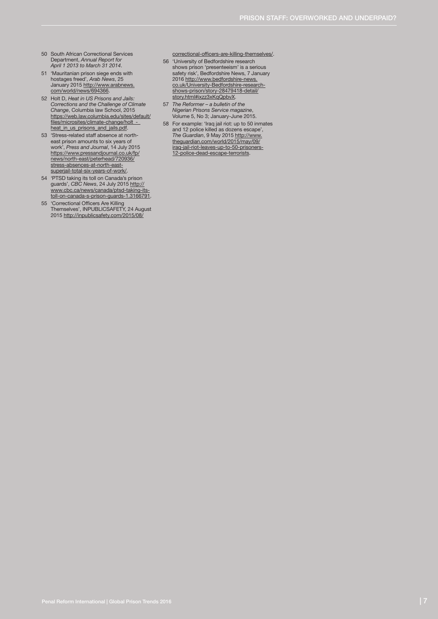- 50 South African Correctional Services Department, *Annual Report for April 1 2013 to March 31 2014*.
- 51 'Mauritanian prison siege ends with<br>hostages freed', *Arab News*, 25<br>January 2015 <u>http://www.arabnews.</u><br>[com/world/news/694366.](http://www.arabnews.com/world/news/694366)
- 52 Holt D, *Heat in US Prisons and Jails: Corrections and the Challenge of Climate Change*, Columbia law School, 2015 [https://web.law.columbia.edu/sites/default/](https://web.law.columbia.edu/sites/default/files/microsites/climate-change/holt_-_heat_in_us_prisons_and_jails.pdf) [files/microsites/climate-change/holt\\_-\\_](https://web.law.columbia.edu/sites/default/files/microsites/climate-change/holt_-_heat_in_us_prisons_and_jails.pdf) heat in us prisons and jails.pdf.
- 53 'Stress-related staff absence at northeast prison amounts to six years of<br>work', *Press and Journal*, 14 July 2015<br><u>[https://www.pressandjournal.co.uk/fp/](https://www.pressandjournal.co.uk/fp/news/north-east/peterhead/720936/stress-absences-at-north-east-superjail-total-six-years-of-work/)</u> [news/north-east/peterhead/720936/](https://www.pressandjournal.co.uk/fp/news/north-east/peterhead/720936/stress-absences-at-north-east-superjail-total-six-years-of-work/) [stress-absences-at-north-east](https://www.pressandjournal.co.uk/fp/news/north-east/peterhead/720936/stress-absences-at-north-east-superjail-total-six-years-of-work/)[superjail-total-six-years-of-work/](https://www.pressandjournal.co.uk/fp/news/north-east/peterhead/720936/stress-absences-at-north-east-superjail-total-six-years-of-work/).
- 54 'PTSD taking its toll on Canada's prison<br>guards', *CBC News*, 24 July 2015 <u>http://<br>www.cbc.ca/news/canada/ptsd-taking-its-<br>[toll-on-canada-s-prison-guards-1.3166791](http://www.cbc.ca/news/canada/ptsd-taking-its-toll-on-canada-s-prison-guards-1.3166791).</u>
- 55 'Correctional Officers Are Killing Themselves', INPUBLICSAFETY, 24 August 2015 [http://inpublicsafety.com/2015/08/](http://inpublicsafety.com/2015/08/correctional-officers-are-killing-themselves/)

[correctional-officers-are-killing-themselves/](http://inpublicsafety.com/2015/08/correctional-officers-are-killing-themselves/).

- 56 'University of Bedfordshire research shows prison 'presenteeism' is a serious safety risk', Bedfordshire News, 7 January 2016 [http://www.bedfordshire-news.](http://www.bedfordshire-news.co.uk/University-Bedfordshire-research-shows-prison/story-28479418-detail/story.html#ixzz3xKqQpbvX) [co.uk/University-Bedfordshire-research-](http://www.bedfordshire-news.co.uk/University-Bedfordshire-research-shows-prison/story-28479418-detail/story.html#ixzz3xKqQpbvX)[shows-prison/story-28479418-detail/](http://www.bedfordshire-news.co.uk/University-Bedfordshire-research-shows-prison/story-28479418-detail/story.html#ixzz3xKqQpbvX) [story.html#ixzz3xKqQpbvX](http://www.bedfordshire-news.co.uk/University-Bedfordshire-research-shows-prison/story-28479418-detail/story.html#ixzz3xKqQpbvX).
- 57 *The Reformer a bulletin of the Nigerian Prisons Service magazine*, Volume 5, No 3; January-June 2015.
- 58 For example: 'Iraq jail riot: up to 50 inmates and 12 police killed as dozens escape', *The Guardian*, 9 May 2015 [http://www.](http://www.theguardian.com/world/2015/may/09/iraq-jail-riot-leaves-up-to-50-prisoners-12-police-dead-escape-terrorists) [theguardian.com/world/2015/may/09/](http://www.theguardian.com/world/2015/may/09/iraq-jail-riot-leaves-up-to-50-prisoners-12-police-dead-escape-terrorists) [iraq-jail-riot-leaves-up-to-50-prisoners-](http://www.theguardian.com/world/2015/may/09/iraq-jail-riot-leaves-up-to-50-prisoners-12-police-dead-escape-terrorists)[12-police-dead-escape-terrorists.](http://www.theguardian.com/world/2015/may/09/iraq-jail-riot-leaves-up-to-50-prisoners-12-police-dead-escape-terrorists)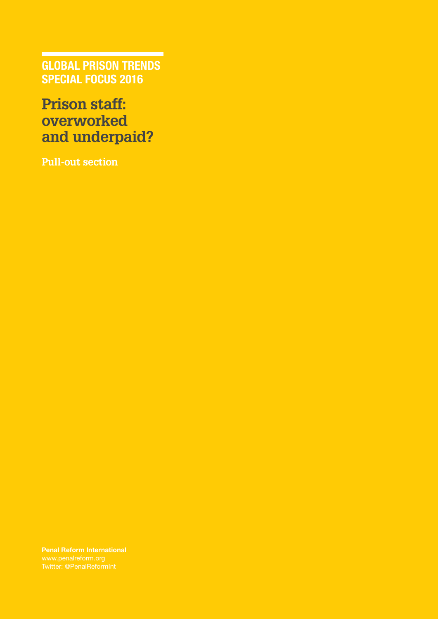GLOBAL PRISON TRENDS SPECIAL FOCUS 2016

## **Prison staff: overworked and underpaid?**

**Pull-out section**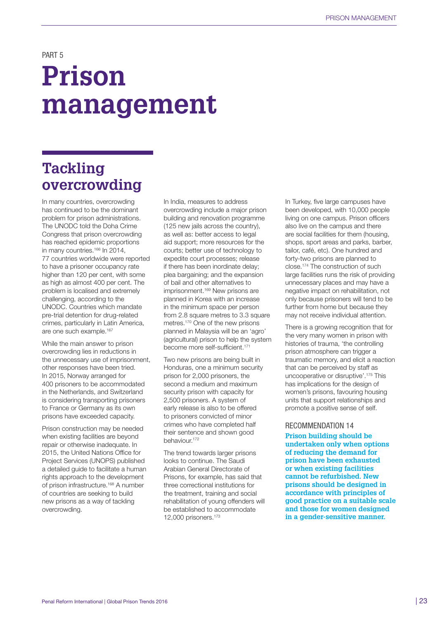PART 5

# **Prison management**

## **Tackling overcrowding**

In many countries, overcrowding has continued to be the dominant problem for prison administrations. The UNODC told the Doha Crime Congress that prison overcrowding has reached epidemic proportions in many countries.<sup>166</sup> In 2014, 77 countries worldwide were reported to have a prisoner occupancy rate higher than 120 per cent, with some as high as almost 400 per cent. The problem is localised and extremely challenging, according to the UNODC. Countries which mandate pre-trial detention for drug-related crimes, particularly in Latin America, are one such example.<sup>167</sup>

While the main answer to prison overcrowding lies in reductions in the unnecessary use of imprisonment, other responses have been tried. In 2015, Norway arranged for 400 prisoners to be accommodated in the Netherlands, and Switzerland is considering transporting prisoners to France or Germany as its own prisons have exceeded capacity.

Prison construction may be needed when existing facilities are beyond repair or otherwise inadequate. In 2015, the United Nations Office for Project Services (UNOPS) published a detailed guide to facilitate a human rights approach to the development of prison infrastructure.<sup>168</sup> A number of countries are seeking to build new prisons as a way of tackling overcrowding.

In India, measures to address overcrowding include a major prison building and renovation programme (125 new jails across the country), as well as: better access to legal aid support; more resources for the courts; better use of technology to expedite court processes; release if there has been inordinate delay; plea bargaining; and the expansion of bail and other alternatives to imprisonment.<sup>169</sup> New prisons are planned in Korea with an increase in the minimum space per person from 2.8 square metres to 3.3 square metres.170 One of the new prisons planned in Malaysia will be an 'agro' (agricultural) prison to help the system become more self-sufficient.<sup>171</sup>

Two new prisons are being built in Honduras, one a minimum security prison for 2,000 prisoners, the second a medium and maximum security prison with capacity for 2,500 prisoners. A system of early release is also to be offered to prisoners convicted of minor crimes who have completed half their sentence and shown good behaviour.<sup>172</sup>

The trend towards larger prisons looks to continue. The Saudi Arabian General Directorate of Prisons, for example, has said that three correctional institutions for the treatment, training and social rehabilitation of young offenders will be established to accommodate 12,000 prisoners.173

In Turkey, five large campuses have been developed, with 10,000 people living on one campus. Prison officers also live on the campus and there are social facilities for them (housing, shops, sport areas and parks, barber, tailor, café, etc). One hundred and forty-two prisons are planned to close.174 The construction of such large facilities runs the risk of providing unnecessary places and may have a negative impact on rehabilitation, not only because prisoners will tend to be further from home but because they may not receive individual attention.

There is a growing recognition that for the very many women in prison with histories of trauma, 'the controlling prison atmosphere can trigger a traumatic memory, and elicit a reaction that can be perceived by staff as uncooperative or disruptive'.175 This has implications for the design of women's prisons, favouring housing units that support relationships and promote a positive sense of self.

#### RECOMMENDATION 14

**Prison building should be undertaken only when options of reducing the demand for prison have been exhausted or when existing facilities cannot be refurbished. New prisons should be designed in accordance with principles of good practice on a suitable scale and those for women designed in a gender-sensitive manner.**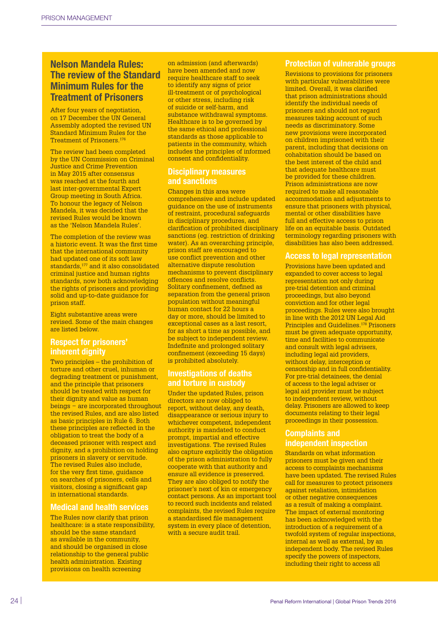## Nelson Mandela Rules: The review of the Standard Minimum Rules for the Treatment of Prisoners

After four years of negotiation, on 17 December the UN General Assembly adopted the revised UN Standard Minimum Rules for the Treatment of Prisoners.<sup>176</sup>

The review had been completed by the UN Commission on Criminal Justice and Crime Prevention in May 2015 after consensus was reached at the fourth and last inter-governmental Expert Group meeting in South Africa. To honour the legacy of Nelson Mandela, it was decided that the revised Rules would be known as the 'Nelson Mandela Rules'.

The completion of the review was a historic event. It was the first time that the international community had updated one of its soft law standards,177 and it also consolidated criminal justice and human rights standards, now both acknowledging the rights of prisoners and providing solid and up-to-date quidance for prison staff.

Eight substantive areas were revised. Some of the main changes are listed below.

## Respect for prisoners' inherent dianity

Two principles – the prohibition of torture and other cruel, inhuman or degrading treatment or punishment, and the principle that prisoners should be treated with respect for their dignity and value as human beings − are incorporated throughout the revised Rules, and are also listed as basic principles in Rule 6. Both these principles are reflected in the obligation to treat the body of a deceased prisoner with respect and dignity, and a prohibition on holding prisoners in slavery or servitude. The revised Rules also include, for the very first time, guidance on searches of prisoners, cells and visitors, closing a significant gap in international standards.

## Medical and health services

The Rules now clarify that prison healthcare: is a state responsibility, should be the same standard as available in the community, and should be organised in close relationship to the general public health administration. Existing provisions on health screening

on admission (and afterwards) have been amended and now require healthcare staff to seek to identify any signs of prior ill-treatment or of psychological or other stress, including risk of suicide or self-harm, and substance withdrawal symptoms. Healthcare is to be governed by the same ethical and professional standards as those applicable to patients in the community, which includes the principles of informed consent and confidentiality.

## Disciplinary measures and sanctions

Changes in this area were comprehensive and include updated guidance on the use of instruments of restraint, procedural safeguards in disciplinary procedures, and clarification of prohibited disciplinary sanctions (eg. restriction of drinking water). As an overarching principle, prison staff are encouraged to use conflict prevention and other alternative dispute resolution mechanisms to prevent disciplinary offences and resolve conflicts. Solitary confinement, defined as separation from the general prison population without meaningful human contact for 22 hours a day or more, should be limited to exceptional cases as a last resort, for as short a time as possible, and be subject to independent review. Indefinite and prolonged solitary confinement (exceeding 15 days) is prohibited absolutely.

## Investigations of deaths and torture in custody

Under the updated Rules, prison directors are now obliged to report, without delay, any death, disappearance or serious injury to whichever competent, independent authority is mandated to conduct prompt, impartial and effective investigations. The revised Rules also capture explicitly the obligation of the prison administration to fully cooperate with that authority and ensure all evidence is preserved. They are also obliged to notify the prisoner's next of kin or emergency contact persons. As an important tool to record such incidents and related complaints, the revised Rules require a standardised file management system in every place of detention, with a secure audit trail.

## Protection of vulnerable groups

Revisions to provisions for prisoners with particular vulnerabilities were limited. Overall, it was clarified that prison administrations should identify the individual needs of prisoners and should not regard measures taking account of such needs as discriminatory. Some new provisions were incorporated on children imprisoned with their parent, including that decisions on cohabitation should be based on the best interest of the child and that adequate healthcare must be provided for these children. Prison administrations are now required to make all reasonable accommodation and adjustments to ensure that prisoners with physical, mental or other disabilities have full and effective access to prison life on an equitable basis. Outdated terminology regarding prisoners with disabilities has also been addressed.

#### Access to legal representation

Provisions have been updated and expanded to cover access to legal representation not only during pre-trial detention and criminal proceedings, but also beyond conviction and for other legal proceedings. Rules were also brought in line with the 2012 UN Legal Aid Principles and Guidelines.178 Prisoners must be given adequate opportunity, time and facilities to communicate and consult with legal advisers, including legal aid providers, without delay, interception or censorship and in full confidentiality. For pre-trial detainees, the denial of access to the legal adviser or legal aid provider must be subject to independent review, without delay. Prisoners are allowed to keep documents relating to their legal proceedings in their possession.

#### Complaints and independent inspection

Standards on what information prisoners must be given and their access to complaints mechanisms have been updated. The revised Rules call for measures to protect prisoners against retaliation, intimidation or other negative consequences as a result of making a complaint. The impact of external monitoring has been acknowledged with the introduction of a requirement of a twofold system of regular inspections, internal as well as external, by an independent body. The revised Rules specify the powers of inspectors, including their right to access all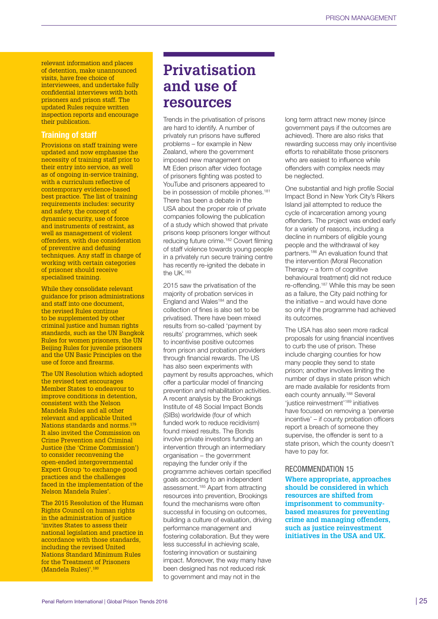relevant information and places of detention, make unannounced visits, have free choice of interviewees, and undertake fully confidential interviews with both prisoners and prison staff. The updated Rules require written inspection reports and encourage their publication.

## Training of staff

Provisions on staff training were updated and now emphasise the necessity of training staff prior to their entry into service, as well as of ongoing in-service training, with a curriculum reflective of contemporary evidence-based best practice. The list of training requirements includes: security and safety, the concept of dynamic security, use of force and instruments of restraint, as well as management of violent offenders, with due consideration of preventive and defusing techniques. Any staff in charge of working with certain categories of prisoner should receive specialised training.

While they consolidate relevant guidance for prison administrations and staff into one document, the revised Rules continue to be supplemented by other criminal justice and human rights standards, such as the UN Bangkok Rules for women prisoners, the UN Beijing Rules for juvenile prisoners and the UN Basic Principles on the use of force and firearms.

The UN Resolution which adopted the revised text encourages Member States to endeavour to improve conditions in detention, consistent with the Nelson Mandela Rules and all other relevant and applicable United Nations standards and norms.179 It also invited the Commission on Crime Prevention and Criminal Justice (the 'Crime Commission') to consider reconvening the open-ended intergovernmental Expert Group 'to exchange good practices and the challenges faced in the implementation of the Nelson Mandela Rules'.

The 2015 Resolution of the Human Rights Council on human rights in the administration of justice 'invites States to assess their national legislation and practice in accordance with those standards, including the revised United Nations Standard Minimum Rules for the Treatment of Prisoners (Mandela Rules)'.180

## **Privatisation and use of resources**

Trends in the privatisation of prisons are hard to identify. A number of privately run prisons have suffered problems – for example in New Zealand, where the government imposed new management on Mt Eden prison after video footage of prisoners fighting was posted to YouTube and prisoners appeared to be in possession of mobile phones.<sup>181</sup> There has been a debate in the USA about the proper role of private companies following the publication of a study which showed that private prisons keep prisoners longer without reducing future crime.182 Covert filming of staff violence towards young people in a privately run secure training centre has recently re-ignited the debate in the UK.183

2015 saw the privatisation of the majority of probation services in England and Wales<sup>184</sup> and the collection of fines is also set to be privatised. There have been mixed results from so-called 'payment by results' programmes, which seek to incentivise positive outcomes from prison and probation providers through financial rewards. The US has also seen experiments with payment by results approaches, which offer a particular model of financing prevention and rehabilitation activities. A recent analysis by the Brookings Institute of 48 Social Impact Bonds (SIBs) worldwide (four of which funded work to reduce recidivism) found mixed results. The Bonds involve private investors funding an intervention through an intermediary organisation – the government repaying the funder only if the programme achieves certain specified goals according to an independent assessment.185 Apart from attracting resources into prevention, Brookings found the mechanisms were often successful in focusing on outcomes, building a culture of evaluation, driving performance management and fostering collaboration. But they were less successful in achieving scale, fostering innovation or sustaining impact. Moreover, the way many have been designed has not reduced risk to government and may not in the

long term attract new money (since government pays if the outcomes are achieved). There are also risks that rewarding success may only incentivise efforts to rehabilitate those prisoners who are easiest to influence while offenders with complex needs may be neglected.

One substantial and high profile Social Impact Bond in New York City's Rikers Island jail attempted to reduce the cycle of incarceration among young offenders. The project was ended early for a variety of reasons, including a decline in numbers of eligible young people and the withdrawal of key partners.186 An evaluation found that the intervention (Moral Reconation Therapy – a form of cognitive behavioural treatment) did not reduce re-offending.187 While this may be seen as a failure, the City paid nothing for the initiative – and would have done so only if the programme had achieved its outcomes.

The USA has also seen more radical proposals for using financial incentives to curb the use of prison. These include charging counties for how many people they send to state prison; another involves limiting the number of days in state prison which are made available for residents from each county annually.<sup>188</sup> Several 'justice reinvestment'189 initiatives have focused on removing a 'perverse incentive' – if county probation officers report a breach of someone they supervise, the offender is sent to a state prison, which the county doesn't have to pay for.

### RECOMMENDATION 15

**Where appropriate, approaches should be considered in which resources are shifted from imprisonment to communitybased measures for preventing crime and managing offenders, such as justice reinvestment initiatives in the USA and UK.**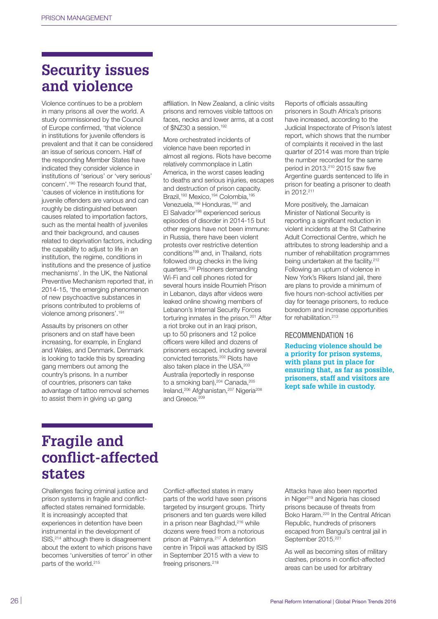## **Security issues and violence**

Violence continues to be a problem in many prisons all over the world. A study commissioned by the Council of Europe confirmed, 'that violence in institutions for juvenile offenders is prevalent and that it can be considered an issue of serious concern. Half of the responding Member States have indicated they consider violence in institutions of 'serious' or 'very serious' concern'.190 The research found that, 'causes of violence in institutions for juvenile offenders are various and can roughly be distinguished between causes related to importation factors, such as the mental health of juveniles and their background, and causes related to deprivation factors, including the capability to adjust to life in an institution, the regime, conditions in institutions and the presence of justice mechanisms'. In the UK, the National Preventive Mechanism reported that, in 2014-15, 'the emerging phenomenon of new psychoactive substances in prisons contributed to problems of violence among prisoners'.191

Assaults by prisoners on other prisoners and on staff have been increasing, for example, in England and Wales, and Denmark. Denmark is looking to tackle this by spreading gang members out among the country's prisons. In a number of countries, prisoners can take advantage of tattoo removal schemes to assist them in giving up gang

affiliation. In New Zealand, a clinic visits prisons and removes visible tattoos on faces, necks and lower arms, at a cost of \$NZ30 a session.192

More orchestrated incidents of violence have been reported in almost all regions. Riots have become relatively commonplace in Latin America, in the worst cases leading to deaths and serious injuries, escapes and destruction of prison capacity. Brazil,<sup>193</sup> Mexico,<sup>194</sup> Colombia,<sup>195</sup> Venezuela,<sup>196</sup> Honduras,<sup>197</sup> and El Salvador198 experienced serious episodes of disorder in 2014-15 but other regions have not been immune: in Russia, there have been violent protests over restrictive detention conditions<sup>199</sup> and, in Thailand, riots followed drug checks in the living quarters.200 Prisoners demanding Wi-Fi and cell phones rioted for several hours inside Roumieh Prison in Lebanon, days after videos were leaked online showing members of Lebanon's Internal Security Forces torturing inmates in the prison.<sup>201</sup> After a riot broke out in an Iraqi prison, up to 50 prisoners and 12 police officers were killed and dozens of prisoners escaped, including several convicted terrorists.202 Riots have also taken place in the USA, 203 Australia (reportedly in response to a smoking ban), <sup>204</sup> Canada, <sup>205</sup> Ireland,206 Afghanistan,207 Nigeria208 and Greece.<sup>209</sup>

Reports of officials assaulting prisoners in South Africa's prisons have increased, according to the Judicial Inspectorate of Prison's latest report, which shows that the number of complaints it received in the last quarter of 2014 was more than triple the number recorded for the same period in 2013.210 2015 saw five Argentine guards sentenced to life in prison for beating a prisoner to death in 2012.211

More positively, the Jamaican Minister of National Security is reporting a significant reduction in violent incidents at the St Catherine Adult Correctional Centre, which he attributes to strong leadership and a number of rehabilitation programmes being undertaken at the facility.<sup>212</sup> Following an upturn of violence in New York's Rikers Island jail, there are plans to provide a minimum of five hours non-school activities per day for teenage prisoners, to reduce boredom and increase opportunities for rehabilitation.<sup>213</sup>

#### RECOMMENDATION 16

**Reducing violence should be a priority for prison systems, with plans put in place for ensuring that, as far as possible, prisoners, staff and visitors are kept safe while in custody.**

## **Fragile and conflict-affected states**

Challenges facing criminal justice and prison systems in fragile and conflictaffected states remained formidable. It is increasingly accepted that experiences in detention have been instrumental in the development of ISIS,214 although there is disagreement about the extent to which prisons have becomes 'universities of terror' in other parts of the world.215

Conflict-affected states in many parts of the world have seen prisons targeted by insurgent groups. Thirty prisoners and ten guards were killed in a prison near Baghdad,<sup>216</sup> while dozens were freed from a notorious prison at Palmyra.217 A detention centre in Tripoli was attacked by ISIS in September 2015 with a view to freeing prisoners.<sup>218</sup>

Attacks have also been reported in Niger<sup>219</sup> and Nigeria has closed prisons because of threats from Boko Haram.220 In the Central African Republic, hundreds of prisoners escaped from Bangui's central jail in September 2015.<sup>221</sup>

As well as becoming sites of military clashes, prisons in conflict-affected areas can be used for arbitrary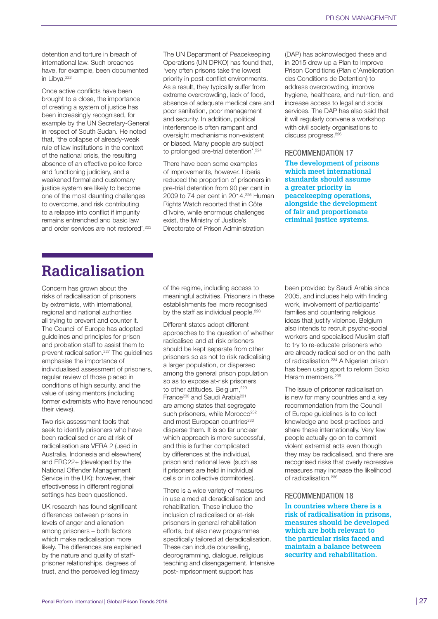detention and torture in breach of international law. Such breaches have, for example, been documented in Libya.<sup>222</sup>

Once active conflicts have been brought to a close, the importance of creating a system of justice has been increasingly recognised, for example by the UN Secretary-General in respect of South Sudan. He noted that, 'the collapse of already-weak rule of law institutions in the context of the national crisis, the resulting absence of an effective police force and functioning judiciary, and a weakened formal and customary justice system are likely to become one of the most daunting challenges to overcome, and risk contributing to a relapse into conflict if impunity remains entrenched and basic law and order services are not restored'.223 The UN Department of Peacekeeping Operations (UN DPKO) has found that, 'very often prisons take the lowest priority in post-conflict environments. As a result, they typically suffer from extreme overcrowding, lack of food, absence of adequate medical care and poor sanitation, poor management and security. In addition, political interference is often rampant and oversight mechanisms non-existent or biased. Many people are subject to prolonged pre-trial detention'.224

There have been some examples of improvements, however. Liberia reduced the proportion of prisoners in pre-trial detention from 90 per cent in 2009 to 74 per cent in 2014.<sup>225</sup> Human Rights Watch reported that in Côte d'Ivoire, while enormous challenges exist, the Ministry of Justice's Directorate of Prison Administration

(DAP) has acknowledged these and in 2015 drew up a Plan to Improve Prison Conditions (Plan d'Amélioration des Conditions de Detention) to address overcrowding, improve hygiene, healthcare, and nutrition, and increase access to legal and social services. The DAP has also said that it will regularly convene a workshop with civil society organisations to discuss progress.<sup>226</sup>

#### RECOMMENDATION 17

**The development of prisons which meet international standards should assume a greater priority in peacekeeping operations, alongside the development of fair and proportionate criminal justice systems.** 

## **Radicalisation**

Concern has grown about the risks of radicalisation of prisoners by extremists, with international, regional and national authorities all trying to prevent and counter it. The Council of Europe has adopted guidelines and principles for prison and probation staff to assist them to prevent radicalisation.<sup>227</sup> The quidelines emphasise the importance of individualised assessment of prisoners, regular review of those placed in conditions of high security, and the value of using mentors (including former extremists who have renounced their views).

Two risk assessment tools that seek to identify prisoners who have been radicalised or are at risk of radicalisation are VERA 2 (used in Australia, Indonesia and elsewhere) and ERG22+ (developed by the National Offender Management Service in the UK); however, their effectiveness in different regional settings has been questioned.

UK research has found significant differences between prisons in levels of anger and alienation among prisoners – both factors which make radicalisation more likely. The differences are explained by the nature and quality of staffprisoner relationships, degrees of trust, and the perceived legitimacy

of the regime, including access to meaningful activities. Prisoners in these establishments feel more recognised by the staff as individual people.<sup>228</sup>

Different states adopt different approaches to the question of whether radicalised and at-risk prisoners should be kept separate from other prisoners so as not to risk radicalising a larger population, or dispersed among the general prison population so as to expose at-risk prisoners to other attitudes. Belgium, 229 France<sup>230</sup> and Saudi Arabia<sup>231</sup> are among states that segregate such prisoners, while Morocco<sup>232</sup> and most European countries<sup>233</sup> disperse them. It is so far unclear which approach is more successful, and this is further complicated by differences at the individual, prison and national level (such as if prisoners are held in individual cells or in collective dormitories).

There is a wide variety of measures in use aimed at deradicalisation and rehabilitation. These include the inclusion of radicalised or at-risk prisoners in general rehabilitation efforts, but also new programmes specifically tailored at deradicalisation. These can include counselling, deprogramming, dialogue, religious teaching and disengagement. Intensive post-imprisonment support has

been provided by Saudi Arabia since 2005, and includes help with finding work, involvement of participants' families and countering religious ideas that justify violence. Belgium also intends to recruit psycho-social workers and specialised Muslim staff to try to re-educate prisoners who are already radicalised or on the path of radicalisation.234 A Nigerian prison has been using sport to reform Boko Haram members.<sup>235</sup>

The issue of prisoner radicalisation is new for many countries and a key recommendation from the Council of Europe guidelines is to collect knowledge and best practices and share these internationally. Very few people actually go on to commit violent extremist acts even though they may be radicalised, and there are recognised risks that overly repressive measures may increase the likelihood of radicalisation.<sup>236</sup>

#### RECOMMENDATION 18

**In countries where there is a risk of radicalisation in prisons, measures should be developed which are both relevant to the particular risks faced and maintain a balance between security and rehabilitation.**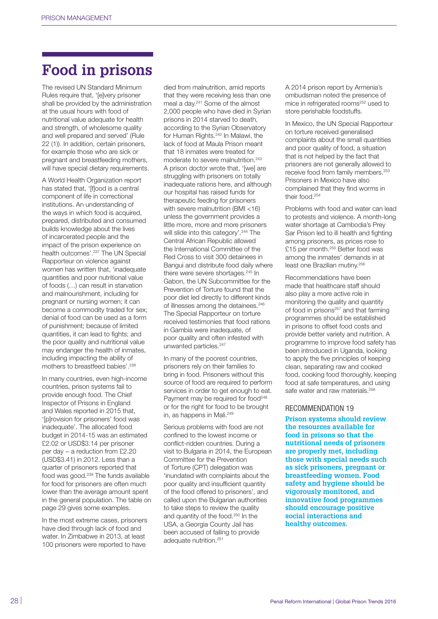## **Food in prisons**

The revised UN Standard Minimum Rules require that, '[e]very prisoner shall be provided by the administration at the usual hours with food of nutritional value adequate for health and strength, of wholesome quality and well prepared and served' (Rule 22 (1)). In addition, certain prisoners, for example those who are sick or pregnant and breastfeeding mothers, will have special dietary requirements.

A World Health Organization report has stated that, '[f]ood is a central component of life in correctional institutions. An understanding of the ways in which food is acquired, prepared, distributed and consumed builds knowledge about the lives of incarcerated people and the impact of the prison experience on health outcomes'.237 The UN Special Rapporteur on violence against women has written that, 'inadequate quantities and poor nutritional value of foods (…) can result in starvation and malnourishment, including for pregnant or nursing women; it can become a commodity traded for sex; denial of food can be used as a form of punishment; because of limited quantities, it can lead to fights; and the poor quality and nutritional value may endanger the health of inmates, including impacting the ability of mothers to breastfeed babies'.238

In many countries, even high-income countries, prison systems fail to provide enough food. The Chief Inspector of Prisons in England and Wales reported in 2015 that, '[p]rovision for prisoners' food was inadequate'. The allocated food budget in 2014-15 was an estimated £2.02 or USD\$3.14 per prisoner per day – a reduction from £2.20 (USD\$3.41) in 2012. Less than a quarter of prisoners reported that food was good.<sup>239</sup> The funds available for food for prisoners are often much lower than the average amount spent in the general population. The table on page 29 gives some examples.

In the most extreme cases, prisoners have died through lack of food and water. In Zimbabwe in 2013, at least 100 prisoners were reported to have

died from malnutrition, amid reports that they were receiving less than one meal a day.241 Some of the almost 2,000 people who have died in Syrian prisons in 2014 starved to death, according to the Syrian Observatory for Human Rights.242 In Malawi, the lack of food at Maula Prison meant that 18 inmates were treated for moderate to severe malnutrition.<sup>243</sup> A prison doctor wrote that, '[we] are struggling with prisoners on totally inadequate rations here, and although our hospital has raised funds for therapeutic feeding for prisoners with severe malnutrition (BMI <16) unless the government provides a little more, more and more prisoners will slide into this category'.244 The Central African Republic allowed the International Committee of the Red Cross to visit 300 detainees in Bangui and distribute food daily where there were severe shortages.<sup>245</sup> In Gabon, the UN Subcommittee for the Prevention of Torture found that the poor diet led directly to different kinds of illnesses among the detainees.<sup>246</sup> The Special Rapporteur on torture received testimonies that food rations in Gambia were inadequate, of poor quality and often infested with unwanted particles.<sup>247</sup>

In many of the poorest countries, prisoners rely on their families to bring in food. Prisoners without this source of food are required to perform services in order to get enough to eat. Payment may be required for food<sup>248</sup> or for the right for food to be brought in, as happens in Mali.<sup>249</sup>

Serious problems with food are not confined to the lowest income or conflict-ridden countries. During a visit to Bulgaria in 2014, the European Committee for the Prevention of Torture (CPT) delegation was 'inundated with complaints about the poor quality and insufficient quantity of the food offered to prisoners', and called upon the Bulgarian authorities to take steps to review the quality and quantity of the food.<sup>250</sup> In the USA, a Georgia County Jail has been accused of failing to provide adequate nutrition.251

A 2014 prison report by Armenia's ombudsman noted the presence of mice in refrigerated rooms<sup>252</sup> used to store perishable foodstuffs.

In Mexico, the UN Special Rapporteur on torture received generalised complaints about the small quantities and poor quality of food, a situation that is not helped by the fact that prisoners are not generally allowed to receive food from family members.<sup>253</sup> Prisoners in Mexico have also complained that they find worms in their food.254

Problems with food and water can lead to protests and violence. A month-long water shortage at Cambodia's Prey Sar Prison led to ill health and fighting among prisoners, as prices rose to £15 per month.<sup>255</sup> Better food was among the inmates' demands in at least one Brazilian mutiny.256

Recommendations have been made that healthcare staff should also play a more active role in monitoring the quality and quantity of food in prisons<sup>257</sup> and that farming programmes should be established in prisons to offset food costs and provide better variety and nutrition. A programme to improve food safety has been introduced in Uganda, looking to apply the five principles of keeping clean, separating raw and cooked food, cooking food thoroughly, keeping food at safe temperatures, and using safe water and raw materials.<sup>258</sup>

#### RECOMMENDATION 19

**Prison systems should review the resources available for food in prisons so that the nutritional needs of prisoners are properly met, including those with special needs such as sick prisoners, pregnant or breastfeeding women. Food safety and hygiene should be vigorously monitored, and innovative food programmes should encourage positive social interactions and healthy outcomes.**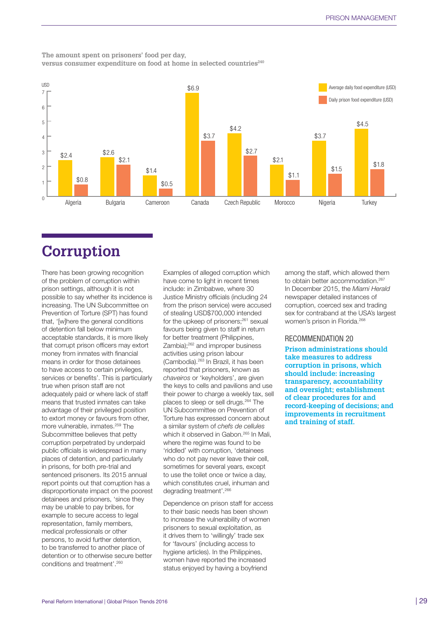## **The amount spent on prisoners' food per day,**

**versus consumer expenditure on food at home in selected countries240**



## **Corruption**

There has been growing recognition of the problem of corruption within prison settings, although it is not possible to say whether its incidence is increasing. The UN Subcommittee on Prevention of Torture (SPT) has found that, '[w]here the general conditions of detention fall below minimum acceptable standards, it is more likely that corrupt prison officers may extort money from inmates with financial means in order for those detainees to have access to certain privileges, services or benefits'. This is particularly true when prison staff are not adequately paid or where lack of staff means that trusted inmates can take advantage of their privileged position to extort money or favours from other, more vulnerable, inmates.259 The Subcommittee believes that petty corruption perpetrated by underpaid public officials is widespread in many places of detention, and particularly in prisons, for both pre-trial and sentenced prisoners. Its 2015 annual report points out that corruption has a disproportionate impact on the poorest detainees and prisoners, 'since they may be unable to pay bribes, for example to secure access to legal representation, family members, medical professionals or other persons, to avoid further detention, to be transferred to another place of detention or to otherwise secure better conditions and treatment'.260

Examples of alleged corruption which have come to light in recent times include: in Zimbabwe, where 30 Justice Ministry officials (including 24 from the prison service) were accused of stealing USD\$700,000 intended for the upkeep of prisoners;<sup>261</sup> sexual favours being given to staff in return for better treatment (Philippines, Zambia);262 and improper business activities using prison labour (Cambodia).263 In Brazil, it has been reported that prisoners, known as *chaveiros* or 'keyholders', are given the keys to cells and pavilions and use their power to charge a weekly tax, sell places to sleep or sell drugs.<sup>264</sup> The UN Subcommittee on Prevention of Torture has expressed concern about a similar system of *chefs de cellules* which it observed in Gabon.<sup>265</sup> In Mali, where the regime was found to be 'riddled' with corruption, 'detainees who do not pay never leave their cell, sometimes for several years, except to use the toilet once or twice a day, which constitutes cruel, inhuman and degrading treatment'.266

Dependence on prison staff for access to their basic needs has been shown to increase the vulnerability of women prisoners to sexual exploitation, as it drives them to 'willingly' trade sex for 'favours' (including access to hygiene articles). In the Philippines, women have reported the increased status enjoyed by having a boyfriend

among the staff, which allowed them to obtain better accommodation.<sup>267</sup> In December 2015, the *Miami Herald* newspaper detailed instances of corruption, coerced sex and trading sex for contraband at the USA's largest women's prison in Florida.268

## RECOMMENDATION 20

**Prison administrations should take measures to address corruption in prisons, which should include: increasing transparency, accountability and oversight; establishment of clear procedures for and record-keeping of decisions; and improvements in recruitment and training of staff.**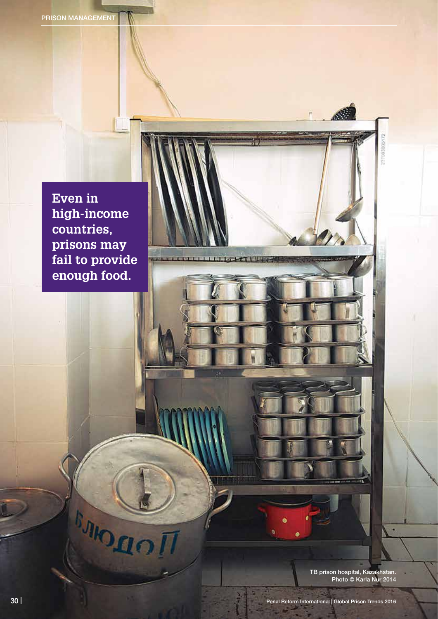**Even in high-income countries, prisons may fail to provide enough food.**

**BAIO DEC** 

TB prison hospital, Kazakhstan. Photo © Karla Nur 2014

237303005172

**LIZATITURE**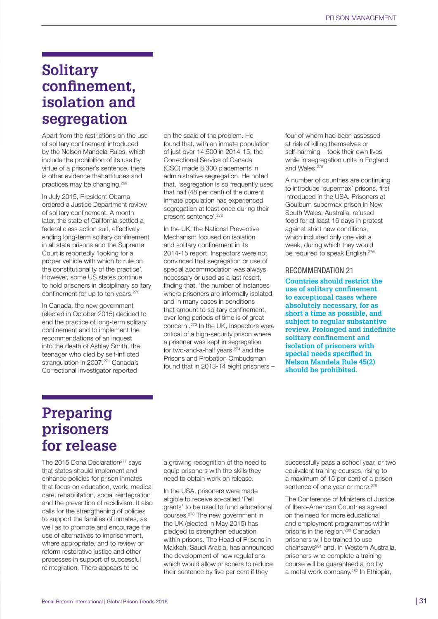## **Solitary confinement, isolation and segregation**

Apart from the restrictions on the use of solitary confinement introduced by the Nelson Mandela Rules, which include the prohibition of its use by virtue of a prisoner's sentence, there is other evidence that attitudes and practices may be changing.269

In July 2015, President Obama ordered a Justice Department review of solitary confinement. A month later, the state of California settled a federal class action suit, effectively ending long-term solitary confinement in all state prisons and the Supreme Court is reportedly 'looking for a proper vehicle with which to rule on the constitutionality of the practice'. However, some US states continue to hold prisoners in disciplinary solitary confinement for up to ten years.270

In Canada, the new government (elected in October 2015) decided to end the practice of long-term solitary confinement and to implement the recommendations of an inquest into the death of Ashley Smith, the teenager who died by self-inflicted strangulation in 2007.<sup>271</sup> Canada's Correctional Investigator reported

on the scale of the problem. He found that, with an inmate population of just over 14,500 in 2014-15, the Correctional Service of Canada (CSC) made 8,300 placements in administrative segregation. He noted that, 'segregation is so frequently used that half (48 per cent) of the current inmate population has experienced segregation at least once during their present sentence'.272

In the UK, the National Preventive Mechanism focused on isolation and solitary confinement in its 2014-15 report. Inspectors were not convinced that segregation or use of special accommodation was always necessary or used as a last resort, finding that, 'the number of instances where prisoners are informally isolated, and in many cases in conditions that amount to solitary confinement, over long periods of time is of great concern'.273 In the UK, Inspectors were critical of a high-security prison where a prisoner was kept in segregation for two-and-a-half years,<sup>274</sup> and the Prisons and Probation Ombudsman found that in 2013-14 eight prisoners –

four of whom had been assessed at risk of killing themselves or self-harming – took their own lives while in segregation units in England and Wales.<sup>275</sup>

A number of countries are continuing to introduce 'supermax' prisons, first introduced in the USA. Prisoners at Goulburn supermax prison in New South Wales, Australia, refused food for at least 16 days in protest against strict new conditions, which included only one visit a week, during which they would be required to speak English.<sup>276</sup>

### RECOMMENDATION 21

**Countries should restrict the use of solitary confinement to exceptional cases where absolutely necessary, for as short a time as possible, and subject to regular substantive review. Prolonged and indefinite solitary confinement and isolation of prisoners with special needs specified in Nelson Mandela Rule 45(2) should be prohibited.** 

## **Preparing prisoners for release**

The 2015 Doha Declaration<sup>277</sup> says that states should implement and enhance policies for prison inmates that focus on education, work, medical care, rehabilitation, social reintegration and the prevention of recidivism. It also calls for the strengthening of policies to support the families of inmates, as well as to promote and encourage the use of alternatives to imprisonment, where appropriate, and to review or reform restorative justice and other processes in support of successful reintegration. There appears to be

a growing recognition of the need to equip prisoners with the skills they need to obtain work on release.

In the USA, prisoners were made eligible to receive so-called 'Pell grants' to be used to fund educational courses.278 The new government in the UK (elected in May 2015) has pledged to strengthen education within prisons. The Head of Prisons in Makkah, Saudi Arabia, has announced the development of new regulations which would allow prisoners to reduce their sentence by five per cent if they

successfully pass a school year, or two equivalent training courses, rising to a maximum of 15 per cent of a prison sentence of one year or more.<sup>279</sup>

The Conference of Ministers of Justice of Ibero-American Countries agreed on the need for more educational and employment programmes within prisons in the region.280 Canadian prisoners will be trained to use chainsaws281 and, in Western Australia, prisoners who complete a training course will be guaranteed a job by a metal work company.282 In Ethiopia,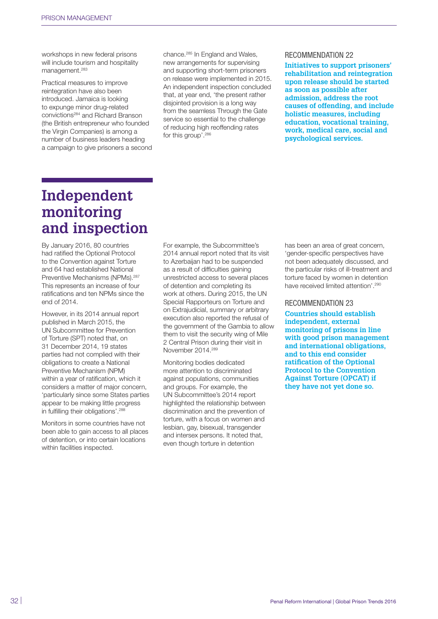workshops in new federal prisons will include tourism and hospitality management.283

Practical measures to improve reintegration have also been introduced. Jamaica is looking to expunge minor drug-related convictions284 and Richard Branson (the British entrepreneur who founded the Virgin Companies) is among a number of business leaders heading a campaign to give prisoners a second chance.285 In England and Wales, new arrangements for supervising and supporting short-term prisoners on release were implemented in 2015. An independent inspection concluded that, at year end, 'the present rather disjointed provision is a long way from the seamless Through the Gate service so essential to the challenge of reducing high reoffending rates for this group'.286

#### RECOMMENDATION 22

**Initiatives to support prisoners' rehabilitation and reintegration upon release should be started as soon as possible after admission, address the root causes of offending, and include holistic measures, including education, vocational training, work, medical care, social and psychological services.** 

## **Independent monitoring and inspection**

By January 2016, 80 countries had ratified the Optional Protocol to the Convention against Torture and 64 had established National Preventive Mechanisms (NPMs).<sup>287</sup> This represents an increase of four ratifications and ten NPMs since the end of 2014.

However, in its 2014 annual report published in March 2015, the UN Subcommittee for Prevention of Torture (SPT) noted that, on 31 December 2014, 19 states parties had not complied with their obligations to create a National Preventive Mechanism (NPM) within a year of ratification, which it considers a matter of major concern, 'particularly since some States parties appear to be making little progress in fulfilling their obligations'.<sup>288</sup>

Monitors in some countries have not been able to gain access to all places of detention, or into certain locations within facilities inspected.

For example, the Subcommittee's 2014 annual report noted that its visit to Azerbaijan had to be suspended as a result of difficulties gaining unrestricted access to several places of detention and completing its work at others. During 2015, the UN Special Rapporteurs on Torture and on Extrajudicial, summary or arbitrary execution also reported the refusal of the government of the Gambia to allow them to visit the security wing of Mile 2 Central Prison during their visit in November 2014.289

Monitoring bodies dedicated more attention to discriminated against populations, communities and groups. For example, the UN Subcommittee's 2014 report highlighted the relationship between discrimination and the prevention of torture, with a focus on women and lesbian, gay, bisexual, transgender and intersex persons. It noted that, even though torture in detention

has been an area of great concern, 'gender-specific perspectives have not been adequately discussed, and the particular risks of ill-treatment and torture faced by women in detention have received limited attention'.<sup>290</sup>

#### RECOMMENDATION 23

**Countries should establish independent, external monitoring of prisons in line with good prison management and international obligations, and to this end consider ratification of the Optional Protocol to the Convention Against Torture (OPCAT) if they have not yet done so.**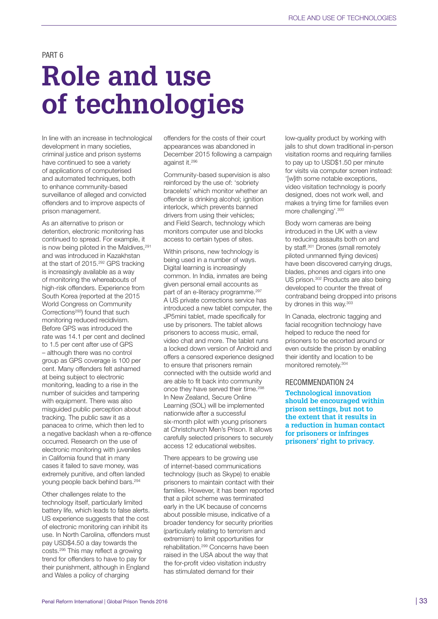PART 6

## **Role and use of technologies**

In line with an increase in technological development in many societies, criminal justice and prison systems have continued to see a variety of applications of computerised and automated techniques, both to enhance community-based surveillance of alleged and convicted offenders and to improve aspects of prison management.

As an alternative to prison or detention, electronic monitoring has continued to spread. For example, it is now being piloted in the Maldives.<sup>291</sup> and was introduced in Kazakhstan at the start of 2015.292 GPS tracking is increasingly available as a way of monitoring the whereabouts of high-risk offenders. Experience from South Korea (reported at the 2015 World Congress on Community Corrections<sup>293</sup>) found that such monitoring reduced recidivism. Before GPS was introduced the rate was 14.1 per cent and declined to 1.5 per cent after use of GPS – although there was no control group as GPS coverage is 100 per cent. Many offenders felt ashamed at being subject to electronic monitoring, leading to a rise in the number of suicides and tampering with equipment. There was also misguided public perception about tracking. The public saw it as a panacea to crime, which then led to a negative backlash when a re-offence occurred. Research on the use of electronic monitoring with juveniles in California found that in many cases it failed to save money, was extremely punitive, and often landed young people back behind bars.294

Other challenges relate to the technology itself, particularly limited battery life, which leads to false alerts. US experience suggests that the cost of electronic monitoring can inhibit its use. In North Carolina, offenders must pay USD\$4.50 a day towards the costs.295 This may reflect a growing trend for offenders to have to pay for their punishment, although in England and Wales a policy of charging

offenders for the costs of their court appearances was abandoned in December 2015 following a campaign against it.296

Community-based supervision is also reinforced by the use of: 'sobriety bracelets' which monitor whether an offender is drinking alcohol; ignition interlock, which prevents banned drivers from using their vehicles; and Field Search, technology which monitors computer use and blocks access to certain types of sites.

Within prisons, new technology is being used in a number of ways. Digital learning is increasingly common. In India, inmates are being given personal email accounts as part of an e-literacy programme.<sup>297</sup> A US private corrections service has introduced a new tablet computer, the JP5mini tablet, made specifically for use by prisoners. The tablet allows prisoners to access music, email, video chat and more. The tablet runs a locked down version of Android and offers a censored experience designed to ensure that prisoners remain connected with the outside world and are able to fit back into community once they have served their time.<sup>298</sup> In New Zealand, Secure Online Learning (SOL) will be implemented nationwide after a successful six-month pilot with young prisoners at Christchurch Men's Prison. It allows carefully selected prisoners to securely access 12 educational websites.

There appears to be growing use of internet-based communications technology (such as Skype) to enable prisoners to maintain contact with their families. However, it has been reported that a pilot scheme was terminated early in the UK because of concerns about possible misuse, indicative of a broader tendency for security priorities (particularly relating to terrorism and extremism) to limit opportunities for rehabilitation.299 Concerns have been raised in the USA about the way that the for-profit video visitation industry has stimulated demand for their

low-quality product by working with jails to shut down traditional in-person visitation rooms and requiring families to pay up to USD\$1.50 per minute for visits via computer screen instead: '[w]ith some notable exceptions, video visitation technology is poorly designed, does not work well, and makes a trying time for families even more challenging'.300

Body worn cameras are being introduced in the UK with a view to reducing assaults both on and by staff.301 Drones (small remotely piloted unmanned flying devices) have been discovered carrying drugs, blades, phones and cigars into one US prison.<sup>302</sup> Products are also being developed to counter the threat of contraband being dropped into prisons by drones in this way.<sup>303</sup>

In Canada, electronic tagging and facial recognition technology have helped to reduce the need for prisoners to be escorted around or even outside the prison by enabling their identity and location to be monitored remotely.304

#### RECOMMENDATION 24

**Technological innovation should be encouraged within prison settings, but not to the extent that it results in a reduction in human contact for prisoners or infringes prisoners' right to privacy.**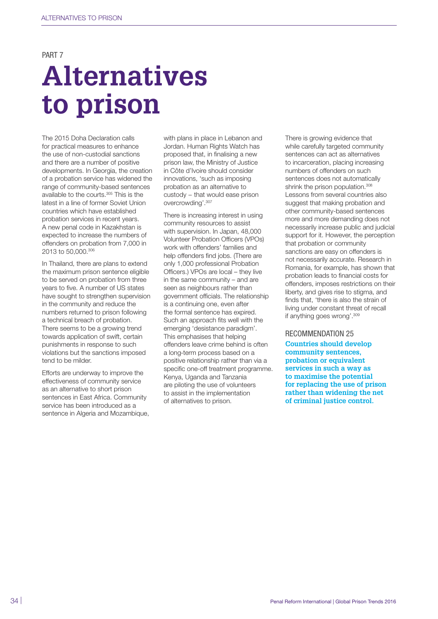PART<sub>7</sub>

# **Alternatives to prison**

The 2015 Doha Declaration calls for practical measures to enhance the use of non-custodial sanctions and there are a number of positive developments. In Georgia, the creation of a probation service has widened the range of community-based sentences available to the courts.305 This is the latest in a line of former Soviet Union countries which have established probation services in recent years. A new penal code in Kazakhstan is expected to increase the numbers of offenders on probation from 7,000 in 2013 to 50,000.306

In Thailand, there are plans to extend the maximum prison sentence eligible to be served on probation from three years to five. A number of US states have sought to strengthen supervision in the community and reduce the numbers returned to prison following a technical breach of probation. There seems to be a growing trend towards application of swift, certain punishments in response to such violations but the sanctions imposed tend to be milder.

Efforts are underway to improve the effectiveness of community service as an alternative to short prison sentences in East Africa. Community service has been introduced as a sentence in Algeria and Mozambique, with plans in place in Lebanon and Jordan. Human Rights Watch has proposed that, in finalising a new prison law, the Ministry of Justice in Côte d'Ivoire should consider innovations, 'such as imposing probation as an alternative to custody – that would ease prison overcrowding'.307

There is increasing interest in using community resources to assist with supervision. In Japan, 48,000 Volunteer Probation Officers (VPOs) work with offenders' families and help offenders find jobs. (There are only 1,000 professional Probation Officers.) VPOs are local – they live in the same community – and are seen as neighbours rather than government officials. The relationship is a continuing one, even after the formal sentence has expired. Such an approach fits well with the emerging 'desistance paradigm'. This emphasises that helping offenders leave crime behind is often a long-term process based on a positive relationship rather than via a specific one-off treatment programme. Kenya, Uganda and Tanzania are piloting the use of volunteers to assist in the implementation of alternatives to prison.

There is growing evidence that while carefully targeted community sentences can act as alternatives to incarceration, placing increasing numbers of offenders on such sentences does not automatically shrink the prison population.<sup>308</sup> Lessons from several countries also suggest that making probation and other community-based sentences more and more demanding does not necessarily increase public and judicial support for it. However, the perception that probation or community sanctions are easy on offenders is not necessarily accurate. Research in Romania, for example, has shown that probation leads to financial costs for offenders, imposes restrictions on their liberty, and gives rise to stigma, and finds that, 'there is also the strain of living under constant threat of recall if anything goes wrong'.309

#### RECOMMENDATION 25

**Countries should develop community sentences, probation or equivalent services in such a way as to maximise the potential for replacing the use of prison rather than widening the net of criminal justice control.**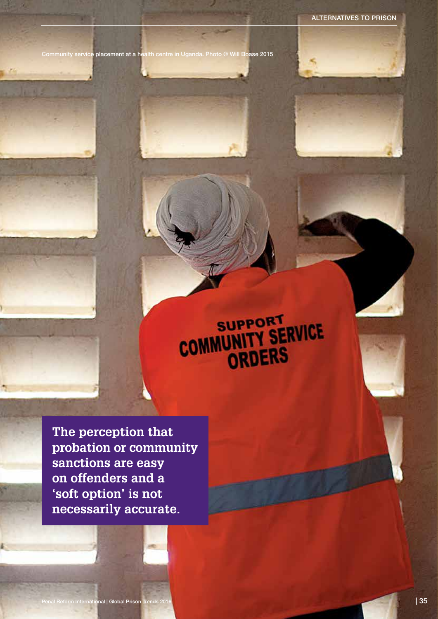Community service placement at a health centre in Uganda. Photo © Will Boase 2015

# COMMUNITY SERVICE

**The perception that probation or community sanctions are easy on offenders and a 'soft option' is not necessarily accurate.**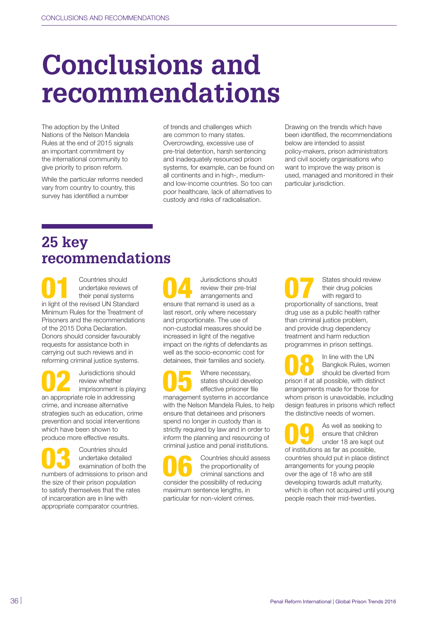# **Conclusions and recommendations**

The adoption by the United Nations of the Nelson Mandela Rules at the end of 2015 signals an important commitment by the international community to give priority to prison reform.

While the particular reforms needed vary from country to country, this survey has identified a number

of trends and challenges which are common to many states. Overcrowding, excessive use of pre-trial detention, harsh sentencing and inadequately resourced prison systems, for example, can be found on all continents and in high-, mediumand low-income countries. So too can poor healthcare, lack of alternatives to custody and risks of radicalisation.

Drawing on the trends which have been identified, the recommendations below are intended to assist policy-makers, prison administrators and civil society organisations who want to improve the way prison is used, managed and monitored in their particular jurisdiction.

## **25 key recommendations**

**1** Countries should<br>
undertake reviews of<br>
their penal systems<br>
in light of the revised UN Standard undertake reviews of their penal systems Minimum Rules for the Treatment of Prisoners and the recommendations of the 2015 Doha Declaration. Donors should consider favourably requests for assistance both in carrying out such reviews and in reforming criminal justice systems.

**02** Jurisdictions should<br>
imprisonment is playing<br> **an appropriate value in the state of the state of the state** review whether an appropriate role in addressing crime, and increase alternative strategies such as education, crime prevention and social interventions which have been shown to produce more effective results.

**03** Countries should<br>
examination of both the<br>
pumbers of odpiscies to prices and undertake detailed numbers of admissions to prison and the size of their prison population to satisfy themselves that the rates of incarceration are in line with appropriate comparator countries.

Jurisdictions should review their pre-trial arrangements and ensure that remand is used as a last resort, only where necessary and proportionate. The use of non-custodial measures should be increased in light of the negative impact on the rights of defendants as well as the socio-economic cost for detainees, their families and society.

Where necessary,<br>states should dever-<br>effective prisoner for a space states should develop effective prisoner file management systems in accordance with the Nelson Mandela Rules, to help ensure that detainees and prisoners spend no longer in custody than is strictly required by law and in order to inform the planning and resourcing of criminal justice and penal institutions.

Countries should assess the proportionality of criminal sanctions and consider the possibility of reducing maximum sentence lengths, in particular for non-violent crimes.

States should review their drug policies with regard to proportionality of sanctions, treat drug use as a public health rather than criminal justice problem, and provide drug dependency treatment and harm reduction programmes in prison settings.

**08** In line with the UN<br>Bangkok Rules, wome<br>should be diverted from<br>prison if at all possible, with distinct Bangkok Rules, women should be diverted from arrangements made for those for whom prison is unavoidable, including design features in prisons which reflect the distinctive needs of women.

as well as seeking to<br>
ensure that children<br>
under 18 are kept out<br>
of institutions as far as possible ensure that children of institutions as far as possible, countries should put in place distinct arrangements for young people over the age of 18 who are still developing towards adult maturity, which is often not acquired until young people reach their mid-twenties.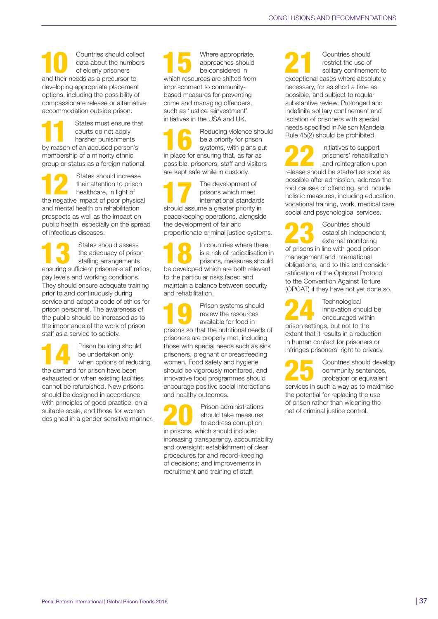Countries should collect data about the numbers of elderly prisoners and their needs as a precursor to developing appropriate placement options, including the possibility of compassionate release or alternative accommodation outside prison.

States must ensure that courts do not apply harsher punishments by reason of an accused person's membership of a minority ethnic group or status as a foreign national.

States should increase<br>their attention to prison<br>healthcare, in light of<br>the posetive import of poor physics their attention to prison healthcare, in light of the negative impact of poor physical and mental health on rehabilitation prospects as well as the impact on public health, especially on the spread of infectious diseases.

States should assess<br>the adequacy of priso<br>staffing arrangements the adequacy of prison staffing arrangements ensuring sufficient prisoner-staff ratios, pay levels and working conditions. They should ensure adequate training prior to and continuously during service and adopt a code of ethics for prison personnel. The awareness of the public should be increased as to the importance of the work of prison staff as a service to society.

Prison building should<br>
be undertaken only<br>
when options of reducing<br>
the demand for prison bays been be undertaken only the demand for prison have been exhausted or when existing facilities cannot be refurbished. New prisons should be designed in accordance with principles of good practice, on a suitable scale, and those for women designed in a gender-sensitive manner. Where appropriate,<br>approaches should<br>be considered in approaches should be considered in which resources are shifted from imprisonment to communitybased measures for preventing crime and managing offenders, such as 'justice reinvestment' initiatives in the USA and UK.

Reducing violence should be a priority for prison systems, with plans put in place for ensuring that, as far as possible, prisoners, staff and visitors are kept safe while in custody.

The development of prisons which meet international standards should assume a greater priority in peacekeeping operations, alongside the development of fair and proportionate criminal justice systems.

In countries where there<br>
is a risk of radicalisation in<br>
prisons, measures should<br>
be developed which are both relevant is a risk of radicalisation in be developed which are both relevant to the particular risks faced and maintain a balance between security and rehabilitation.

Prison systems should review the resources available for food in prisons so that the nutritional needs of prisoners are properly met, including those with special needs such as sick prisoners, pregnant or breastfeeding women. Food safety and hygiene should be vigorously monitored, and innovative food programmes should encourage positive social interactions and healthy outcomes.

Prison administrations should take measures to address corruption in prisons, which should include: increasing transparency, accountability and oversight; establishment of clear procedures for and record-keeping of decisions; and improvements in recruitment and training of staff.

2<br>
2<br>
Solitary confinement to<br>
solitary confinement to<br>
solitary confinement to restrict the use of exceptional cases where absolutely necessary, for as short a time as possible, and subject to regular substantive review. Prolonged and indefinite solitary confinement and isolation of prisoners with special needs specified in Nelson Mandela Rule 45(2) should be prohibited.

Initiatives to support prisoners' rehabilitation and reintegration upon release should be started as soon as possible after admission, address the root causes of offending, and include holistic measures, including education, vocational training, work, medical care, social and psychological services.

23 Countries should external monitoring establish independent, of prisons in line with good prison management and international obligations, and to this end consider ratification of the Optional Protocol to the Convention Against Torture (OPCAT) if they have not yet done so.

**24** Technological<br>
innovation she<br>
encouraged w innovation should be encouraged within prison settings, but not to the extent that it results in a reduction in human contact for prisoners or infringes prisoners' right to privacy.

25 Countries should develop<br>
probation or equivalent<br>
probation or equivalent<br>
probation or the maximize community sentences, services in such a way as to maximise the potential for replacing the use of prison rather than widening the net of criminal justice control.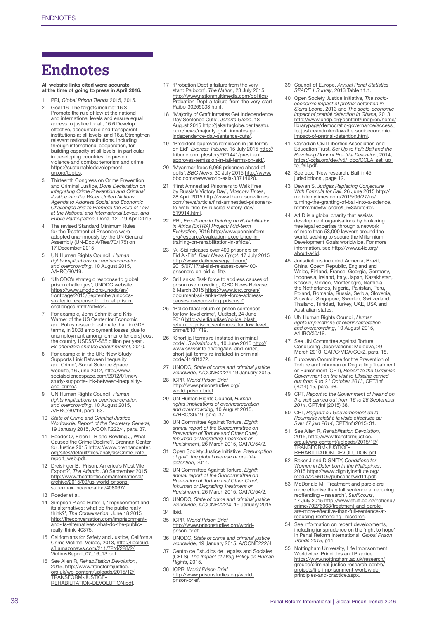## **Endnotes**

#### All website links cited were accurate at the time of going to press in April 2016.

- 1 PRI, *Global Prison Trends* 2015, 2015.
- 2 Goal 16. The targets include: 16.3 Promote the rule of law at the national and international levels and ensure equal access to justice for all; 16.6 Develop effective, accountable and transparent institutions at all levels; and 16.a Strengthen relevant national institutions, including through international cooperation, for building capacity at all levels, in particular in developing countries, to prevent violence and combat terrorism and crime [https://sustainabledevelopment.](https://sustainabledevelopment.un.org/topics) [un.org/topics.](https://sustainabledevelopment.un.org/topics)
- 3 Thirteenth Congress on Crime Prevention and Criminal Justice, *Doha Declaration on Integrating Crime Prevention and Criminal Justice into the Wider United Nations Agenda to Address Social and Economic Challenges and to Promote the Rule of Law at the National and International Levels, and Public Participation*, Doha, 12 –19 April 2015.
- 4 The revised Standard Minimum Rules for the Treatment of Prisoners were adopted unanimously by the UN General Assembly (UN-Doc A/Res/70/175) on 17 December 2015.
- 5 UN Human Rights Council, *Human rights implications of overincarceration and overcrowding*, 10 August 2015, A/HRC/30/19.
- 6 'UNODC's strategic response to global prison challenges', UNODC website, [https://www.unodc.org/unodc/en/](https://www.unodc.org/unodc/en/frontpage/2015/September/unodcs-strategic-response-to-global-prison-challenges.html?ref=fs4) [frontpage/2015/September/unodcs-](https://www.unodc.org/unodc/en/frontpage/2015/September/unodcs-strategic-response-to-global-prison-challenges.html?ref=fs4)[strategic-response-to-global-prison](https://www.unodc.org/unodc/en/frontpage/2015/September/unodcs-strategic-response-to-global-prison-challenges.html?ref=fs4)[challenges.html?ref=fs4](https://www.unodc.org/unodc/en/frontpage/2015/September/unodcs-strategic-response-to-global-prison-challenges.html?ref=fs4).
- 7 For example, John Schmitt and Kris Warner of the US Center for Economic and Policy research estimate that 'in GDP terms, in 2008 employment losses [due to unemployment among former offenders] cost the country USD\$57-\$65 billion per year'. *Ex-offenders and the labour market*, 2010.
- 8 For example: in the UK: 'New Study<br>
Supports Link Between Inequality<br>
and Crime', Social Science Space<br>
website, 16 June 2012, [http://www.](http://www.socialsciencespace.com/2012/01/new-study-supports-link-between-inequality-and-crime/)<br> [socialsciencespace.com/2012/01/new](http://www.socialsciencespace.com/2012/01/new-study-supports-link-between-inequality-and-crime/)[study-supports-link-between-inequality](http://www.socialsciencespace.com/2012/01/new-study-supports-link-between-inequality-and-crime/)[and-crime/.](http://www.socialsciencespace.com/2012/01/new-study-supports-link-between-inequality-and-crime/)
- 9 UN Human Rights Council, *Human rights implications of overincarceration and overcrowding*, 10 August 2015, A/HRC/30/19, para. 63.
- 10 *State of Crime and Criminal Justice Worldwide: Report of the Secretary General*, 19 January 2015, A/CONF.222/4, para. 37.
- 11 Roeder O, Eisen L-B and Bowling J, What Caused the Crime Decline?, Brennan Center for Justice 2015 [https://www.brennancenter.](https://www.brennancenter.org/sites/default/files/analysis/Crime_rate_report_web.pdf) [org/sites/default/files/analysis/Crime\\_rate\\_](https://www.brennancenter.org/sites/default/files/analysis/Crime_rate_report_web.pdf) [report\\_web.pdf](https://www.brennancenter.org/sites/default/files/analysis/Crime_rate_report_web.pdf).
- 12 Dreisinger B, 'Prison: America's Most Vile Export?', *The Atlantic*, 30 September 2015 [http://www.theatlantic.com/international/](http://www.theatlantic.com/international/archive/2015/09/us-world-prisons-supermax-incarceration/408067/) [archive/2015/09/us-world-prisons](http://www.theatlantic.com/international/archive/2015/09/us-world-prisons-supermax-incarceration/408067/)supermax-incarceration/408067/
- 13 Roeder et al.
- 14 Simpson P and Butler T, 'Imprisonment and its alternatives: what do the public really think?', *The Conversation*, June 18 2015 [http://theconversation.com/imprisonment](http://theconversation.com/imprisonment-and-its-alternatives-what-do-the-public-really-think-40375)[and-its-alternatives-what-do-the-public](http://theconversation.com/imprisonment-and-its-alternatives-what-do-the-public-really-think-40375)[really-think-40375.](http://theconversation.com/imprisonment-and-its-alternatives-what-do-the-public-really-think-40375)
- 15 Californians for Safety and Justice, California Crime Victims' Voices, 2013, [http://libcloud.](http://libcloud.s3.amazonaws.com/211/72/d/228/2/VictimsReport_07_16_13.pdf) [s3.amazonaws.com/211/72/d/228/2/](http://libcloud.s3.amazonaws.com/211/72/d/228/2/VictimsReport_07_16_13.pdf)<br>[VictimsReport\\_07\\_16\\_13.pdf.](http://libcloud.s3.amazonaws.com/211/72/d/228/2/VictimsReport_07_16_13.pdf)
- 16 See Allen R, *Rehabilitation Devolution*, 2015, [http://www.transformjustice.](http://www.transformjustice.org.uk/wp-content/uploads/2015/12/TRANSFORM-JUSTICE-REHABILITATION-DEVOLUTION.pdf) [org.uk/wp-content/uploads/2015/12/](http://www.transformjustice.org.uk/wp-content/uploads/2015/12/TRANSFORM-JUSTICE-REHABILITATION-DEVOLUTION.pdf) [TRANSFORM-JUSTICE-](http://www.transformjustice.org.uk/wp-content/uploads/2015/12/TRANSFORM-JUSTICE-REHABILITATION-DEVOLUTION.pdf)[REHABILITATION-DEVOLUTION.pdf.](http://www.transformjustice.org.uk/wp-content/uploads/2015/12/TRANSFORM-JUSTICE-REHABILITATION-DEVOLUTION.pdf)
- 17 'Probation Dept a failure from the very start: Paiboon', *The Nation*, 23 July 2015 [http://www.nationmultimedia.com/politics/](http://www.nationmultimedia.com/politics/Probation-Dept-a-failure-from-the-very-start-Paibo-30265033.html) [Probation-Dept-a-failure-from-the-very-start-](http://www.nationmultimedia.com/politics/Probation-Dept-a-failure-from-the-very-start-Paibo-30265033.html)[Paibo-30265033.html.](http://www.nationmultimedia.com/politics/Probation-Dept-a-failure-from-the-very-start-Paibo-30265033.html)
- 18 'Majority of Graft Inmates Get Independence Day Sentence Cuts', *Jakarta Globe*, 18 August 2015 [http://jakartaglobe.beritasatu.](http://jakartaglobe.beritasatu.com/news/majority-graft-inmates-get-independence-day-sentence-cuts/) [com/news/majority-graft-inmates-get-](http://jakartaglobe.beritasatu.com/news/majority-graft-inmates-get-independence-day-sentence-cuts/)[independence-day-sentence-cuts/.](http://jakartaglobe.beritasatu.com/news/majority-graft-inmates-get-independence-day-sentence-cuts/)
- 19 'President approves remission in jail terms on Eid', *Express Tribune*, 15 July 2015 [http://](http://tribune.com.pk/story/921441/president-approves-remission-in-jail-terms-on-eid/) [tribune.com.pk/story/921441/president](http://tribune.com.pk/story/921441/president-approves-remission-in-jail-terms-on-eid/)[approves-remission-in-jail-terms-on-eid/.](http://tribune.com.pk/story/921441/president-approves-remission-in-jail-terms-on-eid/)
- 20 'Myanmar frees 6,966 prisoners ahead of polls', *BBC News*, 30 July 2015 [http://www.](http://www.bbc.com/news/world-asia-33714620) [bbc.com/news/world-asia-33714620.](http://www.bbc.com/news/world-asia-33714620)
- 'First Amnestied Prisoners to Walk Free by Russia's Victory Day', *Moscow Times,*<br>28 April 2015 <u>http://www.themoscowtimes.</u><br>[com/news/article/first-amnestied-prisoners](http://www.themoscowtimes.com/news/article/first-amnestied-prisoners-to-walk-free-by-russias-victory-day/519914.html)[to-walk-free-by-russias-victory-day/](http://www.themoscowtimes.com/news/article/first-amnestied-prisoners-to-walk-free-by-russias-victory-day/519914.html) [519914.html.](http://www.themoscowtimes.com/news/article/first-amnestied-prisoners-to-walk-free-by-russias-victory-day/519914.html)
- 22 PRI, *Excellence in Training on Rehabilitation in Africa (ExTRA) Project: Mid-term Evaluation*, 2016 [http://www.penalreform.](http://www.penalreform.org/resource/evaluation-excellence-in-training-on-rehabilitation-in-africa/) [org/resource/evaluation-excellence-in](http://www.penalreform.org/resource/evaluation-excellence-in-training-on-rehabilitation-in-africa/)[training-on-rehabilitation-in-africa/](http://www.penalreform.org/resource/evaluation-excellence-in-training-on-rehabilitation-in-africa/).
- 23 'Al-Sisi releases over 400 prisoners on Eid Al-Fitr', *Daily News Egypt*, 17 July 2015 [http://www.dailynewsegypt.com/](http://www.dailynewsegypt.com/2015/07/17/al-sisi-releases-over-400-prisoners-on-eid-al-fitr/) [2015/07/17/al-sisi-releases-over-400](http://www.dailynewsegypt.com/2015/07/17/al-sisi-releases-over-400-prisoners-on-eid-al-fitr/) [prisoners-on-eid-al-fitr/](http://www.dailynewsegypt.com/2015/07/17/al-sisi-releases-over-400-prisoners-on-eid-al-fitr/).
- 24 Sri Lanka: Task force to address causes of prison overcrowding, ICRC News Release, 6 March 2015 [https://www.icrc.org/en/](https://www.icrc.org/en/document/sri-lanka-task-force-address-causes-overcrowding-prisons-0) [document/sri-lanka-task-force-address](https://www.icrc.org/en/document/sri-lanka-task-force-address-causes-overcrowding-prisons-0)[causes-overcrowding-prisons-0](https://www.icrc.org/en/document/sri-lanka-task-force-address-causes-overcrowding-prisons-0).
- 25 'Police blast return of prison sentences<br>for low-level crime', Uutitset, 24 June<br>2016 http://yle.fi/uutiset/police\_blast [return\\_of\\_prison\\_sentences\\_for\\_low-level\\_](http://yle.fi/uutiset/police_blast_return_of_prison_sentences_for_low-level_crime/8101719) [crime/8101719.](http://yle.fi/uutiset/police_blast_return_of_prison_sentences_for_low-level_crime/8101719)
- 26 'Short jail terms re-instated in criminal code', *SwissInfo.ch.*, 10 June 2015 [http://](http://www.swissinfo.ch/eng/law-and-order_short-jail-terms-re-instated-in-criminal-code/41481372 ) [www.swissinfo.ch/eng/law-and-order\\_](http://www.swissinfo.ch/eng/law-and-order_short-jail-terms-re-instated-in-criminal-code/41481372 ) [short-jail-terms-re-instated-in-criminal](http://www.swissinfo.ch/eng/law-and-order_short-jail-terms-re-instated-in-criminal-code/41481372 )[code/41481372](http://www.swissinfo.ch/eng/law-and-order_short-jail-terms-re-instated-in-criminal-code/41481372 ).
- 27 UNODC, *State of crime and criminal justice worldwide*, A/CONF.222/4 19 January 2015.
- 28 ICPR, *World Prison Brief* [http://www.prisonstudies.org/](http://www.prisonstudies.org/world-prison-brief) [world-prison-brief.](http://www.prisonstudies.org/world-prison-brief)
- 29 UN Human Rights Council, *Human rights implications of overincarceration and overcrowding*, 10 August 2015, A/HRC/30/19, para. 37.
- 30 UN Committee Against Torture, *Eighth annual report of the Subcommittee on Prevention of Torture and Other Cruel, Inhuman or Degrading Treatment or Punishment*, 26 March 2015, CAT/C/54/2.
- 31 Open Society Justice Initiative, *Presumption of guilt: the global overuse of pre-trial detention*, 2014.
- 32 UN Committee Against Torture, *Eighth annual report of the Subcommittee on Prevention of Torture and Other Cruel, Inhuman or Degrading Treatment or Punishment*, 26 March 2015, CAT/C/54/2.
- 33 UNODC, *State of crime and criminal justice worldwide*, A/CONF.222/4, 19 January 2015.
- 34 Ibid.
- 35 ICPR, *World Prison Brief* [http://www.prisonstudies.org/world](http://www.prisonstudies.org/world-prison-brief)[prison-brief.](http://www.prisonstudies.org/world-prison-brief)
- 36 UNODC, *State of crime and criminal justice worldwide*, 19 January 2015, A/CONF.222/4.
- 37 Centro de Estudios de Legales and Sociales (CELS), *The Impact of Drug Policy on Human Rights*, 2015.
- 38 ICPR, *World Prison Brief* [http://www.prisonstudies.org/world](http://www.prisonstudies.org/world-prison-brief)[prison-brief.](http://www.prisonstudies.org/world-prison-brief)
- 39 Council of Europe, *Annual Penal Statistics SPACE 1 Survey*, 2013 Table 11.1.
- 40 Open Society Justice Initiative, *The socio-economic impact of pretrial detention in Sierra Leone*, 2013 and *The socio-economic impact of pretrial detention in Ghana*, 2013. [http://www.undp.org/content/undp/en/home/](http://www.undp.org/content/undp/en/home/librarypage/democratic-governance/access_to_justiceandruleoflaw/the-socioeconomic-impact-of-pretrial-detention.html) [librarypage/democratic-governance/access\\_](http://www.undp.org/content/undp/en/home/librarypage/democratic-governance/access_to_justiceandruleoflaw/the-socioeconomic-impact-of-pretrial-detention.html) [to\\_justiceandruleoflaw/the-socioeconomic-](http://www.undp.org/content/undp/en/home/librarypage/democratic-governance/access_to_justiceandruleoflaw/the-socioeconomic-impact-of-pretrial-detention.html)[impact-of-pretrial-detention.html](http://www.undp.org/content/undp/en/home/librarypage/democratic-governance/access_to_justiceandruleoflaw/the-socioeconomic-impact-of-pretrial-detention.html).
- 41 Canadian Civil Liberties Association and Education Trust, *Set Up to Fail: Bail and the Revolving Door of Pre-trial Detention*, 2014, [https://ccla.org/dev/v5/\\_doc/CCLA\\_set\\_up\\_](https://ccla.org/dev/v5/_doc/CCLA_set_up_to_fail.pdf) [to\\_fail.pdf](https://ccla.org/dev/v5/_doc/CCLA_set_up_to_fail.pdf).
- 42 See box: 'New research: Bail in 45 jurisdictions', page 12.
- 43 Dewan S, *Judges Replacing Conjecture With Formula for Bail*, 26 June 2015 [http://](http://mobile.nytimes.com/2015/06/27/us/turning-the-granting-of-bail-into-a-science.html?smid=tw-share&_r=3&referrer) [mobile.nytimes.com/2015/06/27/us/](http://mobile.nytimes.com/2015/06/27/us/turning-the-granting-of-bail-into-a-science.html?smid=tw-share&_r=3&referrer) [turning-the-granting-of-bail-into-a-science.](http://mobile.nytimes.com/2015/06/27/us/turning-the-granting-of-bail-into-a-science.html?smid=tw-share&_r=3&referrer) html?smid=tw-share&\_r=3&referrer
- 44 A4ID is a global charity that assists development organisations by brokering free legal expertise through a network of more than 53,000 lawyers around the world, seeking to secure the Millennium Development Goals worldwide. For more information, see [http://www.a4id.org/](http://www.a4id.org/about-a4id) [about-a4id.](http://www.a4id.org/about-a4id)
- 45 Jurisdictions included Armenia, Brazil, China, Czech Republic, England and Wales, Finland, France, Georgia, Germany, Indonesia, Ireland, Italy, Japan, Kazakhstan, Kosovo, Mexico, Montenegro, Namibia, the Netherlands, Nigeria, Pakistan, Peru, Poland, Romania, Russia, Serbia, Slovenia, Slovakia, Singapore, Sweden, Switzerland, Thailand, Trinidad, Turkey, UAE, USA and Australian states.
- 46 UN Human Rights Council, *Human rights implications of overincarceration and overcrowding*, 10 August 2015, A/HRC/30/19.
- 47 See UN Committee Against Torture, Concluding Observations: Moldova, 29 March 2010, CAT/C/MDA/CO/2, para. 18.
- 48 European Committee for the Prevention of Torture and Inhuman or Degrading Treatment or Punishment (CPT), *Report to the Ukrainian Government on the visit to Ukraine carried out from 9 to 21 October 2013*, CPT/Inf (2014) 15, para. 98.
- 49 CPT, *Report to the Government of Ireland on the visit carried out from 16 to 26 September 2014*, CPT/Inf (2015) 38.
- 50 CPT, *Rapport au Gouvernement de la Roumanie relatif à la visite effectuée du 5 au 17 juin 2014*, CPT/Inf (2015) 31.
- 51 See Allen R, *Rehabilitation Devolution*, 2015, [http://www.transformjustice.](http://www.transformjustice.org.uk/wp-content/uploads/2015/12/TRANSFORM-JUSTICE-REHABILITATION-DEVOLUTION.pdf) [org.uk/wp-content/uploads/2015/12/](http://www.transformjustice.org.uk/wp-content/uploads/2015/12/TRANSFORM-JUSTICE-REHABILITATION-DEVOLUTION.pdf) [TRANSFORM-JUSTICE-](http://www.transformjustice.org.uk/wp-content/uploads/2015/12/TRANSFORM-JUSTICE-REHABILITATION-DEVOLUTION.pdf)[REHABILITATION-DEVOLUTION.pdf.](http://www.transformjustice.org.uk/wp-content/uploads/2015/12/TRANSFORM-JUSTICE-REHABILITATION-DEVOLUTION.pdf)
- 52 Baker J and DIGNITY, *Conditions for Women in Detention in the Philippines*, 2015 [https://www.dignityinstitute.org/](https://www.dignityinstitute.org/media/2066109/pubserieswid11.pdf) [media/2066109/pubserieswid11.pdf.](https://www.dignityinstitute.org/media/2066109/pubserieswid11.pdf)
- McDonald M, 'Treatment and parole are more effective than full sentence at reducing reoffending – research', *Stuff.co.nz*, 17 July 2015 [http://www.stuff.co.nz/national/](http://www.stuff.co.nz/national/crime/70276063/treatment-and-parole-are-more-effective-than-full-sentence-at-reducing-reoffending--research) [crime/70276063/treatment-and-parole](http://www.stuff.co.nz/national/crime/70276063/treatment-and-parole-are-more-effective-than-full-sentence-at-reducing-reoffending--research)[are-more-effective-than-full-sentence-at](http://www.stuff.co.nz/national/crime/70276063/treatment-and-parole-are-more-effective-than-full-sentence-at-reducing-reoffending--research)[reducing-reoffending--research.](http://www.stuff.co.nz/national/crime/70276063/treatment-and-parole-are-more-effective-than-full-sentence-at-reducing-reoffending--research)
- See information on recent developments. including jurisprudence on the 'right to hope' in Penal Reform International, *Global Prison Trends 2015*, p11.
- 55 Nottingham University, Life Imprisonment Worldwide: Principles and Practice [https://www.nottingham.ac.uk/research/](https://www.nottingham.ac.uk/research/groups/criminal-justice-research-centre/projects/life-imprisonment-worldwide-principles-and-practice.aspx) [groups/criminal-justice-research-centre/](https://www.nottingham.ac.uk/research/groups/criminal-justice-research-centre/projects/life-imprisonment-worldwide-principles-and-practice.aspx) [projects/life-imprisonment-worldwide](https://www.nottingham.ac.uk/research/groups/criminal-justice-research-centre/projects/life-imprisonment-worldwide-principles-and-practice.aspx)[principles-and-practice.aspx.](https://www.nottingham.ac.uk/research/groups/criminal-justice-research-centre/projects/life-imprisonment-worldwide-principles-and-practice.aspx)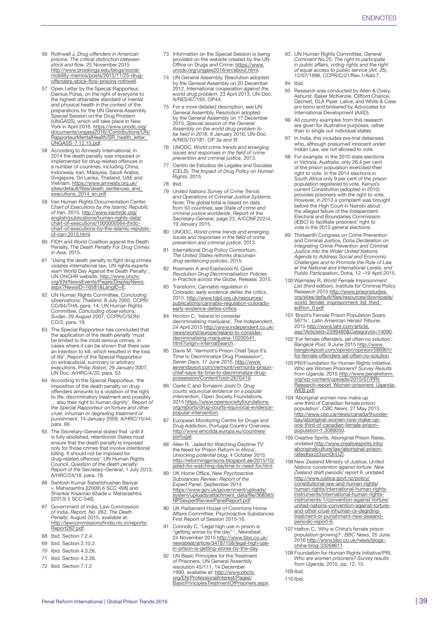- 56 Rothwell J, *Drug offenders in American prisons: The critical distinction between stock and flow*. 25 November 2015 [http://www.brookings.edu/blogs/social](http://www.brookings.edu/blogs/social-mobility-memos/posts/2015/11/25-drug-offenders-stock-flow-prisons-rothwell)[mobility-memos/posts/2015/11/25-drug](http://www.brookings.edu/blogs/social-mobility-memos/posts/2015/11/25-drug-offenders-stock-flow-prisons-rothwell)[offenders-stock-flow-prisons-rothwell.](http://www.brookings.edu/blogs/social-mobility-memos/posts/2015/11/25-drug-offenders-stock-flow-prisons-rothwell)
- 57 Open Letter by the Special Rapporteur, Dainius Pūras, on the right of everyone to<br>the highest attainable standard of mental and physical health in the context of the preparations for the UN General Assembly Special Session on the Drug Problem (UNGASS), which will take place in New York in April 2016. <u>[https://www.unodc.org/](https://www.unodc.org/documents/ungass2016//Contributions/UN/RapporteurMentalHealth/SR_health_letter_UNGASS_7.12.15.pdf)</u><br>[documents/ungass2016//Contributions/UN/](https://www.unodc.org/documents/ungass2016//Contributions/UN/RapporteurMentalHealth/SR_health_letter_UNGASS_7.12.15.pdf)<br>[RapporteurMentalHealth/SR\\_health\\_letter\\_](https://www.unodc.org/documents/ungass2016//Contributions/UN/RapporteurMentalHealth/SR_health_letter_UNGASS_7.12.15.pdf)<br>[UNGASS\\_7.12.15.pdf](https://www.unodc.org/documents/ungass2016//Contributions/UN/RapporteurMentalHealth/SR_health_letter_UNGASS_7.12.15.pdf).
- 58 According to Amnesty International, in 2014 the death penalty was imposed or implemented for drug-related offences in a number of countries, including China, Indonesia, Iran, Malaysia, Saudi Arabia, Singapore, Sri Lanka, Thailand, UAE and Vietnam. [https://www.amnesty.org.uk/](https://www.amnesty.org.uk/sites/default/files/death_sentences_and_executions_2014_en.pdf) sites/default/files/death\_sentences\_and [executions\\_2014\\_en.pdf](https://www.amnesty.org.uk/sites/default/files/death_sentences_and_executions_2014_en.pdf).
- 59 Iran Human Rights Documentation Center, *Chart of Executions by the Islamic Republic of Iran*, 2015. [http://www.iranhrdc.org/](http://www.iranhrdc.org/english/publications/human-rights-data/chart-of-executions/1000000564-ihrdc-chart-of-executions-by-the-islamic-republic-of-iran-2015.html) [english/publications/human-rights-data/](http://www.iranhrdc.org/english/publications/human-rights-data/chart-of-executions/1000000564-ihrdc-chart-of-executions-by-the-islamic-republic-of-iran-2015.html) [chart-of-executions/1000000564-ihrdc-](http://www.iranhrdc.org/english/publications/human-rights-data/chart-of-executions/1000000564-ihrdc-chart-of-executions-by-the-islamic-republic-of-iran-2015.html)[chart-of-executions-by-the-islamic-republic](http://www.iranhrdc.org/english/publications/human-rights-data/chart-of-executions/1000000564-ihrdc-chart-of-executions-by-the-islamic-republic-of-iran-2015.html)[of-iran-2015.html](http://www.iranhrdc.org/english/publications/human-rights-data/chart-of-executions/1000000564-ihrdc-chart-of-executions-by-the-islamic-republic-of-iran-2015.html).
- 60 FIDH and World Coalition against the Death Penalty, *The Death Penalty For Drug Crimes in Asia*, 2015.
- 61 'Using the death penalty to fight drug crimes violates international law, UN rights experts<br>warn World Day Against the Death Penalty',<br>UN OHCHR website, <u>[http://www.ohchr.](http://www.ohchr.org/EN/NewsEvents/Pages/DisplayNews.aspx?NewsID=16581&LangID=E)</u> [org/EN/NewsEvents/Pages/DisplayNews.](http://www.ohchr.org/EN/NewsEvents/Pages/DisplayNews.aspx?NewsID=16581&LangID=E) [aspx?NewsID=16581&LangID=E.](http://www.ohchr.org/EN/NewsEvents/Pages/DisplayNews.aspx?NewsID=16581&LangID=E)
- 62 UN Human Rights Committee, *Concluding observations: Thailand*, 8 July 2005, CCPR/ CO/84/THA, para. 14; UN Human Rights Committee, *Concluding observations: Sudan*, 29 August 2007, CCPR/C/SDN/ CO/3, para. 19.
- 63 The Special Rapporteur has concluded that the application of the death penalty 'must be limited to the most serious crimes, in cases where it can be shown that there was an intention to kill, which resulted in the loss of life'. Report of the Special Rapporteur on extrajudicial, summary or arbitrary executions, Philip Alston, 29 January 2007, UN Doc. A/HRC/4/20, para. 53.
- 64 According to the Special Rapporteur, 'the imposition of the death penalty on drug offenders amounts to a violation of the right to life, discriminatory treatment and possibly ... also their right to human dignity'. *Report of the Special Rapporteur on torture and other cruel, inhuman or degrading treatment or punishment*, 14 January 2009, A/HRC/10/44, para. 66.
- 65 The Secretary-General stated that 'until it is fully abolished, retentionist States must ensure that the death penalty is imposed only for those crimes that involve intentional killing. It should not be imposed for drug-related offences'. UN Human Rights Council, *Question of the death penalty: Report of the Secretary-General*, 1 July 2013, A/HRC/24/18, para. 78.
- 66 Santosh Kumar Satishbhushan Bariyar v. Maharashtra [(2009) 6 SCC 498] and Shankar Kisanrao Khade v. Maharashtra [(2013) 5 SCC 546].
- 67 Government of India, Law Commission of India, *Report, No. 262, The Death Penalty*, August 2015, available at: [http://lawcommissionofindia.nic.in/reports/](http://lawcommissionofindia.nic.in/reports/Report262.pdf) [Report262.pdf.](http://lawcommissionofindia.nic.in/reports/Report262.pdf)
- 68 Ibid. Section 7.2.4.
- 69 Ibid. Section 3.10.2.
- 70 Ibid. Section 4.3.26.
- 71 Ibid. Section 4.3.26.
- 72 Ibid. Section 7.1.2
- 73 Information on the Special Session is being provided on the website created by the UN Office on Drugs and Crime: [https://www.](https://www.unodc.org/ungass2016/en/about.html) [unodc.org/ungass2016/en/about.html.](https://www.unodc.org/ungass2016/en/about.html)
- 74 UN General Assembly, Resolution adopted by the General Assembly on 20 December 2012, *International cooperation against the world drug problem*, 23 April 2013, UN-Doc. A/RES/67/193, OP44.
- 75 For a more detailed description, see UN General Assembly, Resolution adopted by the General Assembly on 17 December 2015, *Special session of the General Assembly on the world drug problem to be held in 2016*, 8 January 2016, UN-Doc. A/RES/70/181, OP 3a and 3f.
- 76 UNODC, *World crime trends and emerging issues and responses in the field of crime prevention and criminal justice*, 2013.
- 77 Centro de Estudios de Legales and Sociales (CELS), *The Impact of Drug Policy on Human Rights*, 2015.
- 78 Ibid.
- 79 *United Nations Survey of Crime Trends and Operations of Criminal Justice Systems*. Note: The global total is based on data from 53 countries; see *State of crime and criminal justice worldwide*, Report of the Secretary-General, page 23, A/CONF.222/4, 19 January 2015.
- 80 UNODC, *World crime trends and emerging issues and responses in the field of crime prevention and criminal justice*, 2013.
- 81 International Drug Policy Consortium, *The United States rethinks draconian drug sentencing policies*, 2015.
- 82 Rosmarin A and Eastwood N, *Quiet Revolution Drug Decriminalisation Policies in Practice across the Globe*, Release, 2015.
- 83 Transform, *Cannabis regulation in Colorado: early evidence defies the critics*, 2015. [http://www.tdpf.org.uk/resources/](http://www.tdpf.org.uk/resources/publications/cannabis-regulation-colorado-early-evidence-defies-critics) [publications/cannabis-regulation-colorado](http://www.tdpf.org.uk/resources/publications/cannabis-regulation-colorado-early-evidence-defies-critics)[early-evidence-defies-critics.](http://www.tdpf.org.uk/resources/publications/cannabis-regulation-colorado-early-evidence-defies-critics)
- 84 Hooton C, 'Ireland to consider decriminalising marijuana', *The Independent*, 24 April 2015 [http://www.independent.co.uk/](http://www.independent.co.uk/news/world/europe/ireland-to-consider-decriminalising-marijuana-10200541.html?origin=internalSearch) [news/world/europe/ireland-to-consider](http://www.independent.co.uk/news/world/europe/ireland-to-consider-decriminalising-marijuana-10200541.html?origin=internalSearch)[decriminalising-marijuana-10200541.](http://www.independent.co.uk/news/world/europe/ireland-to-consider-decriminalising-marijuana-10200541.html?origin=internalSearch) [html?origin=internalSearch](http://www.independent.co.uk/news/world/europe/ireland-to-consider-decriminalising-marijuana-10200541.html?origin=internalSearch).
- 85 Davis M, 'Vermont's Prison Chief Says It's Time to Decriminalize Drug Possession', *Seven Days*, 17 June 2015, [http://www.](http://www.sevendaysvt.com/vermont/vermonts-prison-chief-says-its-time-to-decriminalize-drug-possession/Content?oid=2670419) [sevendaysvt.com/vermont/vermonts-prison](http://www.sevendaysvt.com/vermont/vermonts-prison-chief-says-its-time-to-decriminalize-drug-possession/Content?oid=2670419)[chief-says-its-time-to-decriminalize-drug-](http://www.sevendaysvt.com/vermont/vermonts-prison-chief-says-its-time-to-decriminalize-drug-possession/Content?oid=2670419)[possession/Content?oid=2670419.](http://www.sevendaysvt.com/vermont/vermonts-prison-chief-says-its-time-to-decriminalize-drug-possession/Content?oid=2670419)
- 86 Csete C and Tomasini-Joshi D, *Drug courts: equivocal evidence on a popular intervention*, Open Society Foundations, 2015 [https://www.opensocietyfoundations.](https://www.opensocietyfoundations.org/reports/drug-courts-equivocal-evidence-popular-intervention) [org/reports/drug-courts-equivocal-evidence-](https://www.opensocietyfoundations.org/reports/drug-courts-equivocal-evidence-popular-intervention)[popular-intervention](https://www.opensocietyfoundations.org/reports/drug-courts-equivocal-evidence-popular-intervention).
- 87 European Monitoring Centre for Drugs and Drug Addiction, Portugal Country Overview, [http://www.emcdda.europa.eu/countries/](http://www.emcdda.europa.eu/countries/portugal) [portugal](http://www.emcdda.europa.eu/countries/portugal)
- 88 Allen R, 'Jailed for Watching Daytime TV: the Need for Prison Reform in Africa', *Unlocking potential blog*, 4 October 2015 [http://reformingprisons.blogspot.ae/2015/10/](http://reformingprisons.blogspot.ae/2015/10/jailed-for-watching-daytime-tv-need-for.html) [jailed-for-watching-daytime-tv-need-for.html](http://reformingprisons.blogspot.ae/2015/10/jailed-for-watching-daytime-tv-need-for.html).
- 89 UK Home Office, *New Psychoactive Substances Review: Report of the Expert Panel*, September 2014 [https://www.gov.uk/government/uploads/](https://www.gov.uk/government/uploads/system/uploads/attachment_data/file/368583/NPSexpertReviewPanelReport.pdf) [system/uploads/attachment\\_data/file/368583/](https://www.gov.uk/government/uploads/system/uploads/attachment_data/file/368583/NPSexpertReviewPanelReport.pdf) [NPSexpertReviewPanelReport.pdf](https://www.gov.uk/government/uploads/system/uploads/attachment_data/file/368583/NPSexpertReviewPanelReport.pdf).
- UK Parliament House of Commons Home Affairs Committee, Psychoactive Substances First Report of Session 2015-16.
- 91 Connolly C, 'Legal high use in prison is "getting worse by the day" ', *Newsbeat*, 24 November 2015 [http://www.bbc.co.uk/](http://www.bbc.co.uk/newsbeat/article/34787158/legal-high-use-in-prison-is-getting-worse-by-the-day) [newsbeat/article/34787158/legal-high-use](http://www.bbc.co.uk/newsbeat/article/34787158/legal-high-use-in-prison-is-getting-worse-by-the-day)[in-prison-is-getting-worse-by-the-day](http://www.bbc.co.uk/newsbeat/article/34787158/legal-high-use-in-prison-is-getting-worse-by-the-day).
- 92 UN Basic Principles for the Treatment of Prisoners, UN General Assembly resolution 45/111, 14 December 1990, available at: [http://www.ohchr.](http://www.ohchr.org/EN/ProfessionalInterest/Pages/BasicPrinciplesTreatmentOfPrisoners.aspx) [org/EN/ProfessionalInterest/Pages/](http://www.ohchr.org/EN/ProfessionalInterest/Pages/BasicPrinciplesTreatmentOfPrisoners.aspx) [BasicPrinciplesTreatmentOfPrisoners.aspx.](http://www.ohchr.org/EN/ProfessionalInterest/Pages/BasicPrinciplesTreatmentOfPrisoners.aspx)
- 93 UN Human Rights Committee, *General Comment No.25: The right to participate in public affairs, voting rights and the right of equal access to public service (Art. 25)*, 12/07/1996, CCPR/C/21/Rev.1/Add.7.
- 94 Ibid.
- 95 Research was conducted by Allen & Overy, Ashurst, Baker McKenzie, Clifford Chance, Dechert, DLA Piper, Lalive, and White & Case pro bono and brokered by Advocates for International Development (A4ID).
- 96 All country examples from this research are given for illustrative purposes, rather than to single out individual states.
- In India, this includes pre-trial detainees who, although presumed innocent under Indian Law, are not allowed to vote.
- 98 For example: in the 2010 state elections in Victoria, Australia, only 26.4 per cent of the prison population exercised their right to vote. In the 2014 elections in South Africa only 9 per cent of the prison population registered to vote. Kenya's current Constitution (adopted in 2010) provides prisoners with the right to vote. However, in 2012 a complaint was brought before the High Court in Nairobi about the alleged failure of the Independent Electoral and Boundaries Commission (IEBC) to facilitate prisoners' right to vote in the 2013 general elections.
- 99 Thirteenth Congress on Crime Prevention and Criminal Justice, *Doha Declaration on Integrating Crime Prevention and Criminal Justice into the Wider United Nations Agenda to Address Social and Economic Challenges and to Promote the Rule of Law at the National and International Levels, and Public Participation*, Doha, 12 –19 April 2015.
- 100 Walmsley R, *World Female Imprisonment List* (third edition), Institute for Criminal Policy Research 2015 [http://www.prisonstudies.](http://www.prisonstudies.org/sites/default/files/resources/downloads/world_female_imprisonment_list_third_edition_0.pdf) [org/sites/default/files/resources/downloads/](http://www.prisonstudies.org/sites/default/files/resources/downloads/world_female_imprisonment_list_third_edition_0.pdf) [world\\_female\\_imprisonment\\_list\\_third\\_](http://www.prisonstudies.org/sites/default/files/resources/downloads/world_female_imprisonment_list_third_edition_0.pdf) [edition\\_0.pdf](http://www.prisonstudies.org/sites/default/files/resources/downloads/world_female_imprisonment_list_third_edition_0.pdf).
- 101 'Brazil's Female Prison Population Soars 567%', *Latin American Herald Tribune*, 2015 [http://www.laht.com/article.](http://www.laht.com/article.asp?ArticleId=2399480&CategoryId=14090) [asp?ArticleId=2399480&CategoryId=14090.](http://www.laht.com/article.asp?ArticleId=2399480&CategoryId=14090)
- 102 'For female offenders, jail often no solution', *Bangkok Post*, 9 June 2015 [http://www.](http://www.bangkokpost.com/opinion/opinion/586901/for-female-offenders-jail-often-no-solution) [bangkokpost.com/opinion/opinion/586901/](http://www.bangkokpost.com/opinion/opinion/586901/for-female-offenders-jail-often-no-solution) [for-female-offenders-jail-often-no-solution.](http://www.bangkokpost.com/opinion/opinion/586901/for-female-offenders-jail-often-no-solution)
- 103 PRI/Foundation for Human Rights Initiative, *Who are Women Prisoners? Survey Results from Uganda*, 2015 [http://www.penalreform.](http://www.penalreform.org/wp-content/uploads/2015/07/PRI-Research-report_Women-prisoners_Uganda-WEB.pdf) [org/wp-content/uploads/2015/07/PRI-](http://www.penalreform.org/wp-content/uploads/2015/07/PRI-Research-report_Women-prisoners_Uganda-WEB.pdf)[Research-report\\_Women-prisoners\\_Uganda-](http://www.penalreform.org/wp-content/uploads/2015/07/PRI-Research-report_Women-prisoners_Uganda-WEB.pdf)[WEB.pdf.](http://www.penalreform.org/wp-content/uploads/2015/07/PRI-Research-report_Women-prisoners_Uganda-WEB.pdf)
- 104 'Aboriginal women now make up one-third of Canadian female prison population', *CBC News*, 27 May 2015. [http://www.cbc.ca/news/canada/thunder](http://www.cbc.ca/news/canada/thunder-bay/aboriginal-women-now-make-up-one-third-of-canadian-female-prison-population-1.3089050)[bay/aboriginal-women-now-make-up-](http://www.cbc.ca/news/canada/thunder-bay/aboriginal-women-now-make-up-one-third-of-canadian-female-prison-population-1.3089050)[one-third-of-canadian-female-prison](http://www.cbc.ca/news/canada/thunder-bay/aboriginal-women-now-make-up-one-third-of-canadian-female-prison-population-1.3089050)[population-1.3089050.](http://www.cbc.ca/news/canada/thunder-bay/aboriginal-women-now-make-up-one-third-of-canadian-female-prison-population-1.3089050)
- 105 Creative Spirits, Aboriginal Prison Rates, undated [http://www.creativespirits.info/](http://www.creativespirits.info/aboriginalculture/law/aboriginal-prison-rates#axzz3sxnOcUZl) [aboriginalculture/law/aboriginal-prison](http://www.creativespirits.info/aboriginalculture/law/aboriginal-prison-rates#axzz3sxnOcUZl)[rates#axzz3sxnOcUZl](http://www.creativespirits.info/aboriginalculture/law/aboriginal-prison-rates#axzz3sxnOcUZl).
- 106 New Zealand Ministry of Justice, *United Nations convention against torture: New Zealand draft periodic report 6*, undated [http://www.justice.govt.nz/policy/](http://www.justice.govt.nz/policy/constitutional-law-and-human-rights/human-rights/international-human-rights-instruments/international-human-rights-instruments-1/convention-against-torture/united-nations-convention-against-torture-and-other-cruel-inhuman-or-degrding-treatment-or-punishment-new-zealand-periodic-report-6) [constitutional-law-and-human-rights/](http://www.justice.govt.nz/policy/constitutional-law-and-human-rights/human-rights/international-human-rights-instruments/international-human-rights-instruments-1/convention-against-torture/united-nations-convention-against-torture-and-other-cruel-inhuman-or-degrding-treatment-or-punishment-new-zealand-periodic-report-6) [human-rights/international-human-rights](http://www.justice.govt.nz/policy/constitutional-law-and-human-rights/human-rights/international-human-rights-instruments/international-human-rights-instruments-1/convention-against-torture/united-nations-convention-against-torture-and-other-cruel-inhuman-or-degrding-treatment-or-punishment-new-zealand-periodic-report-6)[instruments/international-human-rights](http://www.justice.govt.nz/policy/constitutional-law-and-human-rights/human-rights/international-human-rights-instruments/international-human-rights-instruments-1/convention-against-torture/united-nations-convention-against-torture-and-other-cruel-inhuman-or-degrding-treatment-or-punishment-new-zealand-periodic-report-6)[instruments-1/convention-against-torture/](http://www.justice.govt.nz/policy/constitutional-law-and-human-rights/human-rights/international-human-rights-instruments/international-human-rights-instruments-1/convention-against-torture/united-nations-convention-against-torture-and-other-cruel-inhuman-or-degrding-treatment-or-punishment-new-zealand-periodic-report-6) [united-nations-convention-against-torture](http://www.justice.govt.nz/policy/constitutional-law-and-human-rights/human-rights/international-human-rights-instruments/international-human-rights-instruments-1/convention-against-torture/united-nations-convention-against-torture-and-other-cruel-inhuman-or-degrding-treatment-or-punishment-new-zealand-periodic-report-6)[and-other-cruel-inhuman-or-degrding](http://www.justice.govt.nz/policy/constitutional-law-and-human-rights/human-rights/international-human-rights-instruments/international-human-rights-instruments-1/convention-against-torture/united-nations-convention-against-torture-and-other-cruel-inhuman-or-degrding-treatment-or-punishment-new-zealand-periodic-report-6)[treatment-or-punishment-new-zealand](http://www.justice.govt.nz/policy/constitutional-law-and-human-rights/human-rights/international-human-rights-instruments/international-human-rights-instruments-1/convention-against-torture/united-nations-convention-against-torture-and-other-cruel-inhuman-or-degrding-treatment-or-punishment-new-zealand-periodic-report-6)[periodic-report-6](http://www.justice.govt.nz/policy/constitutional-law-and-human-rights/human-rights/international-human-rights-instruments/international-human-rights-instruments-1/convention-against-torture/united-nations-convention-against-torture-and-other-cruel-inhuman-or-degrding-treatment-or-punishment-new-zealand-periodic-report-6).
- 107 Hatton C, 'Why is China's female prison population growing?', *BBC News*, 25 June 2016 [http://www.bbc.co.uk/news/blogs](http://www.bbc.co.uk/news/blogs-china-blog-33268611)[china-blog-33268611](http://www.bbc.co.uk/news/blogs-china-blog-33268611).
- 108 Foundation for Human Rights Initiative/PRI, *Who are women prisoners? Survey results from Uganda*, 2015, pp. 12, 15.
- 109 Ibid.
- 110 Ibid.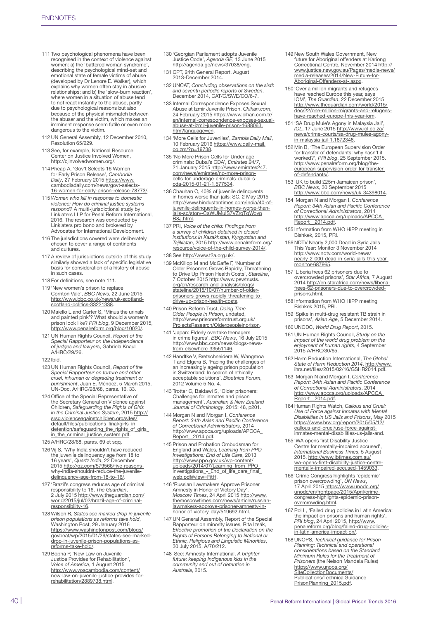- 111 Two psychological phenomena have been recognised in the context of violence against women: a) the 'battered woman syndrome' describing the psychological mind-set and emotional state of female victims of abuse (developed by Dr Lenore E. Walker), which explains why women often stay in abusive relationships; and b) the 'slow-burn reaction', where women in a situation of abuse tend to not react instantly to the abuse, partly due to psychological reasons but also because of the physical mismatch between the abuser and the victim, which makes an imminent response seem futile or even more dangerous to the victim.
- 112 UN General Assembly, 12 December 2010, Resolution 65/229.
- 113 See, for example, National Resource Center on Justice Involved Women, <http://cjinvolvedwomen.org/>
- 114 Pheap A, 'Gov't Selects 16 Women for Early Prison Release', *Cambodia Daily*, 27 February 2015 [https://www.](https://www.cambodiadaily.com/news/govt-selects-16-women-for-early-prison-release-78773/) cambodiadaily.com/news/govt-selects [16-women-for-early-prison-release-78773/](https://www.cambodiadaily.com/news/govt-selects-16-women-for-early-prison-release-78773/).
- 115 *Women who kill in response to domestic violence: How do criminal justice systems respond?* A multi-jurisdictional study by Linklaters LLP for Penal Reform International, 2016. The research was conducted by Linklaters pro bono and brokered by Advocates for International Development.
- 116 The jurisdictions covered were deliberately chosen to cover a range of continents and cultures.
- 117 A review of jurisdictions outside of this study similarly showed a lack of specific legislative basis for consideration of a history of abuse in such cases.
- 118 For definitions, see note 111.
- 119 'New women's prison to replace Cornton Vale', *BBC News*, 22 June 2015 [http://www.bbc.co.uk/news/uk-scotland](http://www.bbc.co.uk/news/uk-scotland-scotland-politics-33221338)[scotland-politics-33221338](http://www.bbc.co.uk/news/uk-scotland-scotland-politics-33221338).
- 120 Maiello L and Carter S, 'Minus the urinals and painted pink'? What should a women's prison look like? *PRI blog*, 9 December 2015, <http://www.penalreform.org/blog/10020/>.
- 121 UN Human Rights Council, *Report of the Special Rapporteur on the independence of judges and lawyers*, Gabriela Knaul A/HRC/29/26.
- 122 Ibid.
- 123 UN Human Rights Council, *Report of the Special Rapporteur on torture and other cruel, inhuman or degrading treatment or punishment*, Juan E. Méndez, 5 March 2015, UN-Doc. A/HRC/28/68, paras. 16, 33.
- 124 Office of the Special Representative of the Secretary General on Violence against Children, *Safeguarding the Rights of Girls in the Criminal Justice System*, 2015 [http://](http://srsg.violenceagainstchildren.org/sites/default/files/publications_final/girls_in_detention/safeguarding_the_rights_of_girls_in_the_criminal_justice_system.pdf) [srsg.violenceagainstchildren.org/sites/](http://srsg.violenceagainstchildren.org/sites/default/files/publications_final/girls_in_detention/safeguarding_the_rights_of_girls_in_the_criminal_justice_system.pdf) [default/files/publications\\_final/girls\\_in\\_](http://srsg.violenceagainstchildren.org/sites/default/files/publications_final/girls_in_detention/safeguarding_the_rights_of_girls_in_the_criminal_justice_system.pdf) [detention/safeguarding\\_the\\_rights\\_of\\_girls\\_](http://srsg.violenceagainstchildren.org/sites/default/files/publications_final/girls_in_detention/safeguarding_the_rights_of_girls_in_the_criminal_justice_system.pdf) [in\\_the\\_criminal\\_justice\\_system.pdf.](http://srsg.violenceagainstchildren.org/sites/default/files/publications_final/girls_in_detention/safeguarding_the_rights_of_girls_in_the_criminal_justice_system.pdf)
- 125 A/HRC/28/68, paras. 69 et sqq.
- 126 Vij S, 'Why India shouldn't have reduced the juvenile delinquency age from 18 to 16 years', *Quartz India*, 22 December 2015 [http://qz.com/579566/five-reasons](http://qz.com/579566/five-reasons-why-india-shouldnt-reduce-the-juvenile-delinquency-age-from-18-to-16/)[why-india-shouldnt-reduce-the-juvenile](http://qz.com/579566/five-reasons-why-india-shouldnt-reduce-the-juvenile-delinquency-age-from-18-to-16/)delinquency-age-from-18-to-16/
- 127 'Brazil's congress reduces age of criminal responsibility to 16, *The Guardian*, 2 July 2015 [http://www.theguardian.com/](http://www.theguardian.com/world/2015/jul/02/brazil-age-of-criminal-responsibility-16) [world/2015/jul/02/brazil-age-of-criminal](http://www.theguardian.com/world/2015/jul/02/brazil-age-of-criminal-responsibility-16)[responsibility-16.](http://www.theguardian.com/world/2015/jul/02/brazil-age-of-criminal-responsibility-16)
- 128 Wilson R, *States see marked drop in juvenile prison populations as reforms take hold*, Washington Post, 29 January 2016 [https://www.washingtonpost.com/blogs/](https://www.washingtonpost.com/blogs/govbeat/wp/2015/01/29/states-see-marked-drop-in-juvenile-prison-populations-as-reforms-take-hold/) [govbeat/wp/2015/01/29/states-see-marked](https://www.washingtonpost.com/blogs/govbeat/wp/2015/01/29/states-see-marked-drop-in-juvenile-prison-populations-as-reforms-take-hold/)[drop-in-juvenile-prison-populations-as](https://www.washingtonpost.com/blogs/govbeat/wp/2015/01/29/states-see-marked-drop-in-juvenile-prison-populations-as-reforms-take-hold/)[reforms-take-hold/.](https://www.washingtonpost.com/blogs/govbeat/wp/2015/01/29/states-see-marked-drop-in-juvenile-prison-populations-as-reforms-take-hold/)
- 129 Bopha P, 'New Law on Juvenile Justice Provides for Rehabilitation', *Voice of America*, 1 August 2015 [http://www.voacambodia.com/content/](http://www.voacambodia.com/content/new-law-on-juvenile-justice-provides-for-rehabilitation/2889738.html) [new-law-on-juvenile-justice-provides-for](http://www.voacambodia.com/content/new-law-on-juvenile-justice-provides-for-rehabilitation/2889738.html)[rehabilitation/2889738.html.](http://www.voacambodia.com/content/new-law-on-juvenile-justice-provides-for-rehabilitation/2889738.html)
- 130 'Georgian Parliament adopts Juvenile Justice Code', *Agenda GE*, 13 June 2015 <http://agenda.ge/news/37038/eng>.
- 131 CPT, 24th General Report, August 2013-December 2014.
- 132 UNCAT, *Concluding observations on the sixth and seventh periodic reports of Sweden*, December 2014, CAT/C/SWE/CO/6-7.
- 133 Internal Correspondence Exposes Sexual Abuse at Izmir Juvenile Prison, *Chihan.com*, 24 February 2015 [https://www.cihan.com.tr/](https://www.cihan.com.tr/en/internal-correspondence-exposes-sexual-abuse-at-izmir-juvenile-prison-1688063.htm?language=en) [en/internal-correspondence-exposes-sexual](https://www.cihan.com.tr/en/internal-correspondence-exposes-sexual-abuse-at-izmir-juvenile-prison-1688063.htm?language=en)[abuse-at-izmir-juvenile-prison-1688063.](https://www.cihan.com.tr/en/internal-correspondence-exposes-sexual-abuse-at-izmir-juvenile-prison-1688063.htm?language=en) [htm?language=en](https://www.cihan.com.tr/en/internal-correspondence-exposes-sexual-abuse-at-izmir-juvenile-prison-1688063.htm?language=en).
- 134 'More Cells for Juveniles', *Zambia Daily Mail*, 10 February 2016 [https://www.daily-mail.](https://www.daily-mail.co.zm/?p=19738) [co.zm/?p=19738.](https://www.daily-mail.co.zm/?p=19738)
- 135 'No More Prison Cells for Under age criminals: Dubai's CDA', *Emirates 24/7*,<br>21 January 2015 [http://www.emirates247.](http://www.emirates247.com/news/emirates/no-more-prison-cells-for-underage-criminals-dubai-s-cda-2015-01-21-1.577534)<br>[com/news/emirates/no-more-prison](http://www.emirates247.com/news/emirates/no-more-prison-cells-for-underage-criminals-dubai-s-cda-2015-01-21-1.577534)[cells-for-underage-criminals-dubai-s-](http://www.emirates247.com/news/emirates/no-more-prison-cells-for-underage-criminals-dubai-s-cda-2015-01-21-1.577534)[cda-2015-01-21-1.577534](http://www.emirates247.com/news/emirates/no-more-prison-cells-for-underage-criminals-dubai-s-cda-2015-01-21-1.577534).
- 136 Chauhan C, 40% of juvenile delinquents in homes worse than jails: SC, 2 May 2015 [http://www.hindustantimes.com/india/40-of](http://www.hindustantimes.com/india/40-of-juvenile-delinquents-in-homes-worse-than-jails-sc/story-CaWUMuIS7VZrqTqWovpB8J.html)[juvenile-delinquents-in-homes-worse-than-](http://www.hindustantimes.com/india/40-of-juvenile-delinquents-in-homes-worse-than-jails-sc/story-CaWUMuIS7VZrqTqWovpB8J.html)[jails-sc/story-CaWUMuIS7VZrqTqWovp](http://www.hindustantimes.com/india/40-of-juvenile-delinquents-in-homes-worse-than-jails-sc/story-CaWUMuIS7VZrqTqWovpB8J.html) [B8J.html](http://www.hindustantimes.com/india/40-of-juvenile-delinquents-in-homes-worse-than-jails-sc/story-CaWUMuIS7VZrqTqWovpB8J.html).
- 137 PRI, *Voice of the child: Findings from a survey of children detained in closed institutions in Kazakhstan, Kyrgyzstan and Tajikistan*, 2015 [http://www.penalreform.org/](http://www.penalreform.org/resource/voice-of-the-child-survey-2014/) [resource/voice-of-the-child-survey-2014/.](http://www.penalreform.org/resource/voice-of-the-child-survey-2014/)
- 138 See <http://www.t2a.org.uk/>.
- 139 McKillop M and McGaffe F, 'Number of Older Prisoners Grows Rapidly, Threatening<br>to Drive Up Prison Health Costs', *Stateline*,<br>to Drive Up Prison Health Costs', *Stateline*,<br>7 October 2015 [http://www.pewtrusts.](http://www.pewtrusts.org/en/research-and-analysis/blogs/stateline/2015/10/07/number-of-older-prisoners-grows-rapidly-threatening-to-drive-up-prison-health-costs) [org/en/research-and-analysis/blogs/](http://www.pewtrusts.org/en/research-and-analysis/blogs/stateline/2015/10/07/number-of-older-prisoners-grows-rapidly-threatening-to-drive-up-prison-health-costs) [stateline/2015/10/07/number-of-older](http://www.pewtrusts.org/en/research-and-analysis/blogs/stateline/2015/10/07/number-of-older-prisoners-grows-rapidly-threatening-to-drive-up-prison-health-costs)[prisoners-grows-rapidly-threatening-to-](http://www.pewtrusts.org/en/research-and-analysis/blogs/stateline/2015/10/07/number-of-older-prisoners-grows-rapidly-threatening-to-drive-up-prison-health-costs)[drive-up-prison-health-costs.](http://www.pewtrusts.org/en/research-and-analysis/blogs/stateline/2015/10/07/number-of-older-prisoners-grows-rapidly-threatening-to-drive-up-prison-health-costs)
- 140 Prison Reform Trust, *Doing Time Older People in Prison*, undated, [http://www.prisonreformtrust.org.uk/](http://www.prisonreformtrust.org.uk/ProjectsResearch/Olderpeopleinprison) [ProjectsResearch/Olderpeopleinprison.](http://www.prisonreformtrust.org.uk/ProjectsResearch/Olderpeopleinprison)
- 141 'Japan: Elderly overtake teenagers in crime figures', *BBC News*, 16 July 2015 [http://www.bbc.com/news/blogs-news](http://www.bbc.com/news/blogs-news-from-elsewhere-33551146)[from-elsewhere-33551146.](http://www.bbc.com/news/blogs-news-from-elsewhere-33551146)
- 142 Handtke V, Bretschneidera W, Wangmoa T and Elgera B, 'Facing the challenges of an increasingly ageing prison population in Switzerland: In search of ethically acceptable solutions', *Bioethica Forum*, 2012 Volume 5 No. 4.
- 143 Trotter C, Baidawi S, 'Older prisoners: Challenges for inmates and prison management', *Australian & New Zealand Journal of Criminology*, 2015: 48, p201.
- 144 Morgan N and Morgan I, *Conference Report: 34th Asian and Pacific Conference of Correctional Administrators*, 2014 [http://www.apcca.org/uploads/APCCA\\_](http://www.apcca.org/uploads/APCCA_Report__2014.pdf) [Report\\_\\_2014.pdf.](http://www.apcca.org/uploads/APCCA_Report__2014.pdf)
- 145 Prison and Probation Ombudsman for England and Wales, *Learning from PPO Investigations: End of Life Care*, 2013 [http://www.ppo.gov.uk/wp-content/](http://www.ppo.gov.uk/wp-content/uploads/2014/07/Learning_from_PPO_investigations_-_End_of_life_care_final_web.pdf#view=FitH) [uploads/2014/07/Learning\\_from\\_PPO\\_](http://www.ppo.gov.uk/wp-content/uploads/2014/07/Learning_from_PPO_investigations_-_End_of_life_care_final_web.pdf#view=FitH) [investigations\\_-\\_End\\_of\\_life\\_care\\_final\\_](http://www.ppo.gov.uk/wp-content/uploads/2014/07/Learning_from_PPO_investigations_-_End_of_life_care_final_web.pdf#view=FitH) [web.pdf#view=FitH](http://www.ppo.gov.uk/wp-content/uploads/2014/07/Learning_from_PPO_investigations_-_End_of_life_care_final_web.pdf#view=FitH).
- 146 'Russian Lawmakers Approve Prisoner Amnesty in Honor of Victory Day', *Moscow Times*, 24 April 2015 [http://www.](http://www.themoscowtimes.com/news/article/russian-lawmakers-approve-prisoner-amnesty-in-honor-of-victory-day/519692.html) [themoscowtimes.com/news/article/russian](http://www.themoscowtimes.com/news/article/russian-lawmakers-approve-prisoner-amnesty-in-honor-of-victory-day/519692.html)[lawmakers-approve-prisoner-amnesty-in-](http://www.themoscowtimes.com/news/article/russian-lawmakers-approve-prisoner-amnesty-in-honor-of-victory-day/519692.html)[honor-of-victory-day/519692.html](http://www.themoscowtimes.com/news/article/russian-lawmakers-approve-prisoner-amnesty-in-honor-of-victory-day/519692.html).
- 147 UN General Assembly, Report of the Special Rapporteur on minority issues, Rita Izsák, *Effective promotion of the Declaration on the Rights of Persons Belonging to National or Ethnic, Religious and Linguistic Minorities*, 30 July 2015, A/70/212.
- 148 See: Amnesty International, *A brighter future: keeping Indigenous kids in the community and out of detention in Australia*, 2015.
- 149 New South Wales Government, New future for Aboriginal offenders at Kariong Correctional Centre, November 2014 [http://](http://www.justice.nsw.gov.au/Pages/media-news/media-releases/2014/New-Future-for-Aboriginal-Offenders-at-.aspx) [www.justice.nsw.gov.au/Pages/media-news/](http://www.justice.nsw.gov.au/Pages/media-news/media-releases/2014/New-Future-for-Aboriginal-Offenders-at-.aspx) [media-releases/2014/New-Future-for-](http://www.justice.nsw.gov.au/Pages/media-news/media-releases/2014/New-Future-for-Aboriginal-Offenders-at-.aspx)[Aboriginal-Offenders-at-.aspx](http://www.justice.nsw.gov.au/Pages/media-news/media-releases/2014/New-Future-for-Aboriginal-Offenders-at-.aspx).
- 150 'Over a million migrants and refugees have reached Europe this year, says IOM', *The Guardian*, 22 December 2015 [http://www.theguardian.com/world/2015/](http://www.theguardian.com/world/2015/dec/22/one-million-migrants-and-refugees-have-reached-europe-this-year-iom) [dec/22/one-million-migrants-and-refugees](http://www.theguardian.com/world/2015/dec/22/one-million-migrants-and-refugees-have-reached-europe-this-year-iom)[have-reached-europe-this-year-iom](http://www.theguardian.com/world/2015/dec/22/one-million-migrants-and-refugees-have-reached-europe-this-year-iom).
- 151 'SA Drug Mule's Agony in Malaysia Jail', *IOL*, 17 June 2015 [http://www.iol.co.za/](http://www.iol.co.za/news/crime-courts/sa-drug-mules-agony-in-malaysia-jail-1.1872348) [news/crime-courts/sa-drug-mules-agony](http://www.iol.co.za/news/crime-courts/sa-drug-mules-agony-in-malaysia-jail-1.1872348)[in-malaysia-jail-1.1872348.](http://www.iol.co.za/news/crime-courts/sa-drug-mules-agony-in-malaysia-jail-1.1872348)
- 152 Min B, 'The European Supervision Order for transfer of defendants: why hasn't it worked?', *PRI blog*, 25 September 2015. [http://www.penalreform.org/blog/the-](http://www.penalreform.org/blog/the-european-supervision-order-for-transfer-of-defendants/)[european-supervision-order-for-transfer](http://www.penalreform.org/blog/the-european-supervision-order-for-transfer-of-defendants/)[of-defendants/](http://www.penalreform.org/blog/the-european-supervision-order-for-transfer-of-defendants/).
- 153 'UK to build £25m Jamaican prison', *BBC News*, 30 September 2015 http://www.bbc.com/news/uk-34398014
- 154 Morgan N and Morgan I, *Conference Report: 34th Asian and Pacific Conference of Correctional Administrators*, 2014 [http://www.apcca.org/uploads/APCCA\\_](http://www.apcca.org/uploads/APCCA_Report__2014.pdf) Report\_2014.pdf.
- 155 Information from WHO HiPP meeting in Bishkek, 2015, PRI.
- 156 NDTV Nearly 2,000 Dead in Syria Jails This Year: Monitor 3 November 2014 [http://www.ndtv.com/world-news/](http://www.ndtv.com/world-news/nearly-2-000-dead-in-syria-jails-this-year-monitor-687965) [nearly-2-000-dead-in-syria-jails-this-year](http://www.ndtv.com/world-news/nearly-2-000-dead-in-syria-jails-this-year-monitor-687965)[monitor-687965.](http://www.ndtv.com/world-news/nearly-2-000-dead-in-syria-jails-this-year-monitor-687965)
- 157 'Liberia frees 62 prisoners due to overcrowded prisons', *Star Africa*, 7 August 2014 [http://en.starafrica.com/news/liberia](http://en.starafrica.com/news/liberia-frees-62-prisoners-due-to-overcrowded-prisons.html)[frees-62-prisoners-due-to-overcrowded](http://en.starafrica.com/news/liberia-frees-62-prisoners-due-to-overcrowded-prisons.html)[prisons.html.](http://en.starafrica.com/news/liberia-frees-62-prisoners-due-to-overcrowded-prisons.html)
- 158 Information from WHO HiPP meeting Bishkek 2015, PRI.
- 159 'Spike in multi-drug resistant TB strain in prisons', *Asian Age*, 5 December 2014.
- 160 UNODC, *World Drug Report*, 2015.
- 161 UN Human Rights Council, *Study on the impact of the world drug problem on the enjoyment of human rights*, 4 September 2015 A/HRC/30/65.
- 162 Harm Reduction International, *The Global State of Harm Reduction 2014*, [http://www.](http://www.ihra.net/files/2015/02/16/GSHR2014.pdf) [ihra.net/files/2015/02/16/GSHR2014.pdf.](http://www.ihra.net/files/2015/02/16/GSHR2014.pdf)
- 163 Morgan N and Morgan I, *Conference Report: 34th Asian and Pacific Conference of Correctional Administrators*, 2014 [http://www.apcca.org/uploads/APCCA\\_](http://www.apcca.org/uploads/APCCA_Report__2014.pdf) Report 2014.pdf.
- 164 Human Rights Watch, *Callous and Cruel: Use of Force against Inmates with Mental Disabilities in US Jails and Prisons*, May 2015 [https://www.hrw.org/report/2015/05/12/](https://www.hrw.org/report/2015/05/12/callous-and-cruel/use-force-against-inmates-mental-disabilities-us-jails-and) [callous-and-cruel/use-force-against-](https://www.hrw.org/report/2015/05/12/callous-and-cruel/use-force-against-inmates-mental-disabilities-us-jails-and)[inmates-mental-disabilities-us-jails-and.](https://www.hrw.org/report/2015/05/12/callous-and-cruel/use-force-against-inmates-mental-disabilities-us-jails-and)
- 165 'WA opens first Disability Justice Centre for mentally-impaired accused', *International Business Times*, 5 August 2015, [http://www.ibtimes.com.au/](http://www.ibtimes.com.au/wa-opens-first-disability-justice-centre-mentally-impaired-accused-1459033) [wa-opens-first-disability-justice-centre](http://www.ibtimes.com.au/wa-opens-first-disability-justice-centre-mentally-impaired-accused-1459033)[mentally-impaired-accused-1459033](http://www.ibtimes.com.au/wa-opens-first-disability-justice-centre-mentally-impaired-accused-1459033).
- 166 'Crime Congress highlights 'epidemic' prison overcrowding', *UN News*, 17 April 2015 [https://www.unodc.org/](https://www.unodc.org/unodc/en/frontpage/2015/April/crime-congress-highlights-epidemic-prison-overcrowding.html) [unodc/en/frontpage/2015/April/crime](https://www.unodc.org/unodc/en/frontpage/2015/April/crime-congress-highlights-epidemic-prison-overcrowding.html)[congress-highlights-epidemic-prison](https://www.unodc.org/unodc/en/frontpage/2015/April/crime-congress-highlights-epidemic-prison-overcrowding.html)[overcrowding.html.](https://www.unodc.org/unodc/en/frontpage/2015/April/crime-congress-highlights-epidemic-prison-overcrowding.html)
- 167 Pol L, 'Failed drug policies in Latin America: the impact on prisons and human rights', *PRI blog*, 24 April 2015, [http://www.](http://www.penalreform.org/blog/failed-drug-policies-in-latin-america-impact-on/) [penalreform.org/blog/failed-drug-policies](http://www.penalreform.org/blog/failed-drug-policies-in-latin-america-impact-on/)[in-latin-america-impact-on/](http://www.penalreform.org/blog/failed-drug-policies-in-latin-america-impact-on/).
- 168 UNOPS, *Technical guidance for Prison Planning: Technical and operational considerations based on the Standard Minimum Rules for the Treatment of Prisoners* (the Nelson Mandela Rules) [https://www.unops.org/](https://www.unops.org/SiteCollectionDocuments/Publications/TechnicalGuidance_PrisonPlanning_2015.pdf) [SiteCollectionDocuments/](https://www.unops.org/SiteCollectionDocuments/Publications/TechnicalGuidance_PrisonPlanning_2015.pdf)<br>
Publications/TechnicalGuidance PrisonPlanning\_2015.pdf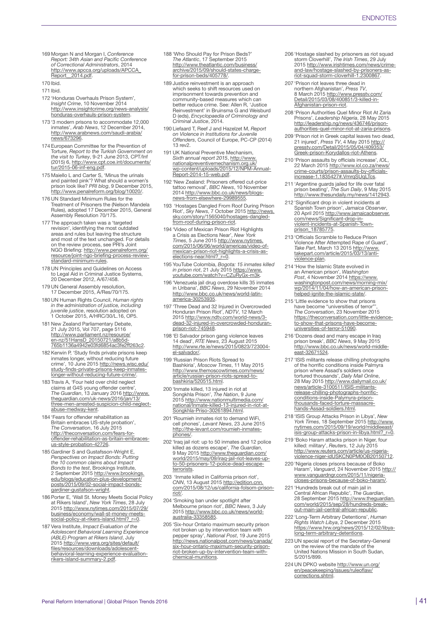169 Morgan N and Morgan I, *Conference Report: 34th Asian and Pacific Conference of Correctional Administrators*, 2014 http://www.apcca.org/uploads/APCCA Report\_2014.pdf.

- 171 Ibid.
- 172 'Honduras Overhauls Prison System', *Insight Crime*, 10 November 2014 [http://www.insightcrime.org/news-analysis/](http://www.insightcrime.org/news-analysis/honduras-overhauls-prison-system) [honduras-overhauls-prison-system.](http://www.insightcrime.org/news-analysis/honduras-overhauls-prison-system)
- 173 '3 modern prisons to accommodate 12,000 inmates', *Arab News*, 12 December 2014, [http://www.arabnews.com/saudi-arabia/](http://www.arabnews.com/saudi-arabia/news/673296) [news/673296.](http://www.arabnews.com/saudi-arabia/news/673296)
- 174 European Committee for the Prevention of Torture, *Report to the Turkish Government on the visit to Turkey*, 9-21 June 2013, CPT/Inf (2015) 6, [http://www.cpt.coe.int/documents/](http://www.cpt.coe.int/documents/tur/2015-06-inf-eng.pdf) [tur/2015-06-inf-eng.pdf.](http://www.cpt.coe.int/documents/tur/2015-06-inf-eng.pdf)
- 175 Maiello L and Carter S, 'Minus the urinals<br>
and painted pink'? What should a women's<br>
prison look like? *PRI blog*, 9 December 2015,<br> <http://www.penalreform.org/blog/10020/>.
- 176 UN Standard Minimum Rules for the Treatment of Prisoners the (Nelson Mandela Rules), adopted 17 December 2015, General Assembly Resolution 70/175.
- 177 The approach taken was a 'targeted revision', identifying the most outdated areas and rules but leaving the structure<br>and most of the text unchanged. For details<br>on the review process, see PRI's Joint<br>NGO Briefing: <u>http://www.penalreform.org/</u> [resource/joint-ngo-briefing-process-review](http://www.penalreform.org/resource/joint-ngo-briefing-process-review-standard-minimum-rules)[standard-minimum-rules.](http://www.penalreform.org/resource/joint-ngo-briefing-process-review-standard-minimum-rules)
- 178 UN Principles and Guidelines on Access to Legal Aid in Criminal Justice Systems, 20 December 2012, A/67/458.
- 179 UN General Assembly resolution, 17 December 2015, A/Res/70/175.
- 180 UN Human Rights Council, *Human rights in the administration of justice, including juvenile justice*, resolution adopted on 1 October 2015, A/HRC/30/L.16, OP5.
- 181 New Zealand Parliamentary Debate, 21 July 2015, Vol 707, page 5116<br><u>[http://www.parliament.nz/resource/](http://www.parliament.nz/resource/en-nz/51HansD_20150721/a8b5d765b1136a4942e03fd6854ac3fe2ff263c2)</u><br>[en-nz/51HansD\\_20150721/a8b5d-](http://www.parliament.nz/resource/en-nz/51HansD_20150721/a8b5d765b1136a4942e03fd6854ac3fe2ff263c2)[765b1136a4942e03fd6854ac3fe2ff263c2.](http://www.parliament.nz/resource/en-nz/51HansD_20150721/a8b5d765b1136a4942e03fd6854ac3fe2ff263c2)
- 182 Kerwin P, 'Study finds private prisons keep inmates longer, without reducing future<br>crime', 10 June 2015 <u>[http://news.wisc.edu/](http://news.wisc.edu/study-finds-private-prisons-keep-inmates-longer-without-reducing-future-crime/)</u><br>[study-finds-private-prisons-keep-inmates](http://news.wisc.edu/study-finds-private-prisons-keep-inmates-longer-without-reducing-future-crime/)[longer-without-reducing-future-crime/.](http://news.wisc.edu/study-finds-private-prisons-keep-inmates-longer-without-reducing-future-crime/)
- 183 Travis A, 'Four held over child neglect claims at G4S young offender centre',<br>*The Guardian,* 13 January 2016 <u>http://www.</u><br>[theguardian.com/uk-news/2016/jan/13/](http://www.theguardian.com/uk-news/2016/jan/13/three-men-arrested-suspicion-child-neglect-abuse-medway-kent) [three-men-arrested-suspicion-child-neglect](http://www.theguardian.com/uk-news/2016/jan/13/three-men-arrested-suspicion-child-neglect-abuse-medway-kent)[abuse-medway-kent.](http://www.theguardian.com/uk-news/2016/jan/13/three-men-arrested-suspicion-child-neglect-abuse-medway-kent)
- 184 'Fears for offender rehabilitation as Britain embraces US-style probation', *The Conversation*, 16 July 2015 [http://theconversation.com/fears-for](http://theconversation.com/fears-for-offender-rehabilitation-as-britain-embraces-us-style-probation-42726)[offender-rehabilitation-as-britain-embraces](http://theconversation.com/fears-for-offender-rehabilitation-as-britain-embraces-us-style-probation-42726)[us-style-probation-42726](http://theconversation.com/fears-for-offender-rehabilitation-as-britain-embraces-us-style-probation-42726).
- 185 Gardiner S and Gustafsson-Wright E, *Perspectives on Impact Bonds: Putting the 10 common claims about Impact Bonds to the test,* Brookings Institute,<br>2 September 2015 <u>http://www.brookings.</u> [edu/blogs/education-plus-development/](http://www.brookings.edu/blogs/education-plus-development/posts/2015/09/02-social-impact-bonds-gardiner-gustafson-wright) [posts/2015/09/02-social-impact-bonds](http://www.brookings.edu/blogs/education-plus-development/posts/2015/09/02-social-impact-bonds-gardiner-gustafson-wright)[gardiner-gustafson-wright.](http://www.brookings.edu/blogs/education-plus-development/posts/2015/09/02-social-impact-bonds-gardiner-gustafson-wright)
- 186 Porter E, 'Wall St. Money Meets Social Policy at Rikers Island', *New York Times*, 28 July 2015 [http://www.nytimes.com/2015/07/29/](http://www.nytimes.com/2015/07/29/business/economy/wall-st-money-meets-social-policy-at-rikers-island.html?_r=0) [business/economy/wall-st-money-meets](http://www.nytimes.com/2015/07/29/business/economy/wall-st-money-meets-social-policy-at-rikers-island.html?_r=0)[social-policy-at-rikers-island.html?\\_r=0](http://www.nytimes.com/2015/07/29/business/economy/wall-st-money-meets-social-policy-at-rikers-island.html?_r=0).
- 187 Vera Institute, *Impact Evaluation of the Adolescent Behavioral Learning Experience (ABLE) Program at Rikers Island*, July 2015 [http://www.vera.org/sites/default/](http://www.vera.org/sites/default/files/resources/downloads/adolescent-behavioral-learning-experience-evaluation-rikers-island-summary-2.pdf) [files/resources/downloads/adolescent](http://www.vera.org/sites/default/files/resources/downloads/adolescent-behavioral-learning-experience-evaluation-rikers-island-summary-2.pdf)[behavioral-learning-experience-evaluation](http://www.vera.org/sites/default/files/resources/downloads/adolescent-behavioral-learning-experience-evaluation-rikers-island-summary-2.pdf)[rikers-island-summary-2.pdf](http://www.vera.org/sites/default/files/resources/downloads/adolescent-behavioral-learning-experience-evaluation-rikers-island-summary-2.pdf).
- 188 'Who Should Pay for Prison Beds?' *The Atlantic*, 17 September 2015 [http://www.theatlantic.com/business/](http://www.theatlantic.com/business/archive/2015/09/should-states-charge-for-prison-beds/405778/) [archive/2015/09/should-states-charge](http://www.theatlantic.com/business/archive/2015/09/should-states-charge-for-prison-beds/405778/)[for-prison-beds/405778/.](http://www.theatlantic.com/business/archive/2015/09/should-states-charge-for-prison-beds/405778/)
- 189 Justice reinvestment is an approach which seeks to shift resources used on imprisonment towards prevention and community-based measures which can better reduce crime. See: Allen R, 'Justice Reinvestment' in Bruinsma G and Weisburd D (eds), *Encyclopaedia of Criminology and Criminal Justice*, 2014.
- 190 Liefaard T, Reef J and Hazelzet M, *Report on Violence in Institutions for Juvenile Offenders*, Council of Europe, PC-CP (2014) 13 rev2.
- 191 UK National Preventive Mechanism, *Sixth annual report 2015*, [http://www.](http://www.nationalpreventivemechanism.org.uk/wp-content/uploads/2015/12/NPM-Annual-Report-2014-15-web.pdf) [nationalpreventivemechanism.org.uk/](http://www.nationalpreventivemechanism.org.uk/wp-content/uploads/2015/12/NPM-Annual-Report-2014-15-web.pdf) [wp-content/uploads/2015/12/NPM-Annual-](http://www.nationalpreventivemechanism.org.uk/wp-content/uploads/2015/12/NPM-Annual-Report-2014-15-web.pdf)[Report-2014-15-web.pdf.](http://www.nationalpreventivemechanism.org.uk/wp-content/uploads/2015/12/NPM-Annual-Report-2014-15-web.pdf)
- 192 'New Zealand: Prisoners offered cut-price tattoo removal', *BBC News*, 10 November 2014 [http://www.bbc.co.uk/news/blogs-](http://www.bbc.co.uk/news/blogs-news-from-elsewhere-29989555)[news-from-elsewhere-29989555](http://www.bbc.co.uk/news/blogs-news-from-elsewhere-29989555).
- 193 'Hostages Dangled From Roof During Prison Riot', *Sky News*, 7 October 2015 [http://news.](http://news.sky.com/story/1565040/hostages-dangled-from-roof-during-prison-riot) [sky.com/story/1565040/hostages-dangled](http://news.sky.com/story/1565040/hostages-dangled-from-roof-during-prison-riot)[from-roof-during-prison-riot.](http://news.sky.com/story/1565040/hostages-dangled-from-roof-during-prison-riot)
- 194 'Video of Mexican Prison Riot Highlights a Crisis as Elections Near', *New York Times*, 5 June 2015 [http://www.nytimes.](http://www.nytimes.com/2015/06/06/world/americas/video-of-mexican-prison-riot-highlights-a-crisis-as-elections-near.html?_r=0) [com/2015/06/06/world/americas/video-of-](http://www.nytimes.com/2015/06/06/world/americas/video-of-mexican-prison-riot-highlights-a-crisis-as-elections-near.html?_r=0)[mexican-prison-riot-highlights-a-crisis-as](http://www.nytimes.com/2015/06/06/world/americas/video-of-mexican-prison-riot-highlights-a-crisis-as-elections-near.html?_r=0)[elections-near.html?\\_r=0](http://www.nytimes.com/2015/06/06/world/americas/video-of-mexican-prison-riot-highlights-a-crisis-as-elections-near.html?_r=0).
- 195 YouTube Colombia, *Bogota: 15 inmates killed in prison riot*, 21 July 2015 [https://www.](https://www.youtube.com/watch?v=CZuRyGx-m3k) [youtube.com/watch?v=CZuRyGx-m3k](https://www.youtube.com/watch?v=CZuRyGx-m3k).
- 196 'Venezuela jail drug overdose kills 35 inmates in Uribana', *BBC News*, 29 November 2014 [http://www.bbc.co.uk/news/world-latin-](http://www.bbc.co.uk/news/world-latin-america-30253935)[america-30253935](http://www.bbc.co.uk/news/world-latin-america-30253935).
- 197 'Three Dead and 32 Injured in Overcrowded Honduran Prison Riot', *NDTV*, 12 March 2015 [http://www.ndtv.com/world-news/3](http://www.ndtv.com/world-news/3-dead-32-injured-in-overcrowded-honduran-prison-riot-745948) [dead-32-injured-in-overcrowded-honduran](http://www.ndtv.com/world-news/3-dead-32-injured-in-overcrowded-honduran-prison-riot-745948)[prison-riot-745948.](http://www.ndtv.com/world-news/3-dead-32-injured-in-overcrowded-honduran-prison-riot-745948)
- 198 'El Salvador prison gang violence leaves 14 dead', *RTE News*, 23 August 2015 [http://www.rte.ie/news/2015/0823/723004](http://www.rte.ie/news/2015/0823/723004-el-salvador/) [el-salvador/.](http://www.rte.ie/news/2015/0823/723004-el-salvador/)
- 199 'Russian Prison Riots Spread to Bashkiria', *Moscow Times*, 11 May 2015 [http://www.themoscowtimes.com/news/](http://www.themoscowtimes.com/news/article/russian-prison-riots-spread-to-bashkiria/520515.html ) [article/russian-prison-riots-spread-to-](http://www.themoscowtimes.com/news/article/russian-prison-riots-spread-to-bashkiria/520515.html )[bashkiria/520515.html.](http://www.themoscowtimes.com/news/article/russian-prison-riots-spread-to-bashkiria/520515.html )
- 200 'Inmate killed, 13 injured in riot at Songkhla Prison', *The Nation*, 9 June 2015 [http://www.nationmultimedia.com/](http://www.nationmultimedia.com/national/Inmate-killed-13-injured-in-riot-at-Songkhla-Priso-30261894.html) [national/Inmate-killed-13-injured-in-riot-at-](http://www.nationmultimedia.com/national/Inmate-killed-13-injured-in-riot-at-Songkhla-Priso-30261894.html)[Songkhla-Priso-30261894.html](http://www.nationmultimedia.com/national/Inmate-killed-13-injured-in-riot-at-Songkhla-Priso-30261894.html).
- 201 'Roumieh inmates riot to demand WiFi, cell phones', *Levant News*, 23 June 2015 [http://the-levant.com/roumieh-inmates](http://the-levant.com/roumieh-inmates-phones/)[phones/.](http://the-levant.com/roumieh-inmates-phones/)
- 202 'Iraq jail riot: up to 50 inmates and 12 police killed as dozens escape', *The Guardian*, 9 May 2015 [http://www.theguardian.com/](http://www.theguardian.com/world/2015/may/09/iraq-jail-riot-leaves-up-to-50-prisoners-12-police-dead-escape-terrorists) [world/2015/may/09/iraq-jail-riot-leaves-up-](http://www.theguardian.com/world/2015/may/09/iraq-jail-riot-leaves-up-to-50-prisoners-12-police-dead-escape-terrorists)[to-50-prisoners-12-police-dead-escape](http://www.theguardian.com/world/2015/may/09/iraq-jail-riot-leaves-up-to-50-prisoners-12-police-dead-escape-terrorists)[terrorists.](http://www.theguardian.com/world/2015/may/09/iraq-jail-riot-leaves-up-to-50-prisoners-12-police-dead-escape-terrorists)
- 203 'Inmate killed in California prison riot', *CNN*, 13 August 2015 [http://edition.cnn.](http://edition.cnn.com/2015/08/12/us/california-folsom-prison-riot/) [com/2015/08/12/us/california-folsom-prison](http://edition.cnn.com/2015/08/12/us/california-folsom-prison-riot/)[riot/.](http://edition.cnn.com/2015/08/12/us/california-folsom-prison-riot/)
- 204 'Smoking ban under spotlight after Melbourne prison riot', *BBC News*, 3 July 2015 [http://www.bbc.co.uk/news/world](http://www.bbc.co.uk/news/world-australia-33358585)[australia-33358585.](http://www.bbc.co.uk/news/world-australia-33358585)
- 205 'Six-hour Ontario maximum security prison riot broken up by intervention team with pepper spray', *National Post*, 19 June 2015 [http://news.nationalpost.com/news/canada/](http://news.nationalpost.com/news/canada/six-hour-ontario-maximum-security-prison-riot-broken-up-by-intervention-team-with-chemical-munitions) [six-hour-ontario-maximum-security-prison](http://news.nationalpost.com/news/canada/six-hour-ontario-maximum-security-prison-riot-broken-up-by-intervention-team-with-chemical-munitions)[riot-broken-up-by-intervention-team-with](http://news.nationalpost.com/news/canada/six-hour-ontario-maximum-security-prison-riot-broken-up-by-intervention-team-with-chemical-munitions)[chemical-munitions.](http://news.nationalpost.com/news/canada/six-hour-ontario-maximum-security-prison-riot-broken-up-by-intervention-team-with-chemical-munitions)
- 206 'Hostage slashed by prisoners as riot squad storm Cloverhill', *The Irish Times*, 29 July 2015 [http://www.irishtimes.com/news/crime-](http://www.irishtimes.com/news/crime-and-law/hostage-slashed-by-prisoners-as-riot-squad-storm-cloverhill-1.2300867)[and-law/hostage-slashed-by-prisoners-as](http://www.irishtimes.com/news/crime-and-law/hostage-slashed-by-prisoners-as-riot-squad-storm-cloverhill-1.2300867)[riot-squad-storm-cloverhill-1.2300867.](http://www.irishtimes.com/news/crime-and-law/hostage-slashed-by-prisoners-as-riot-squad-storm-cloverhill-1.2300867)
- 207 'Prison riot leaves three dead in northern Afghanistan', *Press TV*, 8 March 2015 [http://www.presstv.com/](http://www.presstv.com/Detail/2015/03/08/400851/3-killed-in-Afghanistan-prison-riot) [Detail/2015/03/08/400851/3-killed-in-](http://www.presstv.com/Detail/2015/03/08/400851/3-killed-in-Afghanistan-prison-riot)[Afghanistan-prison-riot.](http://www.presstv.com/Detail/2015/03/08/400851/3-killed-in-Afghanistan-prison-riot)
- 208 'Prison Authorities Quel Minor Riot At Zaria Prisons', *Leadership Nigeria*, 28 May 2015 [http://leadership.ng/news/436746/prison](http://leadership.ng/news/436746/prison-authorities-quel-minor-riot-at-zaria-prisons)[authorities-quel-minor-riot-at-zaria-prisons.](http://leadership.ng/news/436746/prison-authorities-quel-minor-riot-at-zaria-prisons)
- 209 'Prison riot in Greek capital leaves two dead, 21 injured', *Press TV*, 4 May 2015 [http://](http://presstv.com/Detail/2015/05/04/409353/Greek-prison-Korydallos-riot-Athens) [presstv.com/Detail/2015/05/04/409353/](http://presstv.com/Detail/2015/05/04/409353/Greek-prison-Korydallos-riot-Athens) [Greek-prison-Korydallos-riot-Athens.](http://presstv.com/Detail/2015/05/04/409353/Greek-prison-Korydallos-riot-Athens)
- 210 'Prison assaults by officials increase', *IOL*, 22 March 2015 [http://www.iol.co.za/news/](http://www.iol.co.za/news/crime-courts/prison-assaults-by-officials-increase-1.1835427#.VmrqSUqLTcs) [crime-courts/prison-assaults-by-officials](http://www.iol.co.za/news/crime-courts/prison-assaults-by-officials-increase-1.1835427#.VmrqSUqLTcs)[increase-1.1835427#.VmrqSUqLTcs.](http://www.iol.co.za/news/crime-courts/prison-assaults-by-officials-increase-1.1835427#.VmrqSUqLTcs)
- 211 'Argentine guards jailed for life over fatal prison beating', *The Sun Daily*, 9 May 2015 [http://www.thesundaily.my/news/1412943.](http://www.thesundaily.my/news/1412943)
- 212 'Significant drop in violent incidents at Spanish Town prison', *Jamaica Observer*,<br>20 April 2015 <u>http://www.jamaicaobserver.</u><br>[com/news/Significant-drop-in](http://www.jamaicaobserver.com/news/Significant-drop-in-violent-incidents-at-Spanish-Town-prison_18785775 )[violent-incidents-at-Spanish-Town](http://www.jamaicaobserver.com/news/Significant-drop-in-violent-incidents-at-Spanish-Town-prison_18785775 )[prison\\_18785775](http://www.jamaicaobserver.com/news/Significant-drop-in-violent-incidents-at-Spanish-Town-prison_18785775 ).
- 213 'Officials Scramble to Reduce Prison Violence After Attempted Rape of Guard', *Take Part*, March 13 2015 [http://www.](http://www.takepart.com/article/2015/03/13/anti-violence-plan) [takepart.com/article/2015/03/13/anti](http://www.takepart.com/article/2015/03/13/anti-violence-plan)[violence-plan](http://www.takepart.com/article/2015/03/13/anti-violence-plan).
- 214 'How the Islamic State evolved in an American prison', *Washington Post*, 4 November 2014 [https://www.](https://www.washingtonpost.com/news/morning-mix/wp/2014/11/04/how-an-american-prison-helped-ignite-the-islamic-state/) [washingtonpost.com/news/morning-mix/](https://www.washingtonpost.com/news/morning-mix/wp/2014/11/04/how-an-american-prison-helped-ignite-the-islamic-state/) [wp/2014/11/04/how-an-american-prison](https://www.washingtonpost.com/news/morning-mix/wp/2014/11/04/how-an-american-prison-helped-ignite-the-islamic-state/)[helped-ignite-the-islamic-state/](https://www.washingtonpost.com/news/morning-mix/wp/2014/11/04/how-an-american-prison-helped-ignite-the-islamic-state/).
- 215 'Little evidence to show that prisons have become "universities of terror"', *The Conversation*, 23 November 2015 [https://theconversation.com/little-evidence](https://theconversation.com/little-evidence-to-show-that-prisons-have-become-universities-of-terror-51090)[to-show-that-prisons-have-become](https://theconversation.com/little-evidence-to-show-that-prisons-have-become-universities-of-terror-51090)[universities-of-terror-51090](https://theconversation.com/little-evidence-to-show-that-prisons-have-become-universities-of-terror-51090).
- 216 'Dozens dead and many escape in Iraq prison break', *BBC News*, 9 May 2015 [http://www.bbc.co.uk/news/world-middle](http://www.bbc.co.uk/news/world-middle-east-32671524)[east-32671524.](http://www.bbc.co.uk/news/world-middle-east-32671524)
- 217 'ISIS militants release chilling photographs of the horrific conditions inside Palmyra prison where Assad's soldiers once<br>tortured thousands', *Daily Mail Online,*<br>28 May 2015 <u>[http://www.dailymail.co.uk/](http://www.dailymail.co.uk/news/article-3100511/ISIS-militants-release-chilling-photographs-horrific-conditions-inside-Palymyra-prison-thousands-faced-torture-massacre-hands-Assad-soldiers.html)</u> [news/article-3100511/ISIS-militants](http://www.dailymail.co.uk/news/article-3100511/ISIS-militants-release-chilling-photographs-horrific-conditions-inside-Palymyra-prison-thousands-faced-torture-massacre-hands-Assad-soldiers.html)[release-chilling-photographs-horrific](http://www.dailymail.co.uk/news/article-3100511/ISIS-militants-release-chilling-photographs-horrific-conditions-inside-Palymyra-prison-thousands-faced-torture-massacre-hands-Assad-soldiers.html)[conditions-inside-Palymyra-prison](http://www.dailymail.co.uk/news/article-3100511/ISIS-militants-release-chilling-photographs-horrific-conditions-inside-Palymyra-prison-thousands-faced-torture-massacre-hands-Assad-soldiers.html)[thousands-faced-torture-massacre](http://www.dailymail.co.uk/news/article-3100511/ISIS-militants-release-chilling-photographs-horrific-conditions-inside-Palymyra-prison-thousands-faced-torture-massacre-hands-Assad-soldiers.html)[hands-Assad-soldiers.html](http://www.dailymail.co.uk/news/article-3100511/ISIS-militants-release-chilling-photographs-horrific-conditions-inside-Palymyra-prison-thousands-faced-torture-massacre-hands-Assad-soldiers.html).
- 218 'ISIS Group Attacks Prison in Libya', *New York Times*, 18 September 2015 [http://www.](http://www.nytimes.com/2015/09/19/world/middleeast/isis-group-attacks-prison-in-libya.html?_r=0) nytimes.com/2015/09/19/world/middleeast [isis-group-attacks-prison-in-libya.html?\\_r=0.](http://www.nytimes.com/2015/09/19/world/middleeast/isis-group-attacks-prison-in-libya.html?_r=0)
- 219 'Boko Haram attacks prison in Niger, four killed: military', *Reuter*s, 12 July 2015<br><u>http://www.reuters.com/article/us-nigeria-</u><br>[violence-niger-idUSKCN0PM0OB20150712.](http://www.reuters.com/article/us-nigeria-violence-niger-idUSKCN0PM0OB20150712 )
- 220 'Nigeria closes prisons because of Boko Haram', *Vanguard*, 24 November 2015 [http://](http://www.vanguardngr.com/2015/11/nigeria-closes-prisons-because-of-boko-haram/)<br>[www.vanguardngr.com/2015/11/nigeria](http://www.vanguardngr.com/2015/11/nigeria-closes-prisons-because-of-boko-haram/)[closes-prisons-because-of-boko-haram/.](http://www.vanguardngr.com/2015/11/nigeria-closes-prisons-because-of-boko-haram/)
- 221 'Hundreds break out of main jail in Central African Republic', *The Guardian*, 28 September 2015 [http://www.theguardian.](http://www.theguardian.com/world/2015/sep/28/hundreds-break-out-main-jail-central-african-republic) [com/world/2015/sep/28/hundreds-break-](http://www.theguardian.com/world/2015/sep/28/hundreds-break-out-main-jail-central-african-republic)[out-main-jail-central-african-republic](http://www.theguardian.com/world/2015/sep/28/hundreds-break-out-main-jail-central-african-republic).
- 222 'Long-Term Arbitrary Detentions', *Human Rights Watch Libya*, 2 December 2015 [https://www.hrw.org/news/2015/12/02/libya](https://www.hrw.org/news/2015/12/02/libya-long-term-arbitrary-detentions)[long-term-arbitrary-detentions.](https://www.hrw.org/news/2015/12/02/libya-long-term-arbitrary-detentions)
- 223 UN special report of the Secretary-General on the review of the mandate of the United Nations Mission in South Sudan, S/2015/899.
- 224 UN DPKO website [http://www.un.org/](http://www.un.org/en/peacekeeping/issues/ruleoflaw/corrections.shtml) [en/peacekeeping/issues/ruleoflaw/](http://www.un.org/en/peacekeeping/issues/ruleoflaw/corrections.shtml) [corrections.shtml](http://www.un.org/en/peacekeeping/issues/ruleoflaw/corrections.shtml).

<sup>170</sup> Ibid.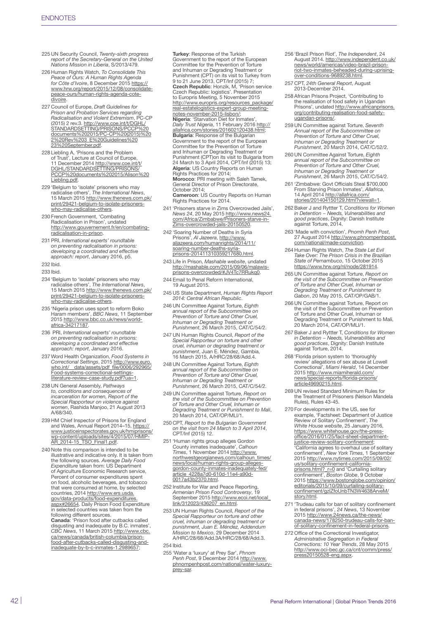- 225 UN Security Council, *Twenty-sixth progress report of the Secretary-General on the United Nations Mission in Liberia*, S/2013/479.
- 226 Human Rights Watch, *To Consolidate This Peace of Ours: A Human Rights Agenda for Côte d'Ivoire*, 8 December 2015 [https://](https://www.hrw.org/report/2015/12/08/consolidate-peace-ours/human-rights-agenda-cote-divoire) [www.hrw.org/report/2015/12/08/consolidate](https://www.hrw.org/report/2015/12/08/consolidate-peace-ours/human-rights-agenda-cote-divoire)[peace-ours/human-rights-agenda-cote](https://www.hrw.org/report/2015/12/08/consolidate-peace-ours/human-rights-agenda-cote-divoire)[divoire.](https://www.hrw.org/report/2015/12/08/consolidate-peace-ours/human-rights-agenda-cote-divoire)
- 227 Council of Europe, *Draft Guidelines for Prison and Probation Services regarding Radicalisation and Violent Extremism*, PC-CP (2015) 2 rev.3. <u>http://www.coe.int/t/DGHL/</u><br>[STANDARDSETTING/PRISONS/PCCP%20](http://www.coe.int/t/DGHL/STANDARDSETTING/PRISONS/PCCP%20documents%202015/PC-CP%20(2015)%202%20Rev%203_E%20Guidelines%2023%20September.pdf)<br>[documents%202015/PC-CP%20\(2015\)%20](http://www.coe.int/t/DGHL/STANDARDSETTING/PRISONS/PCCP%20documents%202015/PC-CP%20(2015)%202%20Rev%203_E%20Guidelines%2023%20September.pdf) [2%20Rev%203\\_E%20Guidelines%20](http://www.coe.int/t/DGHL/STANDARDSETTING/PRISONS/PCCP%20documents%202015/PC-CP%20(2015)%202%20Rev%203_E%20Guidelines%2023%20September.pdf) [23%20September.pdf](http://www.coe.int/t/DGHL/STANDARDSETTING/PRISONS/PCCP%20documents%202015/PC-CP%20(2015)%202%20Rev%203_E%20Guidelines%2023%20September.pdf).
- 228 Liebling A, 'Prisons and the Problem of Trust', Lecture at Council of Europe,<br>11 December 2014 <u>[http://www.coe.int/t/](http://www.coe.int/t/DGHL/STANDARDSETTING/PRISONS/PCCP%20documents%202015/Alison%20Liebling.pdf)</u><br><u>[DGHL/STANDARDSETTING/PRISONS/](http://www.coe.int/t/DGHL/STANDARDSETTING/PRISONS/PCCP%20documents%202015/Alison%20Liebling.pdf)</u> [PCCP%20documents%202015/Alison%20](http://www.coe.int/t/DGHL/STANDARDSETTING/PRISONS/PCCP%20documents%202015/Alison%20Liebling.pdf) [Liebling.pdf](http://www.coe.int/t/DGHL/STANDARDSETTING/PRISONS/PCCP%20documents%202015/Alison%20Liebling.pdf).
- 229 'Belgium to 'isolate' prisoners who may radicalise others', *The International News*, 15 March 2015 [http://www.thenews.com.pk/](http://www.thenews.com.pk/print/29421-belgium-to-isolate-prisoners-who-may-radicalise-others) [print/29421-belgium-to-isolate-prisoners](http://www.thenews.com.pk/print/29421-belgium-to-isolate-prisoners-who-may-radicalise-others)[who-may-radicalise-others.](http://www.thenews.com.pk/print/29421-belgium-to-isolate-prisoners-who-may-radicalise-others)
- 230 French Government, 'Combating Radicalisation in Prison', undated [http://www.gouvernement.fr/en/combating-](http://www.gouvernement.fr/en/combating-radicalisation-in-prison)[radicalisation-in-prison](http://www.gouvernement.fr/en/combating-radicalisation-in-prison).
- 231 PRI, *International experts' roundtable on preventing radicalisation in prisons: developing a coordinated and effective approach: report*, January 2016, p5.
- 232 Ibid.
- 233 Ibid.
- 234 'Belgium to 'isolate' prisoners who may radicalise others', *The International News*, 15 March 2015 [http://www.thenews.com.pk/](http://www.thenews.com.pk/print/29421-belgium-to-isolate-prisoners-who-may-radicalise-others) [print/29421-belgium-to-isolate-prisoners-](http://www.thenews.com.pk/print/29421-belgium-to-isolate-prisoners-who-may-radicalise-others)[who-may-radicalise-others.](http://www.thenews.com.pk/print/29421-belgium-to-isolate-prisoners-who-may-radicalise-others)
- 235 'Nigeria prison uses sport to reform Boko Haram members', *BBC News*, 11 September 2015 [http://www.bbc.co.uk/news/world](http://www.bbc.co.uk/news/world-africa-34217187)[africa-34217187](http://www.bbc.co.uk/news/world-africa-34217187).
- 236 PRI, *International experts' roundtable on preventing radicalisation in prisons: developing a coordinated and effective approach: report*, January 2016.
- 237 Word Health Organization, *Food Systems in Correctional Settings*, 2015 [http://www.euro.](http://www.euro.who.int/__data/assets/pdf_file/0006/292965/Food-systems-correctional-settings-literature-review-case-study.pdf?ua=1) [who.int/\\_\\_data/assets/pdf\\_file/0006/292965/](http://www.euro.who.int/__data/assets/pdf_file/0006/292965/Food-systems-correctional-settings-literature-review-case-study.pdf?ua=1) [Food-systems-correctional-settings](http://www.euro.who.int/__data/assets/pdf_file/0006/292965/Food-systems-correctional-settings-literature-review-case-study.pdf?ua=1)literature-review-case-study.pdf?ua=1
- 238 UN General Assembly, *Pathways to, conditions and consequences of incarceration for women, Report of the Special Rapporteur on violence against women*, Rashida Manjoo, 21 August 2013 A/68/340.
- 239 HM Chief Inspector of Prisons for England and Wales, Annual Report 2014–15, <u>[https://](https://www.justiceinspectorates.gov.uk/hmiprisons/wp-content/uploads/sites/4/2015/07/HMIP-AR_2014-15_TSO_Final1.pdf)</u><br>[www.justiceinspectorates.gov.uk/hmiprisons/](https://www.justiceinspectorates.gov.uk/hmiprisons/wp-content/uploads/sites/4/2015/07/HMIP-AR_2014-15_TSO_Final1.pdf) [wp-content/uploads/sites/4/2015/07/HMIP-](https://www.justiceinspectorates.gov.uk/hmiprisons/wp-content/uploads/sites/4/2015/07/HMIP-AR_2014-15_TSO_Final1.pdf)[AR\\_2014-15\\_TSO\\_Final1.pdf](https://www.justiceinspectorates.gov.uk/hmiprisons/wp-content/uploads/sites/4/2015/07/HMIP-AR_2014-15_TSO_Final1.pdf).
- 240 Note this comparison is intended to be illustrative and indicative only. It is taken from the following sources. *Average Daily Food Expenditure* taken from: US Department of Agriculture Economic Research service, Percent of consumer expenditures spent on food, alcoholic beverages, and tobacco that were consumed at home, by selected countries, 2014 [http://www.ers.usda.](http://www.ers.usda.gov/data-products/food-expenditures.aspx#26654) [gov/data-products/food-expenditures.](http://www.ers.usda.gov/data-products/food-expenditures.aspx#26654) [aspx#26654](http://www.ers.usda.gov/data-products/food-expenditures.aspx#26654). Daily Prison Food Expenditure in selected countries was taken from the following different sources.<br>**Canada**: 'Prison food after cutbacks called disgusting and inadequate by B.C. inmates', *CBC News*, 11 March 2015 [http://www.cbc.](http://www.cbc.ca/news/canada/british-columbia/prison-food-after-cutbacks-called-disgusting-and-inadequate-by-b-c-inmates-1.2989657) [ca/news/canada/british-columbia/prison](http://www.cbc.ca/news/canada/british-columbia/prison-food-after-cutbacks-called-disgusting-and-inadequate-by-b-c-inmates-1.2989657)[food-after-cutbacks-called-disgusting-and-](http://www.cbc.ca/news/canada/british-columbia/prison-food-after-cutbacks-called-disgusting-and-inadequate-by-b-c-inmates-1.2989657)

[inadequate-by-b-c-inmates-1.2989657;](http://www.cbc.ca/news/canada/british-columbia/prison-food-after-cutbacks-called-disgusting-and-inadequate-by-b-c-inmates-1.2989657)

Turkey: Response of the Turkish Government to the report of the European Committee for the Prevention of Torture and Inhuman or Degrading Treatment or Punishment (CPT) on its visit to Turkey from 9 to 21 June 2013, CPT/Inf (2015) 7; Czech Republic: Honzik, M, 'Prison service Czech Republic: logistics'. Presentation to Europris Meeting, 5 November 2015 [http://www.europris.org/resources\\_package/](http://www.europris.org/resources_package/real-estatelogistics-expert-group-meeting-notes-november-2015-lisbon/) r<u>eal-estatelogistics-expert-group-meeting-</u><br>[notes-november-2015-lisbon/](http://www.europris.org/resources_package/real-estatelogistics-expert-group-meeting-notes-november-2015-lisbon/);<br>**Nigeria**: 'Starvation Diet for Inmates',<br>*Daily Trust Nigeria*, 11 February 2016 <u>http://</u> [allafrica.com/stories/201602120438.html;](http://allafrica.com/stories/201602120438.html) **Bulgaria:** Response of the Bulgarian<br>Government to the report of the European Committee for the Prevention of Torture and Inhuman or Degrading Treatment or Punishment (CPT)on its visit to Bulgaria from 24 March to 3 April 2014, CPT/Inf (2015) 13;<br>**Algeria**: US Country Reports on Human<br>Rights Practices for 2014; Morocco: PRI meeting with Saleh Tamek, General Director of Prison Directorate, October 2014;

Cameroon: US Country Reports on Human Rights Practices for 2014.

- 241 'Prisoners starve in Zims Overcrowded Jails', *News 24*, 20 May 2015 [http://www.news24.](http://www.news24.com/Africa/Zimbabwe/Prisoners-starve-in-Zims-overcrowded-jails-20150520) [com/Africa/Zimbabwe/Prisoners-starve-in-](http://www.news24.com/Africa/Zimbabwe/Prisoners-starve-in-Zims-overcrowded-jails-20150520)[Zims-overcrowded-jails-20150520.](http://www.news24.com/Africa/Zimbabwe/Prisoners-starve-in-Zims-overcrowded-jails-20150520)
- 242 'Soaring Number of Deaths in Syria Prisons', *Al Jazeera*, [http://www.](http://www.aljazeera.com/humanrights/2014/11/soaring-number-deaths-syria-prisons-201411310359217680.html) [aljazeera.com/humanrights/2014/11/](http://www.aljazeera.com/humanrights/2014/11/soaring-number-deaths-syria-prisons-201411310359217680.html) [soaring-number-deaths-syria-](http://www.aljazeera.com/humanrights/2014/11/soaring-number-deaths-syria-prisons-201411310359217680.html)[prisons-201411310359217680.html.](http://www.aljazeera.com/humanrights/2014/11/soaring-number-deaths-syria-prisons-201411310359217680.html)
- 243 Life in Prison, *Mashable website*, undated [http://mashable.com/2015/09/06/malawis-](http://mashable.com/2015/09/06/malawis-prisons-overcrowded/#JV4Tc7RRukq0)[prisons-overcrowded/#JV4Tc7RRukq0](http://mashable.com/2015/09/06/malawis-prisons-overcrowded/#JV4Tc7RRukq0).
- 244 Email to Penal Reform International, 19 August 2015.
- 245 US State Department, *Human Rights Report 2014: Central African Republic*.
- 246 UN Committee Against Torture, *Eighth annual report of the Subcommittee on Prevention of Torture and Other Cruel, Inhuman or Degrading Treatment or Punishment*, 26 March 2015, CAT/C/54/2.
- 247 UN Human Rights Council, *Report of the Special Rapporteur on torture and other cruel, inhuman or degrading treatment or punishment*, Juan E. Méndez, Gambia, 16 March 2015, A/HRC/28/68/Add.4.
- 248 UN Committee Against Torture, *Eighth annual report of the Subcommittee on Prevention of Torture and Other Cruel, Inhuman or Degrading Treatment or Punishment*, 26 March 2015, CAT/C/54/2.
- 249 UN Committee against Torture, *Report on the visit of the Subcommittee on Prevention of Torture and Other Cruel, Inhuman or Degrading Treatment or Punishment to Mali*, 20 March 2014, CAT/OP/MLI/1.
- 250 CPT, *Report to the Bulgarian Government on the visit from 24 March to 3 April 2014*, CPT/Inf (2015) 12.
- 251 'Human rights group alleges Gordon County inmates inadequate', *Calhoun Times*, 1 November 2014 [http://www.](http://www.northwestgeorgianews.com/calhoun_times/news/local/human-rights-group-alleges-gordon-county-inmates-inadequately-fed/article_4228a7d0-610d-11e4-a90d-0017a43b2370.html) [northwestgeorgianews.com/calhoun\\_times/](http://www.northwestgeorgianews.com/calhoun_times/news/local/human-rights-group-alleges-gordon-county-inmates-inadequately-fed/article_4228a7d0-610d-11e4-a90d-0017a43b2370.html) [news/local/human-rights-group-alleges-](http://www.northwestgeorgianews.com/calhoun_times/news/local/human-rights-group-alleges-gordon-county-inmates-inadequately-fed/article_4228a7d0-610d-11e4-a90d-0017a43b2370.html)[gordon-county-inmates-inadequately-fed/](http://www.northwestgeorgianews.com/calhoun_times/news/local/human-rights-group-alleges-gordon-county-inmates-inadequately-fed/article_4228a7d0-610d-11e4-a90d-0017a43b2370.html) [article\\_4228a7d0-610d-11e4-a90d-](http://www.northwestgeorgianews.com/calhoun_times/news/local/human-rights-group-alleges-gordon-county-inmates-inadequately-fed/article_4228a7d0-610d-11e4-a90d-0017a43b2370.html)[0017a43b2370.html](http://www.northwestgeorgianews.com/calhoun_times/news/local/human-rights-group-alleges-gordon-county-inmates-inadequately-fed/article_4228a7d0-610d-11e4-a90d-0017a43b2370.html).
- 252 Institute for War and Peace Reporting, *Armenian Prison Food Controversy,* 19<br>September 2015 <u>[http://www.ecoi.net/local\\_](http://www.ecoi.net/local_link/312023/436207_en.html)</u><br><u>link/312023/436207\_en.html</u>.
- 253 UN Human Rights Council, *Report of the Special Rapporteur on torture and other cruel, inhuman or degrading treatment or punishment, Juan E. Méndez, Addendum Mission to Mexico*, 29 December 2014 A/HRC/28/68/Add.3A/HRC/28/68/Add.3.

#### 254 Ibid.

255 'Water a 'luxury' at Prey Sar', *Phnom Penh Post*, 9 December 2014 [http://www.](http://www.phnompenhpost.com/national/water-luxury-prey-sar) [phnompenhpost.com/national/water-luxury](http://www.phnompenhpost.com/national/water-luxury-prey-sar)[prey-sar.](http://www.phnompenhpost.com/national/water-luxury-prey-sar)

- 256 'Brazil Prison Riot', *The Independent*, 24 August 2014. [http://www.independent.co.uk/](http://www.independent.co.uk/news/world/americas/video-brazil-prison-riot-two-inmates-beheaded-during-uprising-over-conditions-9689238.html) [news/world/americas/video-brazil-prison-](http://www.independent.co.uk/news/world/americas/video-brazil-prison-riot-two-inmates-beheaded-during-uprising-over-conditions-9689238.html)[riot-two-inmates-beheaded-during-uprising](http://www.independent.co.uk/news/world/americas/video-brazil-prison-riot-two-inmates-beheaded-during-uprising-over-conditions-9689238.html)[over-conditions-9689238.html](http://www.independent.co.uk/news/world/americas/video-brazil-prison-riot-two-inmates-beheaded-during-uprising-over-conditions-9689238.html).
- 257 CPT, *24th General Report*, August 2013-December 2014.
- 258 African Prisons Project, 'Contributing to the realisation of food safety in Ugandan Prisons', undated [http://www.africanprisons.](http://www.africanprisons.org/contributing-realisation-food-safety-ugandan-prisons/) [org/contributing-realisation-food-safety](http://www.africanprisons.org/contributing-realisation-food-safety-ugandan-prisons/)[ugandan-prisons/](http://www.africanprisons.org/contributing-realisation-food-safety-ugandan-prisons/).
- 259 UN Committee against Torture, *Seventh Annual report of the Subcommittee on Prevention of Torture and Other Cruel, Inhuman or Degrading Treatment or Punishment*, 20 March 2014, CAT/C/52/2.
- 260 UN Committee Against Torture, *Eighth annual report of the Subcommittee on Prevention of Torture and Other Cruel, Inhuman or Degrading Treatment or Punishment*, 26 March 2015, CAT/C/54/2.
- 261 'Zimbabwe: Govt Officials Steal \$700,000 From Starving Prison Inmates', *Allafrica*, 14 April 2014 [http://allafrica.com/](http://allafrica.com/stories/201404150129.html?viewall=1) [stories/201404150129.html?viewall=1](http://allafrica.com/stories/201404150129.html?viewall=1)
- 262 Baker J and Ryttter T, *Conditions for Women in Detention − Needs, Vulnerabilities and good practices*, Dignity: Danish Institute against Torture, 2014.
- 263 'Made with conviction', *Pnomh Penh Post*, 27 August 2014 [http://www.phnompenhpost.](http://www.phnompenhpost.com/national/made-conviction) [com/national/made-conviction.](http://www.phnompenhpost.com/national/made-conviction)
- 264 Human Rights Watch, *The State Let Evil Take Over: The Prison Crisis in the Brazilian State of Pernambuco*, 15 October 2015 https://www.hrw.org/nl/node/281914
- 265 UN Committee against Torture, *Report on the visit of the Subcommittee on Prevention of Torture and Other Cruel, Inhuman or Degrading Treatment or Punishment to Gabon*, 20 May 2015, CAT/OP/GAB/1.
- 266 UN Committee against Torture, Report on the visit of the Subcommittee on Prevention of Torture and Other Cruel, Inhuman or Degrading Treatment or Punishment to Mali, 20 March 2014, CAT/OP/MLI/1.
- 267 Baker J and Ryttter T, *Conditions for Women in Detention − Needs, Vulnerabilities and good practices*, Dignity: Danish Institute against Torture, 2014.
- 268 'Florida prison system to 'thoroughly review' allegations of sex abuse at Lowell Correctional', *Miami Herald*, 14 December 2015 [http://www.miamiherald.com/](http://www.miamiherald.com/news/special-reports/florida-prisons/article49690215.html) [news/special-reports/florida-prisons/](http://www.miamiherald.com/news/special-reports/florida-prisons/article49690215.html) [article49690215.html](http://www.miamiherald.com/news/special-reports/florida-prisons/article49690215.html).
- 269 UN revised Standard Minimum Rules for the Treatment of Prisoners (Nelson Mandela Rules), Rules 43-45.
- 270 For developments in the US, see for example, 'Factsheet: Department of Justice Review of Solitary Confinement', *The*  White House website, 25 January 2016, [https://www.whitehouse.gov/the-press](https://www.whitehouse.gov/the-press-office/2016/01/25/fact-sheet-department-justice-review-solitary-confinement)[office/2016/01/25/fact-sheet-department-](https://www.whitehouse.gov/the-press-office/2016/01/25/fact-sheet-department-justice-review-solitary-confinement)

[justice-review-solitary-confinement](https://www.whitehouse.gov/the-press-office/2016/01/25/fact-sheet-department-justice-review-solitary-confinement); 'California agrees to overhaul use of solitary confinement', *New York Times*, 1 September 2015 [http://www.nytimes.com/2015/09/02/](http://www.nytimes.com/2015/09/02/us/solitary-confinement-california-prisons.html?_r=0) us/solitary-confinement-california-<br>[prisons.html?\\_r=0](http://www.nytimes.com/2015/09/02/us/solitary-confinement-california-prisons.html?_r=0) and 'Curtailing solitary<br>confinement', *Boston Globe*, 9 October 2015 [https://www.bostonglobe.com/opinion/](https://www.bostonglobe.com/opinion/editorials/2015/10/09/curtailing-solitary-confinement/gzlZfoUnbTN3W4638ArveM/story.html) [editorials/2015/10/09/curtailing-solitary](https://www.bostonglobe.com/opinion/editorials/2015/10/09/curtailing-solitary-confinement/gzlZfoUnbTN3W4638ArveM/story.html)[confinement/gzlZfoUnbTN3W4638ArveM/](https://www.bostonglobe.com/opinion/editorials/2015/10/09/curtailing-solitary-confinement/gzlZfoUnbTN3W4638ArveM/story.html) [story.html](https://www.bostonglobe.com/opinion/editorials/2015/10/09/curtailing-solitary-confinement/gzlZfoUnbTN3W4638ArveM/story.html).

- 271 'Trudeau calls for ban of solitary confinement in federal prisons', *24 News*, 13 November 2015 [http://www.24news.ca/the-news/](http://www.24news.ca/the-news/canada-news/178250-trudeau-calls-for-ban-of-solitary-confinement-in-federal-prisons) [canada-news/178250-trudeau-calls-for-ban](http://www.24news.ca/the-news/canada-news/178250-trudeau-calls-for-ban-of-solitary-confinement-in-federal-prisons)[of-solitary-confinement-in-federal-prisons.](http://www.24news.ca/the-news/canada-news/178250-trudeau-calls-for-ban-of-solitary-confinement-in-federal-prisons)
- 272 Office of the Correctional Investigator *Administrative Segregation in Federal Corrections: 10 Year Trends*, 28 May 2015 [http://www.oci-bec.gc.ca/cnt/comm/press/](http://www.oci-bec.gc.ca/cnt/comm/press/press20150528-eng.aspx) [press20150528-eng.aspx](http://www.oci-bec.gc.ca/cnt/comm/press/press20150528-eng.aspx).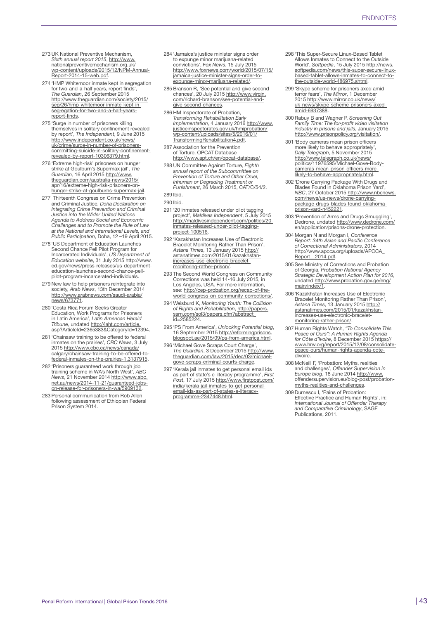- 273 UK National Preventive Mechanism, *Sixth annual report 2015*, [http://www.](http://www.nationalpreventivemechanism.org.uk/wp-content/uploads/2015/12/NPM-Annual-Report-2014-15-web.pdf) [nationalpreventivemechanism.org.uk/](http://www.nationalpreventivemechanism.org.uk/wp-content/uploads/2015/12/NPM-Annual-Report-2014-15-web.pdf) [wp-content/uploads/2015/12/NPM-Annual-](http://www.nationalpreventivemechanism.org.uk/wp-content/uploads/2015/12/NPM-Annual-Report-2014-15-web.pdf)[Report-2014-15-web.pdf.](http://www.nationalpreventivemechanism.org.uk/wp-content/uploads/2015/12/NPM-Annual-Report-2014-15-web.pdf)
- 274 'HMP Whitemoor inmate kept in segregation for two-and-a-half years, report finds', *The Guardian*, 26 September 2015 [http://www.theguardian.com/society/2015/](http://www.theguardian.com/society/2015/sep/26/hmp-whitemoor-inmate-kept-in-segregation-for-two-and-a-half-years-report-finds) [sep/26/hmp-whitemoor-inmate-kept-in](http://www.theguardian.com/society/2015/sep/26/hmp-whitemoor-inmate-kept-in-segregation-for-two-and-a-half-years-report-finds)[segregation-for-two-and-a-half-years](http://www.theguardian.com/society/2015/sep/26/hmp-whitemoor-inmate-kept-in-segregation-for-two-and-a-half-years-report-finds)[report-finds.](http://www.theguardian.com/society/2015/sep/26/hmp-whitemoor-inmate-kept-in-segregation-for-two-and-a-half-years-report-finds)
- 275 'Surge in number of prisoners killing themselves in solitary confinement revealed by report', *The Independent*, 9 June 2015 [http://www.independent.co.uk/news/](http://www.independent.co.uk/news/uk/crime/surge-in-number-of-prisoners-committing-suicide-in-solitary-confinement-revealed-by-report-10306379.html) [uk/crime/surge-in-number-of-prisoners-](http://www.independent.co.uk/news/uk/crime/surge-in-number-of-prisoners-committing-suicide-in-solitary-confinement-revealed-by-report-10306379.html)[committing-suicide-in-solitary-confinement](http://www.independent.co.uk/news/uk/crime/surge-in-number-of-prisoners-committing-suicide-in-solitary-confinement-revealed-by-report-10306379.html)[revealed-by-report-10306379.html](http://www.independent.co.uk/news/uk/crime/surge-in-number-of-prisoners-committing-suicide-in-solitary-confinement-revealed-by-report-10306379.html).
- 276 'Extreme high-risk' prisoners on hung strike at Goulburn's Supermax jail', *The Guardian*, 16 April 2015 [http://www.](http://www.theguardian.com/australia-news/2015/apr/16/extreme-high-risk-prisoners-on-hunger-strike-at-goulburns-supermax-jail) [theguardian.com/australia-news/2015/](http://www.theguardian.com/australia-news/2015/apr/16/extreme-high-risk-prisoners-on-hunger-strike-at-goulburns-supermax-jail) [apr/16/extreme-high-risk-prisoners-on](http://www.theguardian.com/australia-news/2015/apr/16/extreme-high-risk-prisoners-on-hunger-strike-at-goulburns-supermax-jail)[hunger-strike-at-goulburns-supermax-jail.](http://www.theguardian.com/australia-news/2015/apr/16/extreme-high-risk-prisoners-on-hunger-strike-at-goulburns-supermax-jail)
- 277 Thirteenth Congress on Crime Prevention and Criminal Justice, *Doha Declaration on Integrating Crime Prevention and Criminal Justice into the Wider United Nations Agenda to Address Social and Economic Challenges and to Promote the Rule of Law at the National and International Levels, and Public Participation*, Doha, 12 –19 April 2015.
- 278 'US Department of Education Launches Second Chance Pell Pilot Program for Incarcerated Individuals', *US Department of Education website*, 31 July 2015 [http://www.](http://www.ed.gov/news/press-releases/us-department-education-launches-second-chance-pell-pilot-program-incarcerated-individuals) [ed.gov/news/press-releases/us-department](http://www.ed.gov/news/press-releases/us-department-education-launches-second-chance-pell-pilot-program-incarcerated-individuals)[education-launches-second-chance-pell](http://www.ed.gov/news/press-releases/us-department-education-launches-second-chance-pell-pilot-program-incarcerated-individuals)[pilot-program-incarcerated-individuals](http://www.ed.gov/news/press-releases/us-department-education-launches-second-chance-pell-pilot-program-incarcerated-individuals).
- 279 New law to help prisoners reintegrate into society, *Arab News*, 13th December 2014 [http://www.arabnews.com/saudi-arabia/](http://www.arabnews.com/saudi-arabia/news/673771) [news/673771](http://www.arabnews.com/saudi-arabia/news/673771).
- 280 'Costa Rica Forum Seeks Greater Education, Work Programs for Prisoners in Latin America', *Latin American Herald*<br>*Tribune*, undated <u>http://laht.com/article.</u><br><u>[asp?ArticleId=2365383&CategoryId=12394](http://laht.com/article.asp?ArticleId=2365383&CategoryId=12394)</u>.
- 281 'Chainsaw training to be offered to federal inmates on the prairies', *CBC News*, 3 July 2015 [http://www.cbc.ca/news/canada/](http://www.cbc.ca/news/canada/calgary/chainsaw-training-to-be-offered-to-federal-inmates-on-the-prairies-1.3137915) [calgary/chainsaw-training-to-be-offered-to-](http://www.cbc.ca/news/canada/calgary/chainsaw-training-to-be-offered-to-federal-inmates-on-the-prairies-1.3137915)[federal-inmates-on-the-prairies-1.3137915.](http://www.cbc.ca/news/canada/calgary/chainsaw-training-to-be-offered-to-federal-inmates-on-the-prairies-1.3137915)
- 282 'Prisoners guaranteed work through job training scheme in WA's North West', *ABC News*, 21 November 2014 [http://www.abc.](http://www.abc.net.au/news/2014-11-21/guaranteed-jobs-on-release-for-prisoners-in-wa/5909132) [net.au/news/2014-11-21/guaranteed-jobs](http://www.abc.net.au/news/2014-11-21/guaranteed-jobs-on-release-for-prisoners-in-wa/5909132)[on-release-for-prisoners-in-wa/5909132](http://www.abc.net.au/news/2014-11-21/guaranteed-jobs-on-release-for-prisoners-in-wa/5909132).
- 283 Personal communication from Rob Allen following assessment of Ethiopian Federal Prison System 2014.
- 284 'Jamaica's justice minister signs order to expunge minor marijuana-related convictions', *Fox News*, 15 July 2015 [http://www.foxnews.com/world/2015/07/15/](http://www.foxnews.com/world/2015/07/15/jamaica-justice-minister-signs-order-to-expunge-minor-marijuana-related/) [jamaica-justice-minister-signs-order-to](http://www.foxnews.com/world/2015/07/15/jamaica-justice-minister-signs-order-to-expunge-minor-marijuana-related/)[expunge-minor-marijuana-related/.](http://www.foxnews.com/world/2015/07/15/jamaica-justice-minister-signs-order-to-expunge-minor-marijuana-related/)
- 285 Branson R, 'See potential and give second chances', 20 July 2015 [http://www.virgin.](http://www.virgin.com/richard-branson/see-potential-and-give-second-chances) [com/richard-branson/see-potential-and](http://www.virgin.com/richard-branson/see-potential-and-give-second-chances)[give-second-chances.](http://www.virgin.com/richard-branson/see-potential-and-give-second-chances)
- 286 HM Inspectorate of Probation, *Transforming Rehabilitation Early Implementation*, 4 January 2016 [http://www.](http://www.justiceinspectorates.gov.uk/hmiprobation/wp-content/uploads/sites/5/2016/01/TransformingRehabilitation4.pdf) [justiceinspectorates.gov.uk/hmiprobation/](http://www.justiceinspectorates.gov.uk/hmiprobation/wp-content/uploads/sites/5/2016/01/TransformingRehabilitation4.pdf) [wp-content/uploads/sites/5/2016/01/](http://www.justiceinspectorates.gov.uk/hmiprobation/wp-content/uploads/sites/5/2016/01/TransformingRehabilitation4.pdf) [TransformingRehabilitation4.pdf.](http://www.justiceinspectorates.gov.uk/hmiprobation/wp-content/uploads/sites/5/2016/01/TransformingRehabilitation4.pdf)
- 287 Association for the Prevention of Torture, OPCAT Database <http://www.apt.ch/en/opcat-database/>.
- 288 UN Committee Against Torture, *Eighth annual report of the Subcommittee on Prevention of Torture and Other Cruel, Inhuman or Degrading Treatment or Punishment*, 26 March 2015, CAT/C/54/2. 289 Ibid.
- 290 Ibid.
- 291 '20 inmates released under pilot tagging project', *Maldives Independent*, 5 July 2015 [http://maldivesindependent.com/politics/20](http://maldivesindependent.com/politics/20-inmates-released-under-pilot-tagging-project-100516) [inmates-released-under-pilot-tagging](http://maldivesindependent.com/politics/20-inmates-released-under-pilot-tagging-project-100516)[project-100516](http://maldivesindependent.com/politics/20-inmates-released-under-pilot-tagging-project-100516).
- 292 'Kazakhstan Increases Use of Electronic Bracelet Monitoring Rather Than Prison', *Astana Times*, 13 January 2015 [http://](http://astanatimes.com/2015/01/kazakhstan-increases-use-electronic-bracelet-monitoring-rather-prison/) [astanatimes.com/2015/01/kazakhstan](http://astanatimes.com/2015/01/kazakhstan-increases-use-electronic-bracelet-monitoring-rather-prison/)[increases-use-electronic-bracelet](http://astanatimes.com/2015/01/kazakhstan-increases-use-electronic-bracelet-monitoring-rather-prison/)[monitoring-rather-prison/](http://astanatimes.com/2015/01/kazakhstan-increases-use-electronic-bracelet-monitoring-rather-prison/).
- 293 The Second World Congress on Community Corrections was held 14-16 July 2015, in Los Angeles, USA. For more information, see: [http://cep-probation.org/recap-of-the](http://cep-probation.org/recap-of-the-world-congress-on-community-corrections/)[world-congress-on-community-corrections/](http://cep-probation.org/recap-of-the-world-congress-on-community-corrections/).
- 294 Weisburd K, *Monitoring Youth: The Collision of Rights and Rehabilitation*, [http://papers.](http://papers.ssrn.com/sol3/papers.cfm?abstract_id=2585224) [ssrn.com/sol3/papers.cfm?abstract\\_](http://papers.ssrn.com/sol3/papers.cfm?abstract_id=2585224) [id=2585224.](http://papers.ssrn.com/sol3/papers.cfm?abstract_id=2585224)
- 295 'PS From America', *Unlocking Potential blog*, 16 September 2015 [http://reformingprisons.](http://reformingprisons.blogspot.ae/2015/09/ps-from-america.html) [blogspot.ae/2015/09/ps-from-america.html.](http://reformingprisons.blogspot.ae/2015/09/ps-from-america.html)
- 296 'Michael Gove Scraps Court Charge', *The Guardian*, 3 December 2015 [http://www.](http://www.theguardian.com/law/2015/dec/03/michael-gove-scraps-criminal-courts-charge) [theguardian.com/law/2015/dec/03/michael](http://www.theguardian.com/law/2015/dec/03/michael-gove-scraps-criminal-courts-charge)[gove-scraps-criminal-courts-charge.](http://www.theguardian.com/law/2015/dec/03/michael-gove-scraps-criminal-courts-charge)
- 297 'Kerala jail inmates to get personal email ids as part of state's e-literacy programme', *First Post*, 17 July 2015 [http://www.firstpost.com/](http://www.firstpost.com/india/kerala-jail-inmates-to-get-personal-email-ids-as-part-of-states-e-literacy-programme-2347448.html) [india/kerala-jail-inmates-to-get-personal](http://www.firstpost.com/india/kerala-jail-inmates-to-get-personal-email-ids-as-part-of-states-e-literacy-programme-2347448.html)[email-ids-as-part-of-states-e-literacy](http://www.firstpost.com/india/kerala-jail-inmates-to-get-personal-email-ids-as-part-of-states-e-literacy-programme-2347448.html)[programme-2347448.html.](http://www.firstpost.com/india/kerala-jail-inmates-to-get-personal-email-ids-as-part-of-states-e-literacy-programme-2347448.html)
- 298 'This Super-Secure Linux-Based Tablet Allows Inmates to Connect to the Outside World', *Softpedia*, 15 July 2015 [http://news.](http://news.softpedia.com/news/this-super-secure-linux-based-tablet-allows-inmates-to-connect-to-the-outside-world-486975.shtml) [softpedia.com/news/this-super-secure-linux](http://news.softpedia.com/news/this-super-secure-linux-based-tablet-allows-inmates-to-connect-to-the-outside-world-486975.shtml)[based-tablet-allows-inmates-to-connect-to](http://news.softpedia.com/news/this-super-secure-linux-based-tablet-allows-inmates-to-connect-to-the-outside-world-486975.shtml)[the-outside-world-486975.shtml](http://news.softpedia.com/news/this-super-secure-linux-based-tablet-allows-inmates-to-connect-to-the-outside-world-486975.shtml).
- 299 'Skype scheme for prisoners axed amid terror fears', *The Mirror*, 1 December<br>2015 [http://www.mirror.co.uk/news/](http://www.mirror.co.uk/news/uk-news/skype-scheme-prisoners-axed-amid-6937388) [uk-news/skype-scheme-prisoners-axed](http://www.mirror.co.uk/news/uk-news/skype-scheme-prisoners-axed-amid-6937388)[amid-6937388](http://www.mirror.co.uk/news/uk-news/skype-scheme-prisoners-axed-amid-6937388).
- 300 Rabuy B and Wagner P, *Screening Out Family Time: The for-profit video visitation industry in prisons and jails*, January 2015 <http://www.prisonpolicy.org/visitation/>.
- 301 'Body cameras mean prison officers more likely to behave appropriately', *Daily Telegraph*, 5 November 2015 [http://www.telegraph.co.uk/news/](http://www.telegraph.co.uk/news/politics/11976595/Michael-Gove-Body-cameras-mean-prison-officers-more-likely-to-behave-appropriately.html) [politics/11976595/Michael-Gove-Body](http://www.telegraph.co.uk/news/politics/11976595/Michael-Gove-Body-cameras-mean-prison-officers-more-likely-to-behave-appropriately.html)[cameras-mean-prison-officers-more](http://www.telegraph.co.uk/news/politics/11976595/Michael-Gove-Body-cameras-mean-prison-officers-more-likely-to-behave-appropriately.html)[likely-to-behave-appropriately.html](http://www.telegraph.co.uk/news/politics/11976595/Michael-Gove-Body-cameras-mean-prison-officers-more-likely-to-behave-appropriately.html).
- 302 'Drone Carrying Package With Drugs and Blades Found in Oklahoma Prison Yard',<br>*NBC*, 27 October 2015 [http://www.nbcnews.](http://www.nbcnews.com/news/us-news/drone-carrying-package-drugs-blades-found-oklahoma-prison-yard-n452221) [com/news/us-news/drone-carrying](http://www.nbcnews.com/news/us-news/drone-carrying-package-drugs-blades-found-oklahoma-prison-yard-n452221)[package-drugs-blades-found-oklahoma](http://www.nbcnews.com/news/us-news/drone-carrying-package-drugs-blades-found-oklahoma-prison-yard-n452221)[prison-yard-n452221](http://www.nbcnews.com/news/us-news/drone-carrying-package-drugs-blades-found-oklahoma-prison-yard-n452221).
- 303 'Prevention of Arms and Drugs Smuggling', Dedrone, undated [http://www.dedrone.com/](http://www.dedrone.com/en/application/prisons-drone-protection) [en/application/prisons-drone-protection.](http://www.dedrone.com/en/application/prisons-drone-protection)
- 304 Morgan N and Morgan I, *Conference Report: 34th Asian and Pacific Conference of Correctional Administrators*, 2014 [http://www.apcca.org/uploads/APCCA\\_](http://www.apcca.org/uploads/APCCA_Report__2014.pdf) Report\_2014.pdf.
- 305 See Ministry of Corrections and Probation of Georgia, *Probation National Agency Strategic Development Action Plan for 2016*, undated [http://www.probation.gov.ge/eng/](http://www.probation.gov.ge/eng/main/index/1) [main/index/1.](http://www.probation.gov.ge/eng/main/index/1)
- 306 'Kazakhstan Increases Use of Electronic Bracelet Monitoring Rather Than Prison', *Astana Times*, 13 January 2015 [http://](http://astanatimes.com/2015/01/kazakhstan-increases-use-electronic-bracelet-monitoring-rather-prison/) [astanatimes.com/2015/01/kazakhstan](http://astanatimes.com/2015/01/kazakhstan-increases-use-electronic-bracelet-monitoring-rather-prison/)[increases-use-electronic-bracelet](http://astanatimes.com/2015/01/kazakhstan-increases-use-electronic-bracelet-monitoring-rather-prison/)[monitoring-rather-prison/](http://astanatimes.com/2015/01/kazakhstan-increases-use-electronic-bracelet-monitoring-rather-prison/).
- 307 Human Rights Watch, *"To Consolidate This Peace of Ours": A Human Rights Agenda for Côte d'Ivoire*, 8 December 2015 [https://](https://www.hrw.org/report/2015/12/08/consolidate-peace-ours/human-rights-agenda-cote-divoire) [www.hrw.org/report/2015/12/08/consolidate](https://www.hrw.org/report/2015/12/08/consolidate-peace-ours/human-rights-agenda-cote-divoire)[peace-ours/human-rights-agenda-cote](https://www.hrw.org/report/2015/12/08/consolidate-peace-ours/human-rights-agenda-cote-divoire)[divoire.](https://www.hrw.org/report/2015/12/08/consolidate-peace-ours/human-rights-agenda-cote-divoire)
- 308 McNeill F, 'Probation: Myths, realities and challenges', *Offender Supervision in Europe blog*, 18 June 2014 [http://www.](http://www.offendersupervision.eu/blog-post/probation-myths-realities-and-challenges) [offendersupervision.eu/blog-post/probation](http://www.offendersupervision.eu/blog-post/probation-myths-realities-and-challenges)[myths-realities-and-challenges.](http://www.offendersupervision.eu/blog-post/probation-myths-realities-and-challenges)
- 309 Durnescu I, 'Pains of Probation: Effective Practice and Human Rights', in: *International Journal of Offender Therapy and Comparative Criminology*, SAGE Publications, 2011.